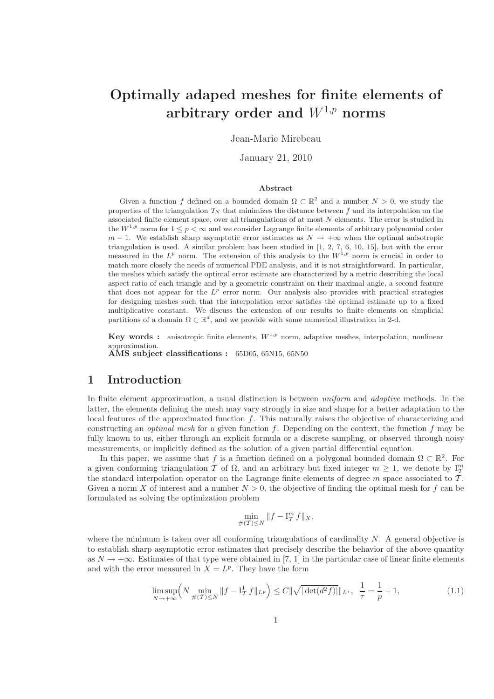# Optimally adaped meshes for finite elements of arbitrary order and  $W^{1,p}$  norms

Jean-Marie Mirebeau

January 21, 2010

#### Abstract

Given a function f defined on a bounded domain  $\Omega \subset \mathbb{R}^2$  and a number  $N > 0$ , we study the properties of the triangulation  $T_N$  that minimizes the distance between f and its interpolation on the associated finite element space, over all triangulations of at most N elements. The error is studied in the  $W^{1,p}$  norm for  $1 \leq p \leq \infty$  and we consider Lagrange finite elements of arbitrary polynomial order  $m-1$ . We establish sharp asymptotic error estimates as  $N \to +\infty$  when the optimal anisotropic triangulation is used. A similar problem has been studied in [1, 2, 7, 6, 10, 15], but with the error measured in the  $L^p$  norm. The extension of this analysis to the  $W^{1,p}$  norm is crucial in order to match more closely the needs of numerical PDE analysis, and it is not straightforward. In particular, the meshes which satisfy the optimal error estimate are characterized by a metric describing the local aspect ratio of each triangle and by a geometric constraint on their maximal angle, a second feature that does not appear for the  $L^p$  error norm. Our analysis also provides with practical strategies for designing meshes such that the interpolation error satisfies the optimal estimate up to a fixed multiplicative constant. We discuss the extension of our results to finite elements on simplicial partitions of a domain  $\Omega \subset \mathbb{R}^d$ , and we provide with some numerical illustration in 2-d.

**Key words :** anisotropic finite elements,  $W^{1,p}$  norm, adaptive meshes, interpolation, nonlinear approximation.

 $\angle$ AMS subject classifications : 65D05, 65N15, 65N50

# 1 Introduction

In finite element approximation, a usual distinction is between *uniform* and *adaptive* methods. In the latter, the elements defining the mesh may vary strongly in size and shape for a better adaptation to the local features of the approximated function f. This naturally raises the objective of characterizing and constructing an *optimal mesh* for a given function f. Depending on the context, the function f may be fully known to us, either through an explicit formula or a discrete sampling, or observed through noisy measurements, or implicitly defined as the solution of a given partial differential equation.

In this paper, we assume that f is a function defined on a polygonal bounded domain  $\Omega \subset \mathbb{R}^2$ . For a given conforming triangulation T of  $\Omega$ , and an arbitrary but fixed integer  $m \geq 1$ , we denote by  $I_T^m$ the standard interpolation operator on the Lagrange finite elements of degree  $m$  space associated to  $T$ . Given a norm X of interest and a number  $N > 0$ , the objective of finding the optimal mesh for f can be formulated as solving the optimization problem

$$
\min_{\#(\mathcal{T}) \leq N} \|f - \mathbf{I}^m_{\mathcal{T}} f\|_X,
$$

where the minimum is taken over all conforming triangulations of cardinality  $N$ . A general objective is to establish sharp asymptotic error estimates that precisely describe the behavior of the above quantity as  $N \to +\infty$ . Estimates of that type were obtained in [7, 1] in the particular case of linear finite elements and with the error measured in  $X = L^p$ . They have the form

$$
\limsup_{N \to +\infty} \left( N \min_{\#(T) \le N} \|f - I_T^1 f\|_{L^p} \right) \le C \| \sqrt{|\det(d^2 f)|} \|_{L^{\tau}}, \ \frac{1}{\tau} = \frac{1}{p} + 1,
$$
\n(1.1)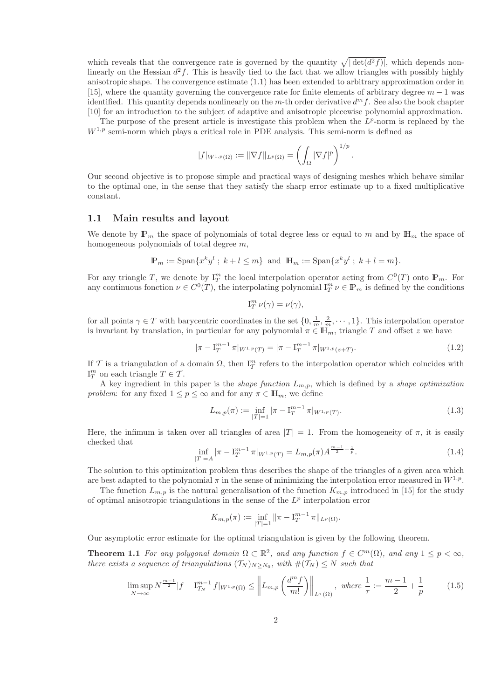which reveals that the convergence rate is governed by the quantity  $\sqrt{|\det(d^2 f)|}$ , which depends nonlinearly on the Hessian  $d^2f$ . This is heavily tied to the fact that we allow triangles with possibly highly anisotropic shape. The convergence estimate (1.1) has been extended to arbitrary approximation order in [15], where the quantity governing the convergence rate for finite elements of arbitrary degree  $m - 1$  was identified. This quantity depends nonlinearly on the m-th order derivative  $d^m f$ . See also the book chapter [10] for an introduction to the subject of adaptive and anisotropic piecewise polynomial approximation.

The purpose of the present article is investigate this problem when the  $L^p$ -norm is replaced by the  $W^{1,p}$  semi-norm which plays a critical role in PDE analysis. This semi-norm is defined as

$$
|f|_{W^{1,p}(\Omega)} := \|\nabla f\|_{L^p(\Omega)} = \left(\int_{\Omega} |\nabla f|^p\right)^{1/p}.
$$

Our second objective is to propose simple and practical ways of designing meshes which behave similar to the optimal one, in the sense that they satisfy the sharp error estimate up to a fixed multiplicative constant.

#### 1.1 Main results and layout

We denote by  $\mathbb{P}_m$  the space of polynomials of total degree less or equal to m and by  $\mathbb{H}_m$  the space of homogeneous polynomials of total degree m,

$$
\mathbb{P}_m := \text{Span}\{x^k y^l \; ; \; k + l \le m\} \text{ and } \mathbb{H}_m := \text{Span}\{x^k y^l \; ; \; k + l = m\}.
$$

For any triangle T, we denote by  $I_T^m$  the local interpolation operator acting from  $C^0(T)$  onto  $\mathbb{P}_m$ . For any continuous fonction  $\nu \in C^0(T)$ , the interpolating polynomial  $I_T^m \nu \in \mathbb{P}_m$  is defined by the conditions

$$
\mathrm{I}^m_T \,\nu(\gamma) = \nu(\gamma),
$$

for all points  $\gamma \in T$  with barycentric coordinates in the set  $\{0, \frac{1}{m}, \frac{2}{m}, \cdots, 1\}$ . This interpolation operator is invariant by translation, in particular for any polynomial  $\pi \in \mathbb{H}_m$ , triangle T and offset z we have

$$
|\pi - I_T^{m-1} \pi|_{W^{1,p}(T)} = |\pi - I_T^{m-1} \pi|_{W^{1,p}(z+T)}.
$$
\n(1.2)

If T is a triangulation of a domain  $\Omega$ , then  $I_T^m$  refers to the interpolation operator which coincides with  $I_T^m$  on each triangle  $T \in \mathcal{T}$ .

A key ingredient in this paper is the *shape function*  $L_{m,p}$ , which is defined by a *shape optimization problem*: for any fixed  $1 \leq p \leq \infty$  and for any  $\pi \in \mathbb{H}_m$ , we define

$$
L_{m,p}(\pi) := \inf_{|T|=1} |\pi - \mathcal{I}_T^{m-1} \pi|_{W^{1,p}(T)}.
$$
\n(1.3)

Here, the infimum is taken over all triangles of area  $|T| = 1$ . From the homogeneity of  $\pi$ , it is easily checked that

$$
\inf_{|T|=A} |\pi - \mathcal{I}_T^{m-1} \pi|_{W^{1,p}(T)} = L_{m,p}(\pi) A^{\frac{m-1}{2} + \frac{1}{p}}.
$$
\n(1.4)

The solution to this optimization problem thus describes the shape of the triangles of a given area which are best adapted to the polynomial  $\pi$  in the sense of minimizing the interpolation error measured in  $W^{1,p}$ .

The function  $L_{m,p}$  is the natural generalisation of the function  $K_{m,p}$  introduced in [15] for the study of optimal anisotropic triangulations in the sense of the  $L^p$  interpolation error

$$
K_{m,p}(\pi) := \inf_{|T|=1} \|\pi - \mathbf{I}_T^{m-1} \pi\|_{L^p(\Omega)}.
$$

Our asymptotic error estimate for the optimal triangulation is given by the following theorem.

**Theorem 1.1** For any polygonal domain  $\Omega \subset \mathbb{R}^2$ , and any function  $f \in C^m(\Omega)$ , and any  $1 \leq p < \infty$ , *there exists a sequence of triangulations*  $(T_N)_{N \ge N_0}$ , with  $\#(T_N) \le N$  such that

$$
\limsup_{N \to \infty} N^{\frac{m-1}{2}} |f - I_{T_N}^{m-1} f|_{W^{1,p}(\Omega)} \le \left\| L_{m,p} \left( \frac{d^m f}{m!} \right) \right\|_{L^\tau(\Omega)}, \text{ where } \frac{1}{\tau} := \frac{m-1}{2} + \frac{1}{p} \tag{1.5}
$$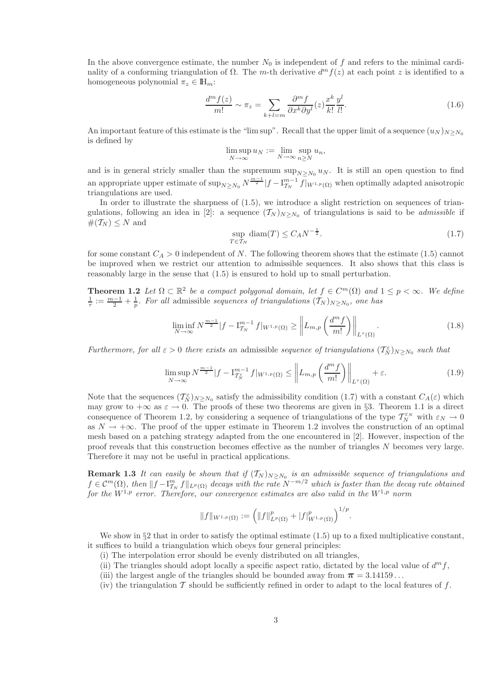In the above convergence estimate, the number  $N_0$  is independent of f and refers to the minimal cardinality of a conforming triangulation of  $\Omega$ . The m-th derivative  $d^m f(z)$  at each point z is identified to a homogeneous polynomial  $\pi_z \in \mathbb{H}_m$ :

$$
\frac{d^m f(z)}{m!} \sim \pi_z = \sum_{k+l=m} \frac{\partial^m f}{\partial x^k \partial y^l}(z) \frac{x^k}{k!} \frac{y^l}{l!}.
$$
\n(1.6)

An important feature of this estimate is the "lim sup". Recall that the upper limit of a sequence  $(u_N)_{N>N_0}$ is defined by

$$
\limsup_{N \to \infty} u_N := \lim_{N \to \infty} \sup_{n \ge N} u_n,
$$

and is in general stricly smaller than the supremum  $\sup_{N\geq N_0} u_N$ . It is still an open question to find an appropriate upper estimate of  $\sup_{N\geq N_0} N^{\frac{m-1}{2}} |f-\mathrm{I}_{T_N}^{m-1} f|_{W^{1,p}(\Omega)}$  when optimally adapted anisotropic triangulations are used.

In order to illustrate the sharpness of (1.5), we introduce a slight restriction on sequences of triangulations, following an idea in [2]: a sequence  $(T_N)_{N\geq N_0}$  of triangulations is said to be *admissible* if  $#(T_N) \leq N$  and

$$
\sup_{T \in \mathcal{T}_N} \text{diam}(T) \le C_A N^{-\frac{1}{2}}.
$$
\n(1.7)

for some constant  $C_A > 0$  independent of N. The following theorem shows that the estimate (1.5) cannot be improved when we restrict our attention to admissible sequences. It also shows that this class is reasonably large in the sense that (1.5) is ensured to hold up to small perturbation.

**Theorem 1.2** Let  $\Omega \subset \mathbb{R}^2$  be a compact polygonal domain, let  $f \in C^m(\Omega)$  and  $1 \leq p < \infty$ . We define  $\frac{1}{\tau} := \frac{m-1}{2} + \frac{1}{p}$ . For all admissible *sequences of triangulations*  $(\mathcal{T}_N)_{N \ge N_0}$ , one has

$$
\liminf_{N \to \infty} N^{\frac{m-1}{2}} |f - \mathcal{I}_{T_N}^{m-1} f|_{W^{1,p}(\Omega)} \ge \left\| L_{m,p} \left( \frac{d^m f}{m!} \right) \right\|_{L^\tau(\Omega)}.
$$
\n(1.8)

*Furthermore, for all*  $\varepsilon > 0$  *there exists an* admissible *sequence of triangulations*  $(\mathcal{T}_N^{\varepsilon})_{N \geq N_0}$  *such that* 

$$
\limsup_{N \to \infty} N^{\frac{m-1}{2}} |f - \mathcal{I}_{\mathcal{I}_N^{\varepsilon}}^{m-1} f|_{W^{1,p}(\Omega)} \le \left\| L_{m,p} \left( \frac{d^m f}{m!} \right) \right\|_{L^{\tau}(\Omega)} + \varepsilon. \tag{1.9}
$$

Note that the sequences  $(\mathcal{T}_{N}^{\varepsilon})_{N\geq N_0}$  satisfy the admissibility condition (1.7) with a constant  $C_A(\varepsilon)$  which may grow to  $+\infty$  as  $\varepsilon \to 0$ . The proofs of these two theorems are given in §3. Theorem 1.1 is a direct consequence of Theorem 1.2, by considering a sequence of triangulations of the type  $\mathcal{T}_N^{\varepsilon_N}$  with  $\varepsilon_N \to 0$ as  $N \to +\infty$ . The proof of the upper estimate in Theorem 1.2 involves the construction of an optimal mesh based on a patching strategy adapted from the one encountered in [2]. However, inspection of the proof reveals that this construction becomes effective as the number of triangles N becomes very large. Therefore it may not be useful in practical applications.

**Remark 1.3** It can easily be shown that if  $(T_N)_{N \geq N_0}$  is an admissible sequence of triangulations and  $f \in C^m(\Omega)$ , then  $||f - \mathcal{I}_{T_N}^m f||_{L^p(\Omega)}$  decays with the rate  $N^{-m/2}$  which is faster than the decay rate obtained *for the*  $W^{1,p}$  *error. Therefore, our convergence estimates are also valid in the*  $W^{1,p}$  *norm* 

$$
||f||_{W^{1,p}(\Omega)} := (||f||_{L^p(\Omega)}^p + |f|_{W^{1,p}(\Omega)}^p)^{1/p}.
$$

We show in  $\S2$  that in order to satisfy the optimal estimate  $(1.5)$  up to a fixed multiplicative constant, it suffices to build a triangulation which obeys four general principles:

- (i) The interpolation error should be evenly distributed on all triangles,
- (ii) The triangles should adopt locally a specific aspect ratio, dictated by the local value of  $d^m f$ ,
- (iii) the largest angle of the triangles should be bounded away from  $\pi = 3.14159...$
- (iv) the triangulation  $\mathcal T$  should be sufficiently refined in order to adapt to the local features of  $f$ .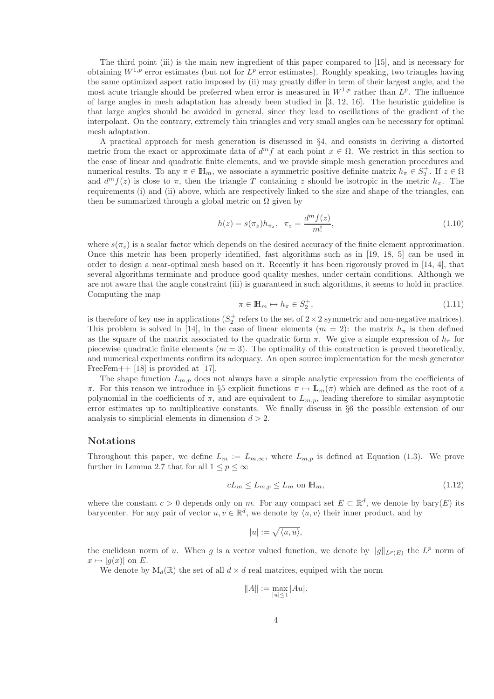The third point (iii) is the main new ingredient of this paper compared to [15], and is necessary for obtaining  $W^{1,p}$  error estimates (but not for  $L^p$  error estimates). Roughly speaking, two triangles having the same optimized aspect ratio imposed by (ii) may greatly differ in term of their largest angle, and the most acute triangle should be preferred when error is measured in  $W^{1,p}$  rather than  $L^p$ . The influence of large angles in mesh adaptation has already been studied in [3, 12, 16]. The heuristic guideline is that large angles should be avoided in general, since they lead to oscillations of the gradient of the interpolant. On the contrary, extremely thin triangles and very small angles can be necessary for optimal mesh adaptation.

A practical approach for mesh generation is discussed in §4, and consists in deriving a distorted metric from the exact or approximate data of  $d^m f$  at each point  $x \in \Omega$ . We restrict in this section to the case of linear and quadratic finite elements, and we provide simple mesh generation procedures and numerical results. To any  $\pi \in \mathbb{H}_m$ , we associate a symmetric positive definite matrix  $h_{\pi} \in S_2^+$ . If  $z \in \Omega$ and  $d^m f(z)$  is close to  $\pi$ , then the triangle T containing z should be isotropic in the metric  $h_{\pi}$ . The requirements (i) and (ii) above, which are respectively linked to the size and shape of the triangles, can then be summarized through a global metric on  $\Omega$  given by

$$
h(z) = s(\pi_z)h_{\pi_z}, \ \ \pi_z = \frac{d^m f(z)}{m!}, \tag{1.10}
$$

where  $s(\pi_z)$  is a scalar factor which depends on the desired accuracy of the finite element approximation. Once this metric has been properly identified, fast algorithms such as in [19, 18, 5] can be used in order to design a near-optimal mesh based on it. Recently it has been rigorously proved in [14, 4], that several algorithms terminate and produce good quality meshes, under certain conditions. Although we are not aware that the angle constraint (iii) is guaranteed in such algorithms, it seems to hold in practice. Computing the map

$$
\pi \in \mathbb{H}_m \mapsto h_\pi \in S_2^+, \tag{1.11}
$$

is therefore of key use in applications  $(S_2^+$  refers to the set of  $2 \times 2$  symmetric and non-negative matrices). This problem is solved in [14], in the case of linear elements  $(m = 2)$ : the matrix  $h_{\pi}$  is then defined as the square of the matrix associated to the quadratic form  $\pi$ . We give a simple expression of  $h_{\pi}$  for piecewise quadratic finite elements  $(m = 3)$ . The optimality of this construction is proved theoretically, and numerical experiments confirm its adequacy. An open source implementation for the mesh generator FreeFem++  $[18]$  is provided at  $[17]$ .

The shape function  $L_{m,p}$  does not always have a simple analytic expression from the coefficients of π. For this reason we introduce in §5 explicit functions  $\pi \mapsto \mathbf{L}_m(\pi)$  which are defined as the root of a polynomial in the coefficients of  $\pi$ , and are equivalent to  $L_{m,p}$ , leading therefore to similar asymptotic error estimates up to multiplicative constants. We finally discuss in §6 the possible extension of our analysis to simplicial elements in dimension  $d > 2$ .

#### Notations

Throughout this paper, we define  $L_m := L_{m,\infty}$ , where  $L_{m,p}$  is defined at Equation (1.3). We prove further in Lemma 2.7 that for all  $1 \leq p \leq \infty$ 

$$
cL_m \le L_{m,p} \le L_m \text{ on } \mathbb{H}_m,
$$
\n<sup>(1.12)</sup>

where the constant  $c > 0$  depends only on m. For any compact set  $E \subset \mathbb{R}^d$ , we denote by bary $(E)$  its barycenter. For any pair of vector  $u, v \in \mathbb{R}^d$ , we denote by  $\langle u, v \rangle$  their inner product, and by

$$
|u|:=\sqrt{\langle u,u\rangle},
$$

the euclidean norm of u. When g is a vector valued function, we denote by  $||g||_{L^p(E)}$  the  $L^p$  norm of  $x \mapsto |q(x)|$  on E.

We denote by  $M_d(\mathbb{R})$  the set of all  $d \times d$  real matrices, equiped with the norm

$$
||A|| := \max_{|u| \le 1} |Au|.
$$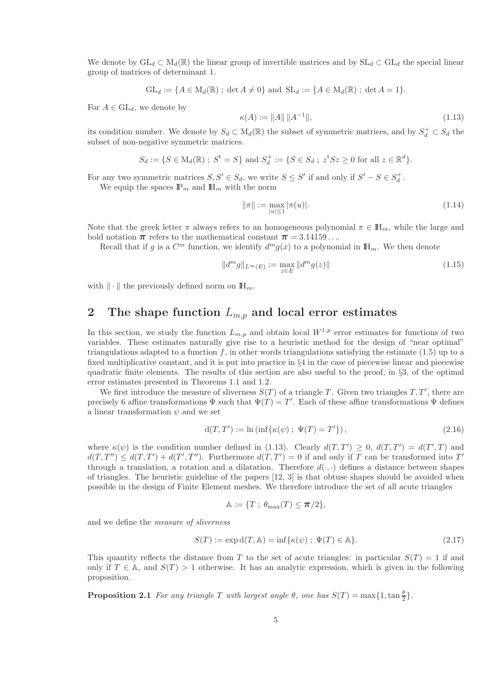We denote by  $GL_d \subset M_d(\mathbb{R})$  the linear group of invertible matrices and by  $SL_d \subset GL_d$  the special linear group of matrices of determinant 1.

$$
GL_d := \{ A \in M_d(\mathbb{R}) \; ; \; \det A \neq 0 \} \text{ and } SL_d := \{ A \in M_d(\mathbb{R}) \; ; \; \det A = 1 \}.
$$

For  $A \in GL_d$ , we denote by

$$
\kappa(A) := \|A\| \|A^{-1}\|,\tag{1.13}
$$

its condition number. We denote by  $S_d \subset M_d(\mathbb{R})$  the subset of symmetric matrices, and by  $S_d^+ \subset S_d$  the subset of non-negative symmetric matrices.

$$
S_d := \{ S \in M_d(\mathbb{R}) \; ; \; S^t = S \}
$$
 and  $S_d^+ := \{ S \in S_d \; ; \; z^t S z \ge 0 \text{ for all } z \in \mathbb{R}^d \}.$ 

For any two symmetric matrices  $S, S' \in S_d$ , we write  $S \leq S'$  if and only if  $S' - S \in S_d^+$ .

We equip the spaces  $\mathbb{P}_m$  and  $\mathbb{H}_m$  with the norm

$$
\|\pi\| := \max_{|u| \le 1} |\pi(u)|. \tag{1.14}
$$

Note that the greek letter  $\pi$  always refers to an homogeneous polynomial  $\pi \in \mathbb{H}_m$ , while the large and bold notation  $\pi$  refers to the mathematical constant  $\pi = 3.14159...$ 

Recall that if g is a  $C^m$  function, we identify  $d^m g(x)$  to a polynomial in  $\mathbb{H}_m$ . We then denote

$$
||d^m g||_{L^{\infty}(E)} := \max_{z \in E} ||d^m g(z)|| \tag{1.15}
$$

with  $\|\cdot\|$  the previously defined norm on  $\mathbb{H}_m$ .

# 2 The shape function  $L_{m,n}$  and local error estimates

In this section, we study the function  $L_{m,p}$  and obtain local  $W^{1,p}$  error estimates for functions of two variables. These estimates naturally give rise to a heuristic method for the design of "near optimal" triangulations adapted to a function  $f$ , in other words triangulations satisfying the estimate (1.5) up to a fixed multiplicative constant, and it is put into practice in §4 in the case of piecewise linear and piecewise quadratic finite elements. The results of this section are also useful to the proof, in §3, of the optimal error estimates presented in Theorems 1.1 and 1.2.

We first introduce the measure of sliverness  $S(T)$  of a triangle T. Given two triangles  $T, T'$ , there are precisely 6 affine transformations  $\Psi$  such that  $\Psi(T) = T'$ . Each of these affine transformations  $\Psi$  defines a linear transformation  $\psi$  and we set

$$
d(T, T') := \ln(\inf\{\kappa(\psi) \; ; \; \Psi(T) = T'\}),\tag{2.16}
$$

where  $\kappa(\psi)$  is the condition number defined in (1.13). Clearly  $d(T,T') \geq 0$ ,  $d(T,T') = d(T',T)$  and  $d(T, T'') \leq d(T, T') + d(T', T'')$ . Furthermore  $d(T, T') = 0$  if and only if T can be transformed into T' through a translation, a rotation and a dilatation. Therefore  $d(\cdot, \cdot)$  defines a distance between shapes of triangles. The heuristic guideline of the papers [12, 3] is that obtuse shapes should be avoided when possible in the design of Finite Element meshes. We therefore introduce the set of all acute triangles

$$
\mathbb{A}:=\{T\;;\;\theta_{\max}(T)\leq \pi/2\},
$$

and we define the *measure of sliverness*

$$
S(T) := \exp \mathrm{d}(T, \mathbb{A}) = \inf \{ \kappa(\psi) \; ; \; \Psi(T) \in \mathbb{A} \}. \tag{2.17}
$$

This quantity reflects the distance from T to the set of acute triangles: in particular  $S(T) = 1$  if and only if  $T \in A$ , and  $S(T) > 1$  otherwise. It has an analytic expression, which is given in the following proposition.

**Proposition 2.1** *For any triangle* T *with largest angle*  $\theta$ *, one has*  $S(T) = \max\{1, \tan\frac{\theta}{2}\}.$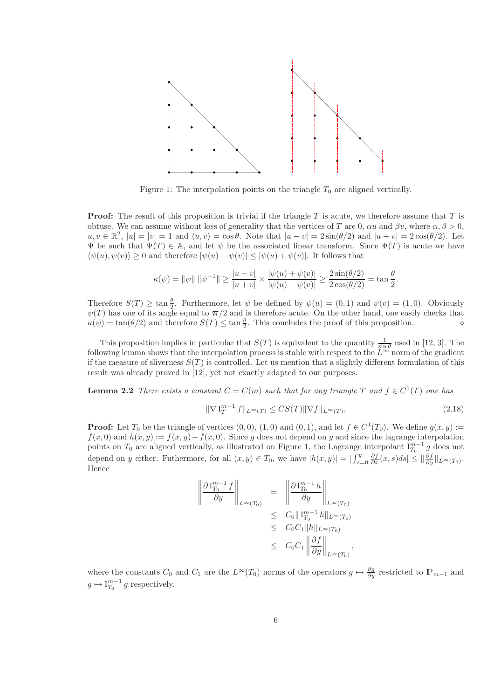

Figure 1: The interpolation points on the triangle  $T_0$  are aligned vertically.

**Proof:** The result of this proposition is trivial if the triangle  $T$  is acute, we therefore assume that  $T$  is obtuse. We can assume without loss of generality that the vertices of T are 0,  $\alpha u$  and  $\beta v$ , where  $\alpha, \beta > 0$ ,  $u, v \in \mathbb{R}^2$ ,  $|u| = |v| = 1$  and  $\langle u, v \rangle = \cos \theta$ . Note that  $|u - v| = 2 \sin(\theta/2)$  and  $|u + v| = 2 \cos(\theta/2)$ . Let  $\Psi$  be such that  $\Psi(T) \in A$ , and let  $\psi$  be the associated linear transform. Since  $\Psi(T)$  is acute we have  $\langle \psi(u), \psi(v) \rangle \geq 0$  and therefore  $|\psi(u) - \psi(v)| \leq |\psi(u) + \psi(v)|$ . It follows that

$$
\kappa(\psi) = ||\psi|| \, ||\psi^{-1}|| \ge \frac{|u - v|}{|u + v|} \times \frac{|\psi(u) + \psi(v)|}{|\psi(u) - \psi(v)|} \ge \frac{2\sin(\theta/2)}{2\cos(\theta/2)} = \tan\frac{\theta}{2}
$$

Therefore  $S(T) \ge \tan \frac{\theta}{2}$ . Furthermore, let  $\psi$  be defined by  $\psi(u) = (0,1)$  and  $\psi(v) = (1,0)$ . Obviously  $\psi(T)$  has one of its angle equal to  $\pi/2$  and is therefore acute. On the other hand, one easily checks that  $\kappa(\psi) = \tan(\theta/2)$  and therefore  $S(T) \le \tan \frac{\theta}{2}$ . This concludes the proof of this proposition.  $\diamond$ 

This proposition implies in particular that  $S(T)$  is equivalent to the quantity  $\frac{1}{\sin \theta}$  used in [12, 3]. The following lemma shows that the interpolation process is stable with respect to the  $L^{\infty}$  norm of the gradient if the measure of sliverness  $S(T)$  is controlled. Let us mention that a slightly different formulation of this result was already proved in [12], yet not exactly adapted to our purposes.

**Lemma 2.2** *There exists a constant*  $C = C(m)$  *such that for any triangle*  $T$  *and*  $f \in C^1(T)$  *one has* 

$$
\|\nabla\mathbf{I}_T^{m-1}f\|_{L^\infty(T)} \le CS(T)\|\nabla f\|_{L^\infty(T)},\tag{2.18}
$$

,

.

**Proof:** Let  $T_0$  be the triangle of vertices  $(0,0)$ ,  $(1,0)$  and  $(0,1)$ , and let  $f \in C^1(T_0)$ . We define  $g(x, y) :=$  $f(x, 0)$  and  $h(x, y) := f(x, y) - f(x, 0)$ . Since g does not depend on y and since the lagrange interpolation points on  $T_0$  are aligned vertically, as illustrated on Figure 1, the Lagrange interpolant  $I_{T_0}^{m-1}$  g does not depend on y either. Futhermore, for all  $(x, y) \in T_0$ , we have  $|h(x, y)| = \left| \int_{s=0}^{y} \frac{\partial f}{\partial x}(x, s) ds \right| \leq \left\| \frac{\partial f}{\partial y} \right\|_{L^{\infty}(T_0)}$ . Hence

$$
\left\| \frac{\partial \mathcal{I}_{T_0}^{m-1} f}{\partial y} \right\|_{L^{\infty}(T_0)} = \left\| \frac{\partial \mathcal{I}_{T_0}^{m-1} h}{\partial y} \right\|_{L^{\infty}(T_0)}
$$
  
\n
$$
\leq C_0 \| \mathcal{I}_{T_0}^{m-1} h \|_{L^{\infty}(T_0)}
$$
  
\n
$$
\leq C_0 C_1 \| h \|_{L^{\infty}(T_0)}
$$
  
\n
$$
\leq C_0 C_1 \| \frac{\partial f}{\partial y} \|_{L^{\infty}(T_0)}
$$

where the constants  $C_0$  and  $C_1$  are the  $L^{\infty}(T_0)$  norms of the operators  $g \mapsto \frac{\partial g}{\partial y}$  restricted to  $\mathbb{P}_{m-1}$  and  $g \mapsto I_{T_0}^{m-1} g$  respectively.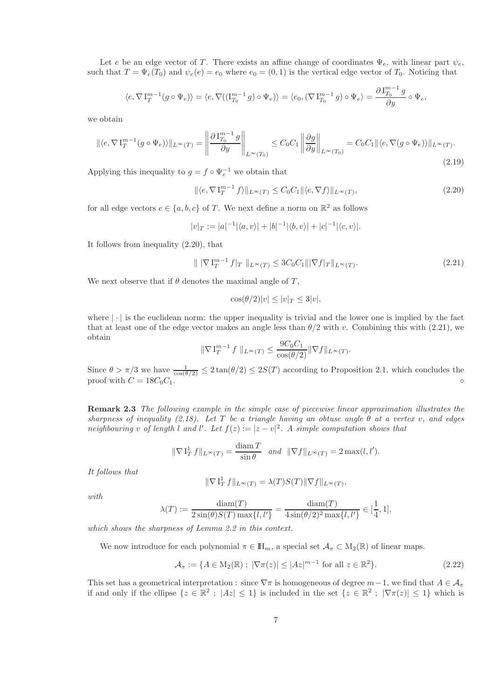Let e be an edge vector of T. There exists an affine change of coordinates  $\Psi_e$ , with linear part  $\psi_e$ , such that  $T = \Psi_e(T_0)$  and  $\psi_e(e) = e_0$  where  $e_0 = (0, 1)$  is the vertical edge vector of  $T_0$ . Noticing that

$$
\langle e, \nabla \mathbf{I}_{T}^{m-1}(g \circ \Psi_{e}) \rangle = \langle e, \nabla ((\mathbf{I}_{T_0}^{m-1} g) \circ \Psi_{e}) \rangle = \langle e_0, (\nabla \mathbf{I}_{T_0}^{m-1} g) \circ \Psi_{e} \rangle = \frac{\partial \mathbf{I}_{T_0}^{m-1} g}{\partial y} \circ \Psi_{e},
$$

we obtain

$$
\| \langle e, \nabla I_T^{m-1}(g \circ \Psi_e) \rangle \|_{L^\infty(T)} = \left\| \frac{\partial I_{T_0}^{m-1} g}{\partial y} \right\|_{L^\infty(T_0)} \le C_0 C_1 \left\| \frac{\partial g}{\partial y} \right\|_{L^\infty(T_0)} = C_0 C_1 \| \langle e, \nabla (g \circ \Psi_e) \rangle \|_{L^\infty(T)}.
$$
\n(2.19)

Applying this inequality to  $g = f \circ \Psi_e^{-1}$  we obtain that

$$
\|\langle e, \nabla \mathbf{I}_T^{m-1} f \rangle\|_{L^\infty(T)} \le C_0 C_1 \|\langle e, \nabla f \rangle\|_{L^\infty(T)},\tag{2.20}
$$

for all edge vectors  $e \in \{a, b, c\}$  of T. We next define a norm on  $\mathbb{R}^2$  as follows

$$
|v|_T := |a|^{-1} |\langle a, v \rangle| + |b|^{-1} |\langle b, v \rangle| + |c|^{-1} |\langle c, v \rangle|.
$$

It follows from inequality (2.20), that

$$
\| |\nabla I_T^{m-1} f|_T \|_{L^{\infty}(T)} \le 3C_0 C_1 \| |\nabla f|_T \|_{L^{\infty}(T)}.
$$
\n(2.21)

We next observe that if  $\theta$  denotes the maximal angle of T,

$$
\cos(\theta/2)|v| \le |v|_T \le 3|v|,
$$

where  $|\cdot|$  is the euclidean norm: the upper inequality is trivial and the lower one is implied by the fact that at least one of the edge vector makes an angle less than  $\theta/2$  with v. Combining this with (2.21), we obtain

$$
\|\nabla I_T^{m-1} f\|_{L^{\infty}(T)} \le \frac{9C_0C_1}{\cos(\theta/2)} \|\nabla f\|_{L^{\infty}(T)}.
$$

Since  $\theta > \pi/3$  we have  $\frac{1}{\cos(\theta/2)} \leq 2\tan(\theta/2) \leq 2S(T)$  according to Proposition 2.1, which concludes the proof with C = 18C0C1. ⋄

Remark 2.3 *The following example in the simple case of piecewise linear approximation illustrates the sharpness of inequality (2.18). Let* T *be a triangle having an obtuse angle* θ *at a vertex* v*, and edges neighbouring* v of length l and l'. Let  $f(z) := |z - v|^2$ . A simple computation shows that

$$
\|\nabla \mathbf{1}_T^1 f\|_{L^\infty(T)} = \frac{\text{diam } T}{\sin \theta} \quad \text{and} \quad \|\nabla f\|_{L^\infty(T)} = 2 \max(l, l').
$$

*It follows that*

$$
\|\nabla\operatorname{I}_T^1f\|_{L^\infty(T)}=\lambda(T)S(T)\|\nabla f\|_{L^\infty(T)}
$$

*with*

$$
\lambda(T) := \frac{\text{diam}(T)}{2\sin(\theta)S(T)\max\{l,l'\}} = \frac{\text{diam}(T)}{4\sin(\theta/2)^2\max\{l,l'\}} \in [\frac{1}{4}, 1],
$$

*which shows the sharpness of Lemma 2.2 in this context.*

We now introduce for each polynomial  $\pi \in \mathbb{H}_m$ , a special set  $\mathcal{A}_{\pi} \subset M_2(\mathbb{R})$  of linear maps.

$$
\mathcal{A}_{\pi} := \{ A \in M_2(\mathbb{R}) \; ; \; |\nabla \pi(z)| \le |Az|^{m-1} \text{ for all } z \in \mathbb{R}^2 \}. \tag{2.22}
$$

,

This set has a geometrical interpretation : since  $\nabla \pi$  is homogeneous of degree  $m-1$ , we find that  $A \in \mathcal{A}_{\pi}$ if and only if the ellipse  $\{z \in \mathbb{R}^2 \; ; \; |Az| \leq 1\}$  is included in the set  $\{z \in \mathbb{R}^2 \; ; \; |\nabla \pi(z)| \leq 1\}$  which is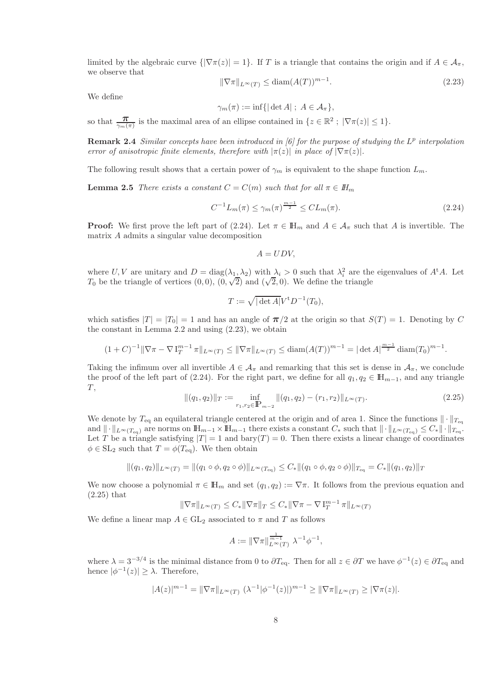limited by the algebraic curve  $\{|\nabla \pi(z)| = 1\}$ . If T is a triangle that contains the origin and if  $A \in \mathcal{A}_{\pi}$ , we observe that

$$
\|\nabla\pi\|_{L^{\infty}(T)} \le \text{diam}(A(T))^{m-1}.
$$
\n(2.23)

We define

 $\gamma_m(\pi) := \inf\{|\det A| \; ; \; A \in \mathcal{A}_{\pi}\},\$ 

so that  $\frac{\pi}{\gamma_m(\pi)}$  is the maximal area of an ellipse contained in  $\{z \in \mathbb{R}^2 : |\nabla \pi(z)| \leq 1\}.$ 

Remark 2.4 *Similar concepts have been introduced in [6] for the purpose of studying the*  $L^p$  *interpolation error of anisotropic finite elements, therefore with*  $|\pi(z)|$  *in place of*  $|\nabla \pi(z)|$ *.* 

The following result shows that a certain power of  $\gamma_m$  is equivalent to the shape function  $L_m$ .

**Lemma 2.5** *There exists a constant*  $C = C(m)$  *such that for all*  $\pi \in H_m$ 

$$
C^{-1}L_m(\pi) \le \gamma_m(\pi)^{\frac{m-1}{2}} \le CL_m(\pi). \tag{2.24}
$$

**Proof:** We first prove the left part of (2.24). Let  $\pi \in \mathbb{H}_m$  and  $A \in \mathcal{A}_{\pi}$  such that A is invertible. The matrix A admits a singular value decomposition

$$
A = UDV,
$$

where U, V are unitary and  $D = \text{diag}(\lambda_1, \lambda_2)$  with  $\lambda_i > 0$  such that  $\lambda_i^2$  are the eigenvalues of  $A^{\dagger}A$ . Let T<sub>0</sub> be the triangle of vertices  $(0,0)$ ,  $(0,\sqrt{2})$  and  $(\sqrt{2},0)$ . We define the triangle

$$
T:=\sqrt{|\det A|}V^{\mathrm t}D^{-1}(T_0),
$$

which satisfies  $|T| = |T_0| = 1$  and has an angle of  $\pi/2$  at the origin so that  $S(T) = 1$ . Denoting by C the constant in Lemma 2.2 and using (2.23), we obtain

$$
(1+C)^{-1} \|\nabla \pi - \nabla I_T^{m-1} \pi\|_{L^\infty(T)} \le \|\nabla \pi\|_{L^\infty(T)} \le \text{diam}(A(T))^{m-1} = |\det A|^{\frac{m-1}{2}} \text{diam}(T_0)^{m-1}.
$$

Taking the infimum over all invertible  $A \in \mathcal{A}_{\pi}$  and remarking that this set is dense in  $\mathcal{A}_{\pi}$ , we conclude the proof of the left part of (2.24). For the right part, we define for all  $q_1, q_2 \in \mathbb{H}_{m-1}$ , and any triangle  $T,$ 

$$
\|(q_1, q_2)\|_T := \inf_{r_1, r_2 \in \mathbb{P}_{m-2}} \|(q_1, q_2) - (r_1, r_2)\|_{L^\infty(T)}.
$$
\n(2.25)

We denote by  $T_{eq}$  an equilateral triangle centered at the origin and of area 1. Since the functions  $\|\cdot\|_{T_{eq}}$ and  $\|\cdot\|_{L^{\infty}(T_{\text{eq}})}$  are norms on  $\mathbb{H}_{m-1} \times \mathbb{H}_{m-1}$  there exists a constant  $C_*$  such that  $\|\cdot\|_{L^{\infty}(T_{\text{eq}})} \leq C_* \|\cdot\|_{T_{\text{eq}}}$ . Let T be a triangle satisfying  $|T| = 1$  and  $\text{bary}(T) = 0$ . Then there exists a linear change of coordinates  $\phi \in SL_2$  such that  $T = \phi(T_{eq})$ . We then obtain

$$
||(q_1, q_2)||_{L^{\infty}(T)} = ||(q_1 \circ \phi, q_2 \circ \phi)||_{L^{\infty}(T_{\text{eq}})} \leq C_* ||(q_1 \circ \phi, q_2 \circ \phi)||_{T_{\text{eq}}} = C_* ||(q_1, q_2)||_T
$$

We now choose a polynomial  $\pi \in \mathbb{H}_m$  and set  $(q_1, q_2) := \nabla \pi$ . It follows from the previous equation and (2.25) that

$$
\|\nabla\pi\|_{L^\infty(T)}\leq C_*\|\nabla\pi\|_T\leq C_*\|\nabla\pi-\nabla\operatorname{I}_T^{m-1}\pi\|_{L^\infty(T)}
$$

We define a linear map  $A \in GL_2$  associated to  $\pi$  and T as follows

$$
A := \|\nabla \pi\|_{L^{\infty}(T)}^{\frac{1}{m-1}} \lambda^{-1} \phi^{-1},
$$

where  $\lambda = 3^{-3/4}$  is the minimal distance from 0 to  $\partial T_{\text{eq}}$ . Then for all  $z \in \partial T$  we have  $\phi^{-1}(z) \in \partial T_{\text{eq}}$  and hence  $|\phi^{-1}(z)| \geq \lambda$ . Therefore,

$$
|A(z)|^{m-1} = \|\nabla \pi\|_{L^{\infty}(T)} \, (\lambda^{-1}|\phi^{-1}(z)|)^{m-1} \ge \|\nabla \pi\|_{L^{\infty}(T)} \ge |\nabla \pi(z)|.
$$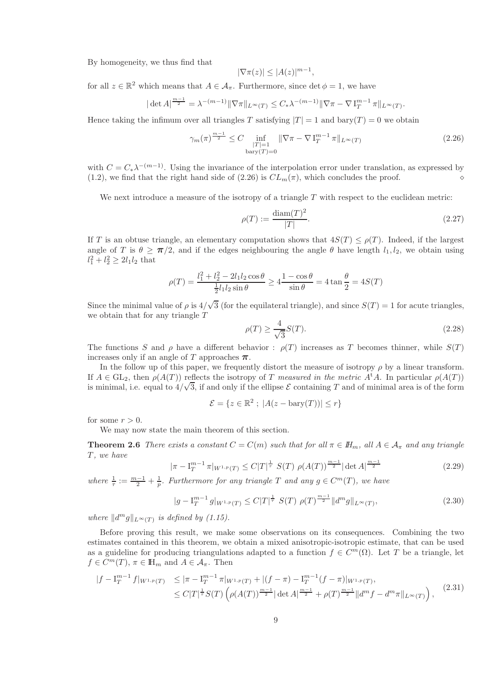By homogeneity, we thus find that

$$
|\nabla \pi(z)| \le |A(z)|^{m-1},
$$

for all  $z \in \mathbb{R}^2$  which means that  $A \in \mathcal{A}_{\pi}$ . Furthermore, since  $\det \phi = 1$ , we have

$$
|\det A|^{\frac{m-1}{2}} = \lambda^{-(m-1)} \|\nabla \pi\|_{L^{\infty}(T)} \leq C_* \lambda^{-(m-1)} \|\nabla \pi - \nabla I_T^{m-1} \pi\|_{L^{\infty}(T)}.
$$

Hence taking the infimum over all triangles T satisfying  $|T| = 1$  and  $\text{bary}(T) = 0$  we obtain

$$
\gamma_m(\pi)^{\frac{m-1}{2}} \le C \inf_{\substack{|T|=1\\ \text{bary}(T)=0}} \|\nabla \pi - \nabla \mathbf{I}_T^{m-1} \pi\|_{L^\infty(T)}\n\tag{2.26}
$$

with  $C = C_* \lambda^{-(m-1)}$ . Using the invariance of the interpolation error under translation, as expressed by (1.2), we find that the right hand side of (2.26) is CLm(π), which concludes the proof. ⋄

We next introduce a measure of the isotropy of a triangle  $T$  with respect to the euclidean metric:

$$
\rho(T) := \frac{\text{diam}(T)^2}{|T|}.
$$
\n(2.27)

If T is an obtuse triangle, an elementary computation shows that  $4S(T) \leq \rho(T)$ . Indeed, if the largest angle of T is  $\theta \ge \pi/2$ , and if the edges neighbouring the angle  $\theta$  have length  $l_1, l_2$ , we obtain using  $l_1^2 + l_2^2 \ge 2l_1l_2$  that

$$
\rho(T) = \frac{l_1^2 + l_2^2 - 2l_1l_2\cos\theta}{\frac{1}{2}l_1l_2\sin\theta} \ge 4\frac{1 - \cos\theta}{\sin\theta} = 4\tan\frac{\theta}{2} = 4S(T)
$$

Since the minimal value of  $\rho$  is  $4/\sqrt{3}$  (for the equilateral triangle), and since  $S(T) = 1$  for acute triangles, we obtain that for any triangle T

$$
\rho(T) \ge \frac{4}{\sqrt{3}} S(T). \tag{2.28}
$$

The functions S and  $\rho$  have a different behavior :  $\rho(T)$  increases as T becomes thinner, while  $S(T)$ increases only if an angle of T approaches  $\pi$ .

In the follow up of this paper, we frequently distort the measure of isotropy  $\rho$  by a linear transform. If  $A \in GL_2$ , then  $\rho(A(T))$  reflects the isotropy of T *measured in the metric*  $A^{\dagger}A$ . In particular  $\rho(A(T))$ is minimal, i.e. equal to  $4/\sqrt{3}$ , if and only if the ellipse E containing T and of minimal area is of the form

$$
\mathcal{E} = \{ z \in \mathbb{R}^2 \; ; \; |A(z - \text{bary}(T))| \le r \}
$$

for some  $r > 0$ .

We may now state the main theorem of this section.

**Theorem 2.6** *There exists a constant*  $C = C(m)$  *such that for all*  $\pi \in I\!H_m$ *, all*  $A \in A_\pi$  *and any triangle* T *, we have*

$$
|\pi - I_T^{m-1}\pi|_{W^{1,p}(T)} \le C|T|^{\frac{1}{\tau}} S(T) \rho(A(T))^{\frac{m-1}{2}} |\det A|^{\frac{m-1}{2}} \tag{2.29}
$$

where  $\frac{1}{\tau} := \frac{m-1}{2} + \frac{1}{p}$ *. Furthermore for any triangle* T *and any*  $g \in C^m(T)$ *, we have* 

$$
|g - I_T^{m-1} g|_{W^{1,p}(T)} \le C|T|^{\frac{1}{\tau}} S(T) \rho(T)^{\frac{m-1}{2}} \|d^m g\|_{L^\infty(T)},
$$
\n(2.30)

*where*  $||d^mg||_{L^\infty(T)}$  *is defined by (1.15).* 

Before proving this result, we make some observations on its consequences. Combining the two estimates contained in this theorem, we obtain a mixed anisotropic-isotropic estimate, that can be used as a guideline for producing triangulations adapted to a function  $f \in C^m(\Omega)$ . Let T be a triangle, let  $f \in C^m(T)$ ,  $\pi \in \mathbb{H}_m$  and  $A \in \mathcal{A}_{\pi}$ . Then

$$
|f - \mathcal{I}_T^{m-1} f|_{W^{1,p}(T)} \le |\pi - \mathcal{I}_T^{m-1} \pi|_{W^{1,p}(T)} + |(f - \pi) - \mathcal{I}_T^{m-1}(f - \pi)|_{W^{1,p}(T)},
$$
  
\n
$$
\le C|T|^{\frac{1}{\tau}} S(T) \left( \rho(A(T))^{\frac{m-1}{2}} |\det A|^{\frac{m-1}{2}} + \rho(T)^{\frac{m-1}{2}} \|d^m f - d^m \pi\|_{L^{\infty}(T)} \right),
$$
\n(2.31)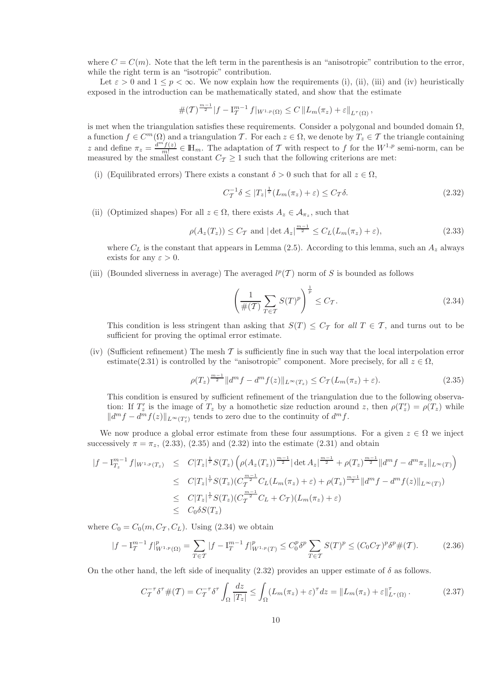where  $C = C(m)$ . Note that the left term in the parenthesis is an "anisotropic" contribution to the error, while the right term is an "isotropic" contribution.

Let  $\varepsilon > 0$  and  $1 \le p < \infty$ . We now explain how the requirements (i), (ii), (iii) and (iv) heuristically exposed in the introduction can be mathematically stated, and show that the estimate

$$
\#(\mathcal{T})^{\frac{m-1}{2}}|f-\mathrm{I}_{\mathcal{T}}^{m-1} f|_{W^{1,p}(\Omega)} \leq C \|L_m(\pi_z)+\varepsilon\|_{L^{\tau}(\Omega)},
$$

is met when the triangulation satisfies these requirements. Consider a polygonal and bounded domain  $\Omega$ , a function  $f \in C^m(\Omega)$  and a triangulation T. For each  $z \in \Omega$ , we denote by  $T_z \in \mathcal{T}$  the triangle containing z and define  $\pi_z = \frac{d^{m'}f(z)}{m!}$  $\mathcal{L}_{m}^{f(z)} \in \mathbb{H}_m$ . The adaptation of T with respect to f for the  $W^{1,p}$  semi-norm, can be measured by the smallest constant  $C_T \geq 1$  such that the following criterions are met:

(i) (Equilibrated errors) There exists a constant  $\delta > 0$  such that for all  $z \in \Omega$ ,

$$
C_T^{-1}\delta \le |T_z|^{\frac{1}{\tau}}(L_m(\pi_z)+\varepsilon) \le C_T\delta. \tag{2.32}
$$

(ii) (Optimized shapes) For all  $z \in \Omega$ , there exists  $A_z \in \mathcal{A}_{\pi_z}$ , such that

$$
\rho(A_z(T_z)) \le C_T \text{ and } |\det A_z|^{\frac{m-1}{2}} \le C_L(L_m(\pi_z) + \varepsilon),\tag{2.33}
$$

where  $C_L$  is the constant that appears in Lemma (2.5). According to this lemma, such an  $A_z$  always exists for any  $\varepsilon > 0$ .

(iii) (Bounded sliverness in average) The averaged  $l^p(\mathcal{T})$  norm of S is bounded as follows

$$
\left(\frac{1}{\#(T)}\sum_{T\in\mathcal{T}}S(T)^p\right)^{\frac{1}{p}}\leq C_T.\tag{2.34}
$$

This condition is less stringent than asking that  $S(T) \leq C_{\mathcal{T}}$  for all  $T \in \mathcal{T}$ , and turns out to be sufficient for proving the optimal error estimate.

(iv) (Sufficient refinement) The mesh  $\mathcal T$  is sufficiently fine in such way that the local interpolation error estimate(2.31) is controlled by the "anisotropic" component. More precisely, for all  $z \in \Omega$ ,

$$
\rho(T_z)^{\frac{m-1}{2}} \|d^m f - d^m f(z)\|_{L^\infty(T_z)} \le C_T (L_m(\pi_z) + \varepsilon). \tag{2.35}
$$

This condition is ensured by sufficient refinement of the triangulation due to the following observation: If  $T'_z$  is the image of  $T_z$  by a homothetic size reduction around z, then  $\rho(T'_z) = \rho(T_z)$  while  $||d^m f - d^m f(z)||_{L^{\infty}(T'_z)}$  tends to zero due to the continuity of  $d^m f$ .

We now produce a global error estimate from these four assumptions. For a given  $z \in \Omega$  we inject successively  $\pi = \pi_z$ , (2.33), (2.35) and (2.32) into the estimate (2.31) and obtain

$$
|f - I_{T_z}^{m-1} f|_{W^{1,p}(T_z)} \leq C |T_z|^{\frac{1}{r}} S(T_z) \left( \rho(A_z(T_z))^{\frac{m-1}{2}} |\det A_z|^{\frac{m-1}{2}} + \rho(T_z)^{\frac{m-1}{2}} \|d^m f - d^m \pi_z\|_{L^{\infty}(T)} \right)
$$
  
\n
$$
\leq C |T_z|^{\frac{1}{r}} S(T_z) (C_T^{\frac{m-1}{2}} C_L (L_m(\pi_z) + \varepsilon) + \rho(T_z)^{\frac{m-1}{2}} \|d^m f - d^m f(z)\|_{L^{\infty}(T)})
$$
  
\n
$$
\leq C |T_z|^{\frac{1}{r}} S(T_z) (C_T^{\frac{m-1}{2}} C_L + C_T) (L_m(\pi_z) + \varepsilon)
$$
  
\n
$$
\leq C_0 \delta S(T_z)
$$

where  $C_0 = C_0(m, C_{\mathcal{T}}, C_L)$ . Using (2.34) we obtain

$$
|f - I_T^{m-1} f|_{W^{1,p}(\Omega)}^p = \sum_{T \in \mathcal{T}} |f - I_T^{m-1} f|_{W^{1,p}(T)}^p \le C_0^p \delta^p \sum_{T \in \mathcal{T}} S(T)^p \le (C_0 C_\mathcal{T})^p \delta^p \#(\mathcal{T}). \tag{2.36}
$$

On the other hand, the left side of inequality (2.32) provides an upper estimate of  $\delta$  as follows.

$$
C_T^{-\tau} \delta^{\tau} \#(\mathcal{T}) = C_T^{-\tau} \delta^{\tau} \int_{\Omega} \frac{dz}{|T_z|} \le \int_{\Omega} (L_m(\pi_z) + \varepsilon)^{\tau} dz = ||L_m(\pi_z) + \varepsilon||_{L^{\tau}(\Omega)}^{\tau}.
$$
 (2.37)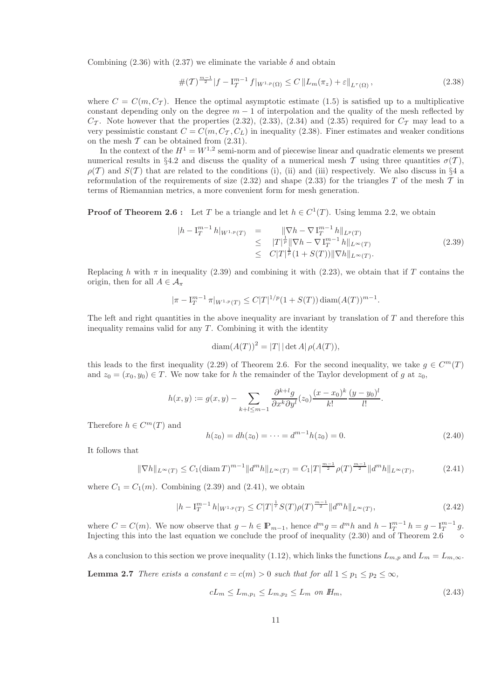Combining (2.36) with (2.37) we eliminate the variable  $\delta$  and obtain

$$
\#(\mathcal{T})^{\frac{m-1}{2}}|f - \mathcal{I}_{\mathcal{T}}^{m-1} f|_{W^{1,p}(\Omega)} \le C \left\| L_m(\pi_z) + \varepsilon \right\|_{L^\tau(\Omega)},\tag{2.38}
$$

where  $C = C(m, C_{\tau})$ . Hence the optimal asymptotic estimate (1.5) is satisfied up to a multiplicative constant depending only on the degree  $m-1$  of interpolation and the quality of the mesh reflected by  $C_{\mathcal{T}}$ . Note however that the properties (2.32), (2.33), (2.34) and (2.35) required for  $C_{\mathcal{T}}$  may lead to a very pessimistic constant  $C = C(m, C_T, C_L)$  in inequality (2.38). Finer estimates and weaker conditions on the mesh  $T$  can be obtained from  $(2.31)$ .

In the context of the  $H^1 = W^{1,2}$  semi-norm and of piecewise linear and quadratic elements we present numerical results in §4.2 and discuss the quality of a numerical mesh T using three quantities  $\sigma(T)$ ,  $\rho(T)$  and  $S(T)$  that are related to the conditions (i), (ii) and (iii) respectively. We also discuss in §4 a reformulation of the requirements of size  $(2.32)$  and shape  $(2.33)$  for the triangles T of the mesh T in terms of Riemannian metrics, a more convenient form for mesh generation.

**Proof of Theorem 2.6:** Let T be a triangle and let  $h \in C^1(T)$ . Using lemma 2.2, we obtain

$$
|h - I_T^{m-1}h|_{W^{1,p}(T)} = \| \nabla h - \nabla I_T^{m-1}h \|_{L^p(T)}
$$
  
\n
$$
\leq |T|^{\frac{1}{p}} \|\nabla h - \nabla I_T^{m-1}h \|_{L^{\infty}(T)}
$$
  
\n
$$
\leq C|T|^{\frac{1}{p}} (1 + S(T)) \|\nabla h\|_{L^{\infty}(T)}.
$$
\n(2.39)

Replacing h with  $\pi$  in inequality (2.39) and combining it with (2.23), we obtain that if T contains the origin, then for all  $A \in \mathcal{A}_{\pi}$ 

$$
|\pi - \mathcal{I}_T^{m-1} \pi|_{W^{1,p}(T)} \leq C|T|^{1/p}(1+S(T))\operatorname{diam}(A(T))^{m-1}.
$$

The left and right quantities in the above inequality are invariant by translation of T and therefore this inequality remains valid for any  $T$ . Combining it with the identity

$$
\operatorname{diam}(A(T))^2 = |T| |\det A| \, \rho(A(T)),
$$

this leads to the first inequality (2.29) of Theorem 2.6. For the second inequality, we take  $g \in C^m(T)$ and  $z_0 = (x_0, y_0) \in T$ . We now take for h the remainder of the Taylor development of g at  $z_0$ ,

$$
h(x,y) := g(x,y) - \sum_{k+l \le m-1} \frac{\partial^{k+l} g}{\partial x^k \partial y^l}(z_0) \frac{(x-x_0)^k}{k!} \frac{(y-y_0)^l}{l!}.
$$

Therefore  $h \in C^m(T)$  and

$$
h(z_0) = dh(z_0) = \dots = d^{m-1}h(z_0) = 0.
$$
\n(2.40)

It follows that

$$
\|\nabla h\|_{L^{\infty}(T)} \le C_1 (\text{diam}\,T)^{m-1} \|d^m h\|_{L^{\infty}(T)} = C_1 |T|^{\frac{m-1}{2}} \rho(T)^{\frac{m-1}{2}} \|d^m h\|_{L^{\infty}(T)},\tag{2.41}
$$

where  $C_1 = C_1(m)$ . Combining (2.39) and (2.41), we obtain

$$
|h - I_T^{m-1}h|_{W^{1,p}(T)} \le C|T|^{\frac{1}{\tau}}S(T)\rho(T)^{\frac{m-1}{2}}||d^m h||_{L^\infty(T)},
$$
\n(2.42)

where  $C = C(m)$ . We now observe that  $g - h \in \mathbb{P}_{m-1}$ , hence  $d^m g = d^m h$  and  $h - I_T^{m-1} h = g - I_T^{m-1} g$ . Injecting this into the last equation we conclude the proof of inequality  $(2.30)$  and of Theorem 2.6

As a conclusion to this section we prove inequality (1.12), which links the functions  $L_{m,p}$  and  $L_m = L_{m,\infty}$ . **Lemma 2.7** *There exists a constant*  $c = c(m) > 0$  *such that for all*  $1 \leq p_1 \leq p_2 \leq \infty$ *,* 

$$
cL_m \le L_{m,p_1} \le L_{m,p_2} \le L_m \text{ on } H_m,\tag{2.43}
$$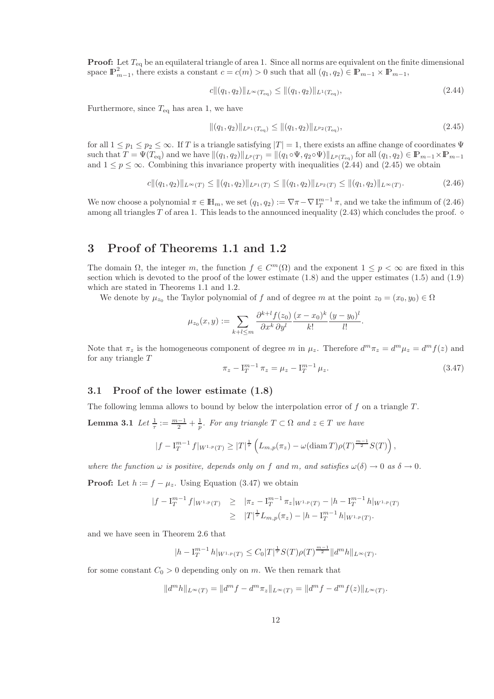**Proof:** Let  $T_{eq}$  be an equilateral triangle of area 1. Since all norms are equivalent on the finite dimensional space  $\mathbb{P}^2_{m-1}$ , there exists a constant  $c = c(m) > 0$  such that all  $(q_1, q_2) \in \mathbb{P}_{m-1} \times \mathbb{P}_{m-1}$ ,

$$
c\|(q_1, q_2)\|_{L^{\infty}(T_{\text{eq}})} \leq \|(q_1, q_2)\|_{L^{1}(T_{\text{eq}})},
$$
\n(2.44)

Furthermore, since  $T_{\text{eq}}$  has area 1, we have

$$
\|(q_1, q_2)\|_{L^{p_1}(T_{\text{eq}})} \le \|(q_1, q_2)\|_{L^{p_2}(T_{\text{eq}})},
$$
\n(2.45)

for all  $1 \leq p_1 \leq p_2 \leq \infty$ . If T is a triangle satisfying  $|T| = 1$ , there exists an affine change of coordinates  $\Psi$ such that  $T = \Psi(T_{\text{eq}})$  and we have  $\|(q_1, q_2)\|_{L^p(T)} = \|(q_1 \circ \Psi, q_2 \circ \Psi)\|_{L^p(T_{\text{eq}})}$  for all  $(q_1, q_2) \in \mathbb{P}_{m-1} \times \mathbb{P}_{m-1}$ and  $1 \le p \le \infty$ . Combining this invariance property with inequalities (2.44) and (2.45) we obtain

$$
c\|(q_1,q_2)\|_{L^{\infty}(T)} \leq \|(q_1,q_2)\|_{L^{p_1}(T)} \leq \|(q_1,q_2)\|_{L^{p_2}(T)} \leq \|(q_1,q_2)\|_{L^{\infty}(T)}.
$$
\n(2.46)

We now choose a polynomial  $\pi \in \mathbb{H}_m$ , we set  $(q_1, q_2) := \nabla \pi - \nabla I_T^{m-1} \pi$ , and we take the infimum of  $(2.46)$ among all triangles T of area 1. This leads to the announced inequality  $(2.43)$  which concludes the proof.  $\diamond$ 

# 3 Proof of Theorems 1.1 and 1.2

The domain  $\Omega$ , the integer m, the function  $f \in C^m(\Omega)$  and the exponent  $1 \leq p < \infty$  are fixed in this section which is devoted to the proof of the lower estimate  $(1.8)$  and the upper estimates  $(1.5)$  and  $(1.9)$ which are stated in Theorems 1.1 and 1.2.

We denote by  $\mu_{z_0}$  the Taylor polynomial of f and of degree m at the point  $z_0 = (x_0, y_0) \in \Omega$ 

$$
\mu_{z_0}(x,y) := \sum_{k+l \le m} \frac{\partial^{k+l} f(z_0)}{\partial x^k \partial y^l} \frac{(x-x_0)^k}{k!} \frac{(y-y_0)^l}{l!}.
$$

Note that  $\pi_z$  is the homogeneous component of degree m in  $\mu_z$ . Therefore  $d^m \pi_z = d^m \mu_z = d^m f(z)$  and for any triangle T

$$
\pi_z - \mathbf{I}_T^{m-1} \pi_z = \mu_z - \mathbf{I}_T^{m-1} \mu_z.
$$
\n(3.47)

### 3.1 Proof of the lower estimate (1.8)

The following lemma allows to bound by below the interpolation error of  $f$  on a triangle  $T$ .

**Lemma 3.1** *Let*  $\frac{1}{\tau} := \frac{m-1}{2} + \frac{1}{p}$ *. For any triangle*  $T \subset \Omega$  *and*  $z \in T$  *we have* 

$$
|f - I_T^{m-1} f|_{W^{1,p}(T)} \ge |T|^{\frac{1}{\tau}} \left( L_{m,p}(\pi_z) - \omega(\text{diam } T) \rho(T)^{\frac{m-1}{2}} S(T) \right),
$$

*where the function*  $\omega$  *is positive, depends only on* f *and* m, *and satisfies*  $\omega(\delta) \to 0$  *as*  $\delta \to 0$ *.* 

**Proof:** Let  $h := f - \mu_z$ . Using Equation (3.47) we obtain

$$
|f - I_T^{m-1} f|_{W^{1,p}(T)} \ge |\pi_z - I_T^{m-1} \pi_z|_{W^{1,p}(T)} - |h - I_T^{m-1} h|_{W^{1,p}(T)}
$$
  
 
$$
\ge |T|^{\frac{1}{\tau}} L_{m,p}(\pi_z) - |h - I_T^{m-1} h|_{W^{1,p}(T)}.
$$

and we have seen in Theorem 2.6 that

$$
|h - \mathcal{I}_T^{m-1} h|_{W^{1,p}(T)} \leq C_0 |T|^{\frac{1}{\tau}} S(T) \rho(T)^{\frac{m-1}{2}} \|d^m h\|_{L^{\infty}(T)}.
$$

for some constant  $C_0 > 0$  depending only on m. We then remark that

$$
||d^{m}h||_{L^{\infty}(T)} = ||d^{m}f - d^{m}\pi_{z}||_{L^{\infty}(T)} = ||d^{m}f - d^{m}f(z)||_{L^{\infty}(T)}.
$$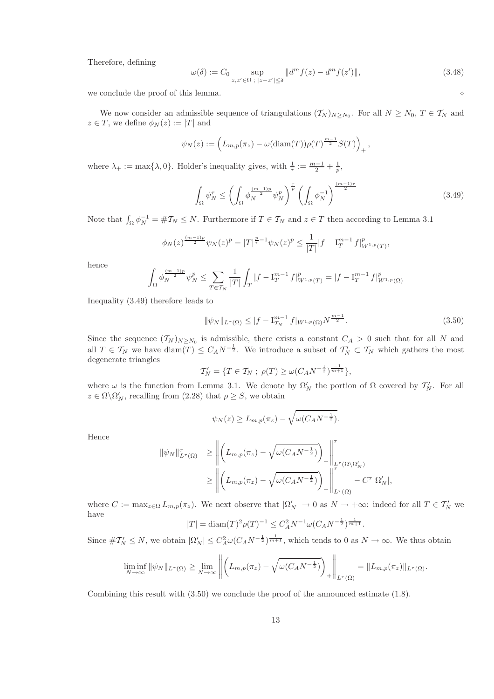Therefore, defining

$$
\omega(\delta) := C_0 \sup_{z, z' \in \Omega \; ; \; |z - z'| \le \delta} ||d^m f(z) - d^m f(z')||, \tag{3.48}
$$

we conclude the proof of this lemma.  $\Diamond$ 

We now consider an admissible sequence of triangulations  $(\mathcal{T}_N)_{N\geq N_0}$ . For all  $N\geq N_0$ ,  $T\in\mathcal{T}_N$  and  $z \in T$ , we define  $\phi_N(z) := |T|$  and

$$
\psi_N(z) := \left( L_{m,p}(\pi_z) - \omega(\text{diam}(T)) \rho(T)^{\frac{m-1}{2}} S(T) \right)_+,
$$

where  $\lambda_+ := \max\{\lambda, 0\}$ . Holder's inequality gives, with  $\frac{1}{\tau} := \frac{m-1}{2} + \frac{1}{p}$ ,

$$
\int_{\Omega} \psi_N^{\tau} \le \left( \int_{\Omega} \phi_N^{\frac{(m-1)p}{2}} \psi_N^p \right)^{\frac{\tau}{p}} \left( \int_{\Omega} \phi_N^{-1} \right)^{\frac{(m-1)\tau}{2}}
$$
\n(3.49)

Note that  $\int_{\Omega} \phi_N^{-1} = \# \mathcal{T}_N \leq N$ . Furthermore if  $T \in \mathcal{T}_N$  and  $z \in T$  then according to Lemma 3.1

$$
\phi_N(z)^{\frac{(m-1)p}{2}}\psi_N(z)^p = |T|^{\frac{p}{\tau}-1}\psi_N(z)^p \le \frac{1}{|T|}|f - \mathcal{I}_T^{m-1}f|_{W^{1,p}(T)}^p,
$$

hence

$$
\int_{\Omega} \phi_N^{\frac{(m-1)p}{2}} \psi_N^p \leq \sum_{T \in \mathcal{T}_N} \frac{1}{|T|} \int_T |f - \mathcal{I}_T^{m-1} f|_{W^{1,p}(T)}^p = |f - \mathcal{I}_T^{m-1} f|_{W^{1,p}(\Omega)}^p
$$

Inequality (3.49) therefore leads to

$$
\|\psi_N\|_{L^\tau(\Omega)} \le |f - I_{T_N}^{m-1} f|_{W^{1,p}(\Omega)} N^{\frac{m-1}{2}}.
$$
\n(3.50)

Since the sequence  $(\mathcal{T}_N)_{N \geq N_0}$  is admissible, there exists a constant  $C_A > 0$  such that for all N and all  $T \in \mathcal{T}_N$  we have  $\text{diam}(T) \leq C_A N^{-\frac{1}{2}}$ . We introduce a subset of  $\mathcal{T}'_N \subset \mathcal{T}_N$  which gathers the most degenerate triangles

$$
T'_N = \{ T \in T_N ; \ \rho(T) \ge \omega(C_A N^{-\frac{1}{2}})^{\frac{-1}{m+1}} \},\
$$

where  $\omega$  is the function from Lemma 3.1. We denote by  $\Omega'_{N}$  the portion of  $\Omega$  covered by  $\mathcal{T}'_{N}$ . For all  $z \in \Omega \backslash \Omega'_{N}$ , recalling from (2.28) that  $\rho \geq S$ , we obtain

 $\psi_N(z) \ge L_{m,p}(\pi_z) - \sqrt{\omega(C_A N^{-\frac{1}{2}})}.$ 

Hence

$$
\begin{aligned} \|\psi_N\|_{L^\tau(\Omega)}^\tau &\geq \left\| \left( L_{m,p}(\pi_z) - \sqrt{\omega(C_A N^{-\frac{1}{2}})} \right)_+ \right\|_{L^\tau(\Omega \setminus \Omega_N')}^\tau \\ &\geq \left\| \left( L_{m,p}(\pi_z) - \sqrt{\omega(C_A N^{-\frac{1}{2}})} \right)_+ \right\|_{L^\tau(\Omega)}^\tau - C^\tau |\Omega_N'|, \end{aligned}
$$

where  $C := \max_{z \in \Omega} L_{m,p}(\pi_z)$ . We next observe that  $|\Omega'_N| \to 0$  as  $N \to +\infty$ : indeed for all  $T \in \mathcal{T}'_N$  we have

$$
|T| = \text{diam}(T)^2 \rho(T)^{-1} \leq C_A^2 N^{-1} \omega (C_A N^{-\frac{1}{2}})^{\frac{1}{m+1}}.
$$

Since  $\#\mathcal{T}'_N \leq N$ , we obtain  $|\Omega'_N| \leq C_A^2 \omega (C_A N^{-\frac{1}{2}})^{\frac{1}{m+1}}$ , which tends to 0 as  $N \to \infty$ . We thus obtain

$$
\liminf_{N \to \infty} \|\psi_N\|_{L^{\tau}(\Omega)} \ge \lim_{N \to \infty} \left\| \left( L_{m,p}(\pi_z) - \sqrt{\omega(C_A N^{-\frac{1}{2}})} \right)_+ \right\|_{L^{\tau}(\Omega)} = \| L_{m,p}(\pi_z) \|_{L^{\tau}(\Omega)}.
$$

Combining this result with (3.50) we conclude the proof of the announced estimate (1.8).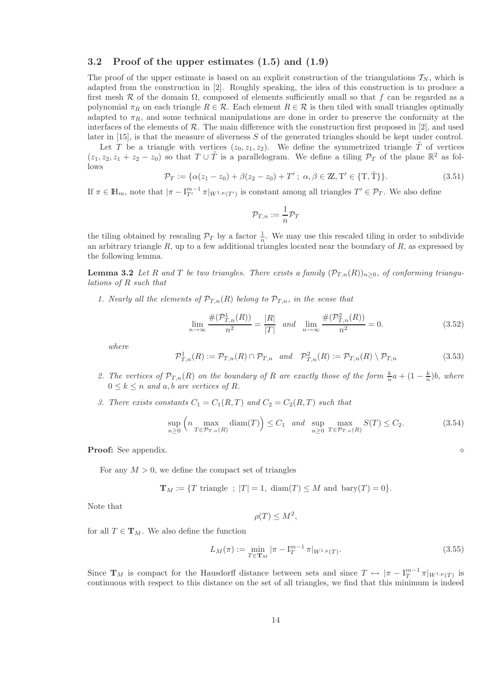### 3.2 Proof of the upper estimates (1.5) and (1.9)

The proof of the upper estimate is based on an explicit construction of the triangulations  $T_N$ , which is adapted from the construction in [2]. Roughly speaking, the idea of this construction is to produce a first mesh R of the domain  $\Omega$ , composed of elements sufficiently small so that f can be regarded as a polynomial  $\pi_R$  on each triangle  $R \in \mathcal{R}$ . Each element  $R \in \mathcal{R}$  is then tiled with small triangles optimally adapted to  $\pi_R$ , and some technical manipulations are done in order to preserve the conformity at the interfaces of the elements of  $\mathcal R$ . The main difference with the construction first proposed in [2], and used later in  $[15]$ , is that the measure of sliverness S of the generated triangles should be kept under control.

Let T be a triangle with vertices  $(z_0, z_1, z_2)$ . We define the symmetrized triangle  $\tilde{T}$  of vertices  $(z_1, z_2, z_1 + z_2 - z_0)$  so that  $T \cup \tilde{T}$  is a parallelogram. We define a tiling  $\mathcal{P}_T$  of the plane  $\mathbb{R}^2$  as follows

$$
\mathcal{P}_T := \{ \alpha(z_1 - z_0) + \beta(z_2 - z_0) + T'; \ \alpha, \beta \in \mathbb{Z}, T' \in \{T, \tilde{T}\} \}. \tag{3.51}
$$

If  $\pi \in \mathbb{H}_m$ , note that  $|\pi - \mathcal{I}_{T'}^{m-1} \pi|_{W^{1,p}(T')}$  is constant among all triangles  $T' \in \mathcal{P}_T$ . We also define

$$
\mathcal{P}_{T,n}:=\frac{1}{n}\mathcal{P}_T
$$

the tiling obtained by rescaling  $\mathcal{P}_T$  by a factor  $\frac{1}{n}$ . We may use this rescaled tiling in order to subdivide an arbitrary triangle  $R$ , up to a few additional triangles located near the boundary of  $R$ , as expressed by the following lemma.

**Lemma 3.2** *Let* R and T be two triangles. There exists a family  $(\mathcal{P}_{T,n}(R))_{n>0}$ , of conforming triangu*lations of* R *such that*

*1.* Nearly all the elements of  $\mathcal{P}_{T,n}(R)$  belong to  $\mathcal{P}_{T,n}$ , in the sense that

$$
\lim_{n \to \infty} \frac{\#(\mathcal{P}_{T,n}^1(R))}{n^2} = \frac{|R|}{|T|} \quad and \quad \lim_{n \to \infty} \frac{\#(\mathcal{P}_{T,n}^2(R))}{n^2} = 0.
$$
\n(3.52)

*where*

$$
\mathcal{P}_{T,n}^1(R) := \mathcal{P}_{T,n}(R) \cap \mathcal{P}_{T,n} \quad and \quad \mathcal{P}_{T,n}^2(R) := \mathcal{P}_{T,n}(R) \setminus \mathcal{P}_{T,n}
$$
\n
$$
(3.53)
$$

- 2. The vertices of  $\mathcal{P}_{T,n}(R)$  on the boundary of R are exactly those of the form  $\frac{k}{n}a + (1 \frac{k}{n})b$ , where  $0 \leq k \leq n$  *and a*, *b are vertices of R*.
- 3. There exists constants  $C_1 = C_1(R, T)$  and  $C_2 = C_2(R, T)$  such that

$$
\sup_{n\geq 0} \left( n \max_{T \in \mathcal{P}_{T,n}(R)} \text{diam}(T) \right) \leq C_1 \quad \text{and} \quad \sup_{n\geq 0} \max_{T \in \mathcal{P}_{T,n}(R)} S(T) \leq C_2. \tag{3.54}
$$

Proof: See appendix. ⋄

For any  $M > 0$ , we define the compact set of triangles

$$
\mathbf{T}_M := \{ T \text{ triangle } ; \ |T| = 1, \ \text{diam}(T) \le M \text{ and } \text{bary}(T) = 0 \}.
$$

Note that

$$
\rho(T) \le M^2
$$

,

for all  $T \in T_M$ . We also define the function

$$
L_M(\pi) := \min_{T \in \mathbf{T}_M} |\pi - \mathbf{I}_T^{m-1} \pi|_{W^{1,p}(T)}.
$$
\n(3.55)

Since  $\mathbf{T}_M$  is compact for the Hausdorff distance between sets and since  $T \mapsto |\pi - \mathbf{I}_T^{m-1}\pi|_{W^{1,p}(T)}$  is continuous with respect to this distance on the set of all triangles, we find that this minimum is indeed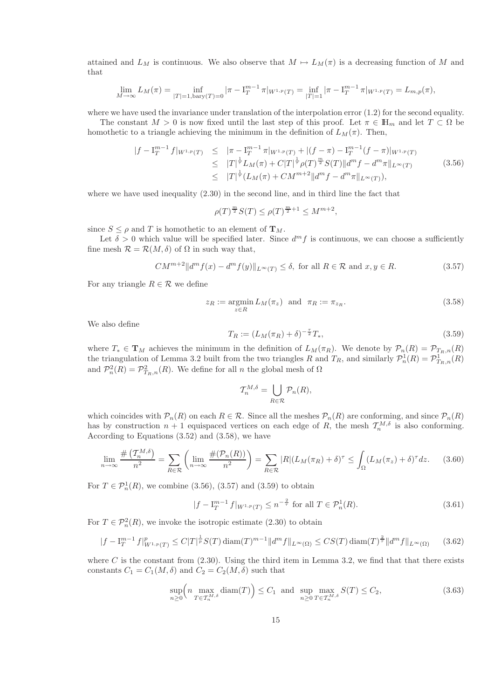attained and  $L_M$  is continuous. We also observe that  $M \mapsto L_M(\pi)$  is a decreasing function of M and that

$$
\lim_{M \to \infty} L_M(\pi) = \inf_{|T|=1, \text{bary}(T)=0} |\pi - I_T^{m-1} \pi|_{W^{1,p}(T)} = \inf_{|T|=1} |\pi - I_T^{m-1} \pi|_{W^{1,p}(T)} = L_{m,p}(\pi),
$$

where we have used the invariance under translation of the interpolation error (1.2) for the second equality. The constant  $M > 0$  is now fixed until the last step of this proof. Let  $\pi \in \mathbb{H}_m$  and let  $T \subset \Omega$  be

homothetic to a triangle achieving the minimum in the definition of  $L_M(\pi)$ . Then,

$$
\begin{split} |f - I_T^{m-1} f|_{W^{1,p}(T)} &\leq | \pi - I_T^{m-1} \pi|_{W^{1,p}(T)} + |(f - \pi) - I_T^{m-1}(f - \pi)|_{W^{1,p}(T)} \\ &\leq |T|^{\frac{1}{\tau}} L_M(\pi) + C|T|^{\frac{1}{\tau}} \rho(T)^{\frac{m}{2}} S(T) \|d^m f - d^m \pi\|_{L^\infty(T)} \\ &\leq |T|^{\frac{1}{\tau}} (L_M(\pi) + CM^{m+2} \|d^m f - d^m \pi\|_{L^\infty(T)}), \end{split} \tag{3.56}
$$

where we have used inequality  $(2.30)$  in the second line, and in third line the fact that

$$
\rho(T)^{\frac{m}{2}}S(T) \le \rho(T)^{\frac{m}{2}+1} \le M^{m+2},
$$

since  $S \leq \rho$  and T is homothetic to an element of  $\mathbf{T}_M$ .

Let  $\delta > 0$  which value will be specified later. Since  $d^m f$  is continuous, we can choose a sufficiently fine mesh  $\mathcal{R} = \mathcal{R}(M, \delta)$  of  $\Omega$  in such way that,

$$
CM^{m+2} \|d^m f(x) - d^m f(y)\|_{L^\infty(T)} \le \delta, \text{ for all } R \in \mathcal{R} \text{ and } x, y \in R. \tag{3.57}
$$

For any triangle  $R \in \mathcal{R}$  we define

$$
z_R := \underset{z \in R}{\text{argmin}} L_M(\pi_z) \quad \text{and} \quad \pi_R := \pi_{z_R}.\tag{3.58}
$$

We also define

$$
T_R := (L_M(\pi_R) + \delta)^{-\frac{\tau}{2}} T_*,
$$
\n(3.59)

where  $T_* \in \mathbf{T}_M$  achieves the minimum in the definition of  $L_M(\pi_R)$ . We denote by  $\mathcal{P}_n(R) = \mathcal{P}_{T_R,n}(R)$ the triangulation of Lemma 3.2 built from the two triangles R and  $T_R$ , and similarly  $\mathcal{P}_n^1(R) = \mathcal{P}_{T_R,n}^1(R)$ and  $\mathcal{P}_n^2(R) = \mathcal{P}_{T_R,n}^2(R)$ . We define for all n the global mesh of  $\Omega$ 

$$
\mathcal{T}_n^{M,\delta} = \bigcup_{R \in \mathcal{R}} \mathcal{P}_n(R),
$$

which coincides with  $\mathcal{P}_n(R)$  on each  $R \in \mathcal{R}$ . Since all the meshes  $\mathcal{P}_n(R)$  are conforming, and since  $\mathcal{P}_n(R)$ has by construction  $n+1$  equispaced vertices on each edge of R, the mesh  $\mathcal{T}_n^{M,\delta}$  is also conforming. According to Equations (3.52) and (3.58), we have

$$
\lim_{n \to \infty} \frac{\# \left( \mathcal{T}_n^{M,\delta} \right)}{n^2} = \sum_{R \in \mathcal{R}} \left( \lim_{n \to \infty} \frac{\# (\mathcal{P}_n(R))}{n^2} \right) = \sum_{R \in \mathcal{R}} |R| (L_M(\pi_R) + \delta)^\tau \le \int_{\Omega} (L_M(\pi_z) + \delta)^\tau dz. \tag{3.60}
$$

For  $T \in \mathcal{P}_n^1(R)$ , we combine (3.56), (3.57) and (3.59) to obtain

$$
|f - I_T^{m-1} f|_{W^{1,p}(T)} \le n^{-\frac{2}{\tau}} \text{ for all } T \in \mathcal{P}_n^1(R). \tag{3.61}
$$

For  $T \in \mathcal{P}_n^2(R)$ , we invoke the isotropic estimate (2.30) to obtain

$$
|f - I_T^{m-1} f|_{W^{1,p}(T)}^p \le C|T|^{\frac{1}{p}} S(T) \operatorname{diam}(T)^{m-1} \|d^m f\|_{L^{\infty}(\Omega)} \le CS(T) \operatorname{diam}(T)^{\frac{2}{\tau}} \|d^m f\|_{L^{\infty}(\Omega)} \tag{3.62}
$$

where C is the constant from  $(2.30)$ . Using the third item in Lemma 3.2, we find that that there exists constants  $C_1 = C_1(M, \delta)$  and  $C_2 = C_2(M, \delta)$  such that

$$
\sup_{n\geq 0} \left( n \max_{T \in \mathcal{T}_n^{M,\delta}} \text{diam}(T) \right) \leq C_1 \text{ and } \sup_{n\geq 0} \max_{T \in \mathcal{T}_n^{M,\delta}} S(T) \leq C_2,\tag{3.63}
$$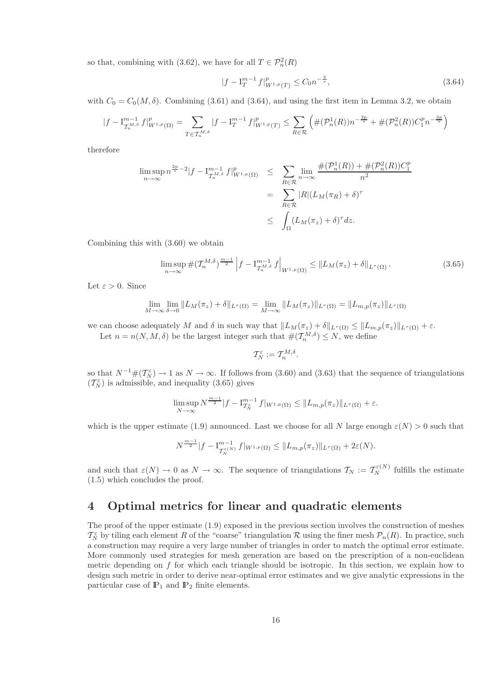so that, combining with (3.62), we have for all  $T \in \mathcal{P}_n^2(R)$ 

$$
|f - I_T^{m-1} f|_{W^{1,p}(T)}^p \le C_0 n^{-\frac{2}{\tau}},\tag{3.64}
$$

with  $C_0 = C_0(M, \delta)$ . Combining (3.61) and (3.64), and using the first item in Lemma 3.2, we obtain

$$
|f - I_{\mathcal{T}_n^{M,\delta}}^{m-1} f|_{W^{1,p}(\Omega)}^p = \sum_{T \in \mathcal{T}_n^{M,\delta}} |f - I_T^{m-1} f|_{W^{1,p}(T)}^p \le \sum_{R \in \mathcal{R}} \left( \#(\mathcal{P}_n^1(R)) n^{-\frac{2p}{\tau}} + \#(\mathcal{P}_n^2(R)) C_1^p n^{-\frac{2p}{\tau}} \right)
$$

therefore

$$
\limsup_{n \to \infty} n^{\frac{2p}{\tau} - 2} |f - I_{\mathcal{T}_n^{M, \delta}}^{m-1} f|_{W^{1, p}(\Omega)}^p \le \sum_{R \in \mathcal{R}} \lim_{n \to \infty} \frac{\#(\mathcal{P}_n^1(R)) + \#(\mathcal{P}_n^2(R))C_1^p}{n^2}
$$

$$
= \sum_{R \in \mathcal{R}} |R|(L_M(\pi_R) + \delta)^\tau
$$

$$
\le \int_{\Omega} (L_M(\pi_z) + \delta)^\tau dz.
$$

Combining this with (3.60) we obtain

$$
\limsup_{n \to \infty} \# (\mathcal{T}_n^{M,\delta})^{\frac{m-1}{2}} \left| f - I_{\mathcal{T}_n^{M,\delta}}^{m-1} f \right|_{W^{1,p}(\Omega)} \leq \| L_M(\pi_z) + \delta \|_{L^\tau(\Omega)}.
$$
\n(3.65)

Let  $\varepsilon > 0$ . Since

$$
\lim_{M \to \infty} \lim_{\delta \to 0} ||L_M(\pi_z) + \delta||_{L^{\tau}(\Omega)} = \lim_{M \to \infty} ||L_M(\pi_z)||_{L^{\tau}(\Omega)} = ||L_{m,p}(\pi_z)||_{L^{\tau}(\Omega)}
$$

we can choose adequately M and  $\delta$  in such way that  $||L_M(\pi_z) + \delta||_{L^{\tau}(\Omega)} \leq ||L_{m,p}(\pi_z)||_{L^{\tau}(\Omega)} + \varepsilon$ . Let  $n = n(N, M, \delta)$  be the largest integer such that  $\#(\mathcal{T}_n^{M, \delta}) \leq N$ , we define

$$
\mathcal{T}_N^\varepsilon:=\mathcal{T}_n^{M,\delta}
$$

.

so that  $N^{-1} \#(\mathcal{T}_{N}^{\varepsilon}) \to 1$  as  $N \to \infty$ . If follows from (3.60) and (3.63) that the sequence of triangulations  $(\mathcal{T}_N^{\varepsilon})$  is admissible, and inequality (3.65) gives

$$
\limsup_{N \to \infty} N^{\frac{m-1}{2}} |f - I_{\mathcal{T}_N^{\varepsilon}}^{m-1} f|_{W^{1,p}(\Omega)} \leq \|L_{m,p}(\pi_z)\|_{L^{\tau}(\Omega)} + \varepsilon.
$$

which is the upper estimate (1.9) announced. Last we choose for all N large enough  $\varepsilon(N) > 0$  such that

$$
N^{\frac{m-1}{2}}|f-\mathbf{I}_{\mathcal{T}_{N}^{\varepsilon(N)}}^{m-1}f|_{W^{1,p}(\Omega)} \leq \|L_{m,p}(\pi_{z})\|_{L^{\tau}(\Omega)} + 2\varepsilon(N).
$$

and such that  $\varepsilon(N) \to 0$  as  $N \to \infty$ . The sequence of triangulations  $\mathcal{T}_N := \mathcal{T}_N^{\varepsilon(N)}$  fulfills the estimate (1.5) which concludes the proof.

# 4 Optimal metrics for linear and quadratic elements

The proof of the upper estimate (1.9) exposed in the previous section involves the construction of meshes  $\mathcal{T}_N^{\varepsilon}$  by tiling each element R of the "coarse" triangulation R using the finer mesh  $\mathcal{P}_n(R)$ . In practice, such a construction may require a very large number of triangles in order to match the optimal error estimate. More commonly used strategies for mesh generation are based on the prescription of a non-euclidean metric depending on f for which each triangle should be isotropic. In this section, we explain how to design such metric in order to derive near-optimal error estimates and we give analytic expressions in the particular case of  $\mathbb{P}_1$  and  $\mathbb{P}_2$  finite elements.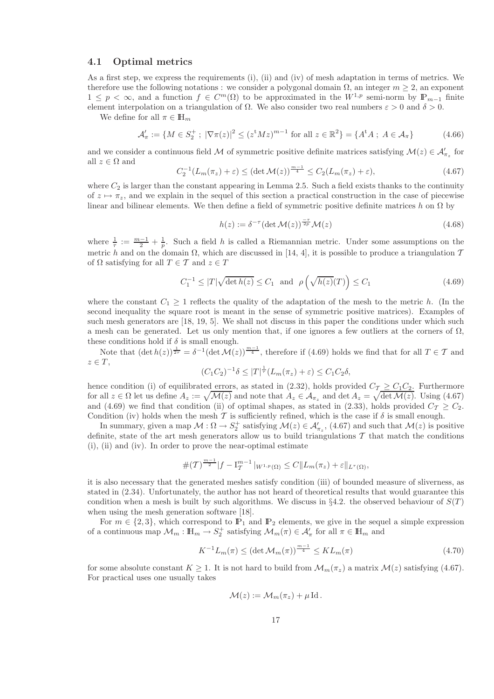### 4.1 Optimal metrics

As a first step, we express the requirements (i), (ii) and (iv) of mesh adaptation in terms of metrics. We therefore use the following notations : we consider a polygonal domain  $\Omega$ , an integer  $m \geq 2$ , an exponent  $1 \leq p < \infty$ , and a function  $f \in C^m(\Omega)$  to be approximated in the  $W^{1,p}$  semi-norm by  $\mathbb{P}_{m-1}$  finite element interpolation on a triangulation of  $\Omega$ . We also consider two real numbers  $\varepsilon > 0$  and  $\delta > 0$ .

We define for all  $\pi \in \mathbb{H}_m$ 

$$
\mathcal{A}'_{\pi} := \{ M \in S_2^+ \; ; \; |\nabla \pi(z)|^2 \le (z^t M z)^{m-1} \text{ for all } z \in \mathbb{R}^2 \} = \{ A^t A \; ; \; A \in \mathcal{A}_{\pi} \}
$$
(4.66)

and we consider a continuous field M of symmetric positive definite matrices satisfying  $\mathcal{M}(z) \in \mathcal{A}'_{\pi_z}$  for all  $z \in \Omega$  and

$$
C_2^{-1}(L_m(\pi_z)+\varepsilon) \leq (\det \mathcal{M}(z))^{\frac{m-1}{4}} \leq C_2(L_m(\pi_z)+\varepsilon), \tag{4.67}
$$

where  $C_2$  is larger than the constant appearing in Lemma 2.5. Such a field exists thanks to the continuity of  $z \mapsto \pi_z$ , and we explain in the sequel of this section a practical construction in the case of piecewise linear and bilinear elements. We then define a field of symmetric positive definite matrices h on  $\Omega$  by

$$
h(z) := \delta^{-\tau} (\det \mathcal{M}(z))^{\frac{-\tau}{2p}} \mathcal{M}(z)
$$
\n(4.68)

where  $\frac{1}{\tau} := \frac{m-1}{2} + \frac{1}{p}$ . Such a field h is called a Riemannian metric. Under some assumptions on the metric h and on the domain  $\Omega$ , which are discussed in [14, 4], it is possible to produce a triangulation  $\mathcal T$ of  $\Omega$  satisfying for all  $T \in \mathcal{T}$  and  $z \in T$ 

$$
C_1^{-1} \le |T|\sqrt{\det h(z)} \le C_1 \quad \text{and} \quad \rho\left(\sqrt{h(z)}(T)\right) \le C_1 \tag{4.69}
$$

where the constant  $C_1 \geq 1$  reflects the quality of the adaptation of the mesh to the metric h. (In the second inequality the square root is meant in the sense of symmetric positive matrices). Examples of such mesh generators are [18, 19, 5]. We shall not discuss in this paper the conditions under which such a mesh can be generated. Let us only mention that, if one ignores a few outliers at the corners of  $\Omega$ , these conditions hold if  $\delta$  is small enough.

Note that  $(\det h(z))^{\frac{1}{2\tau}} = \delta^{-1}(\det \mathcal{M}(z))^{\frac{m-1}{4}}$ , therefore if (4.69) holds we find that for all  $T \in \mathcal{T}$  and  $z \in T$ ,

$$
(C_1C_2)^{-1}\delta \le |T|^{\frac{1}{\tau}}(L_m(\pi_z)+\varepsilon) \le C_1C_2\delta,
$$

hence condition (i) of equilibrated errors, as stated in (2.32), holds provided  $C_T \geq C_1 C_2$ . Furthermore for all  $z \in \Omega$  let us define  $A_z := \sqrt{\mathcal{M}(z)}$  and note that  $A_z \in \mathcal{A}_{\pi_z}$  and det  $A_z = \sqrt{\det \mathcal{M}(z)}$ . Using (4.67) and (4.69) we find that condition (ii) of optimal shapes, as stated in (2.33), holds provided  $C_T \geq C_2$ . Condition (iv) holds when the mesh T is sufficiently refined, which is the case if  $\delta$  is small enough.

In summary, given a map  $\mathcal{M} : \Omega \to S_2^+$  satisfying  $\mathcal{M}(z) \in \mathcal{A}'_{\pi_z}$ , (4.67) and such that  $\mathcal{M}(z)$  is positive definite, state of the art mesh generators allow us to build triangulations  $\mathcal T$  that match the conditions (i), (ii) and (iv). In order to prove the near-optimal estimate

$$
\#(T)^{\frac{m-1}{2}}|f-\mathrm{I}_{T}^{m-1}|_{W^{1,p}(\Omega)}\leq C\|L_m(\pi_z)+\varepsilon\|_{L^\tau(\Omega)},
$$

it is also necessary that the generated meshes satisfy condition (iii) of bounded measure of sliverness, as stated in (2.34). Unfortunately, the author has not heard of theoretical results that would guarantee this condition when a mesh is built by such algorithms. We discuss in §4.2. the observed behaviour of  $S(T)$ when using the mesh generation software [18].

For  $m \in \{2, 3\}$ , which correspond to  $\mathbb{P}_1$  and  $\mathbb{P}_2$  elements, we give in the sequel a simple expression of a continuous map  $\mathcal{M}_m : \mathbb{H}_m \to S_2^+$  satisfying  $\mathcal{M}_m(\pi) \in \mathcal{A}'_\pi$  for all  $\pi \in \mathbb{H}_m$  and

$$
K^{-1}L_m(\pi) \le (\det \mathcal{M}_m(\pi))^{\frac{m-1}{4}} \le KL_m(\pi)
$$
\n(4.70)

for some absolute constant  $K \geq 1$ . It is not hard to build from  $\mathcal{M}_m(\pi)$  a matrix  $\mathcal{M}(z)$  satisfying (4.67). For practical uses one usually takes

$$
\mathcal{M}(z) := \mathcal{M}_m(\pi_z) + \mu \operatorname{Id}.
$$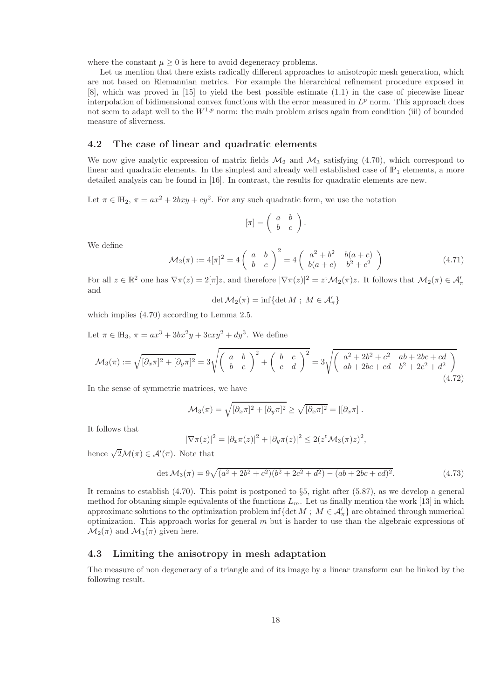where the constant  $\mu \geq 0$  is here to avoid degeneracy problems.

Let us mention that there exists radically different approaches to anisotropic mesh generation, which are not based on Riemannian metrics. For example the hierarchical refinement procedure exposed in [8], which was proved in [15] to yield the best possible estimate (1.1) in the case of piecewise linear interpolation of bidimensional convex functions with the error measured in  $L^p$  norm. This approach does not seem to adapt well to the  $W^{1,p}$  norm: the main problem arises again from condition (iii) of bounded measure of sliverness.

### 4.2 The case of linear and quadratic elements

We now give analytic expression of matrix fields  $\mathcal{M}_2$  and  $\mathcal{M}_3$  satisfying (4.70), which correspond to linear and quadratic elements. In the simplest and already well established case of  $\mathbb{P}_1$  elements, a more detailed analysis can be found in [16]. In contrast, the results for quadratic elements are new.

Let  $\pi \in \mathbb{H}_2$ ,  $\pi = ax^2 + 2bxy + cy^2$ . For any such quadratic form, we use the notation

$$
[\pi] = \left(\begin{array}{cc} a & b \\ b & c \end{array}\right).
$$

We define

$$
\mathcal{M}_2(\pi) := 4[\pi]^2 = 4\left(\begin{array}{cc} a & b \\ b & c \end{array}\right)^2 = 4\left(\begin{array}{cc} a^2 + b^2 & b(a+c) \\ b(a+c) & b^2 + c^2 \end{array}\right) \tag{4.71}
$$

For all  $z \in \mathbb{R}^2$  one has  $\nabla \pi(z) = 2[\pi]z$ , and therefore  $|\nabla \pi(z)|^2 = z^t \mathcal{M}_2(\pi)z$ . It follows that  $\mathcal{M}_2(\pi) \in \mathcal{A}'_\pi$ and

$$
\det \mathcal{M}_2(\pi) = \inf \{ \det M \; ; \; M \in \mathcal{A}'_{\pi} \}
$$

which implies (4.70) according to Lemma 2.5.

Let  $\pi \in \mathbb{H}_3$ ,  $\pi = ax^3 + 3bx^2y + 3cxy^2 + dy^3$ . We define

$$
\mathcal{M}_3(\pi) := \sqrt{[\partial_x \pi]^2 + [\partial_y \pi]^2} = 3\sqrt{\left(\begin{array}{cc} a & b \\ b & c \end{array}\right)^2 + \left(\begin{array}{cc} b & c \\ c & d \end{array}\right)^2} = 3\sqrt{\left(\begin{array}{cc} a^2 + 2b^2 + c^2 & ab + 2bc + cd \\ ab + 2bc + cd & b^2 + 2c^2 + d^2 \end{array}\right)}
$$
(4.72)

In the sense of symmetric matrices, we have

$$
\mathcal{M}_3(\pi) = \sqrt{[\partial_x \pi]^2 + [\partial_y \pi]^2} \ge \sqrt{[\partial_x \pi]^2} = |[\partial_x \pi]|.
$$

It follows that

$$
|\nabla \pi(z)|^2 = |\partial_x \pi(z)|^2 + |\partial_y \pi(z)|^2 \le 2(z^{\mathsf{t}} \mathcal{M}_3(\pi) z)^2,
$$

hence  $\sqrt{2}\mathcal{M}(\pi) \in \mathcal{A}'(\pi)$ . Note that

$$
\det \mathcal{M}_3(\pi) = 9\sqrt{(a^2 + 2b^2 + c^2)(b^2 + 2c^2 + d^2) - (ab + 2bc + cd)^2}.
$$
 (4.73)

It remains to establish  $(4.70)$ . This point is postponed to  $\S5$ , right after  $(5.87)$ , as we develop a general method for obtaning simple equivalents of the functions  $L_m$ . Let us finally mention the work [13] in which approximate solutions to the optimization problem inf{det  $M$ ;  $M \in \mathcal{A}'_{\pi}$ } are obtained through numerical optimization. This approach works for general  $m$  but is harder to use than the algebraic expressions of  $\mathcal{M}_2(\pi)$  and  $\mathcal{M}_3(\pi)$  given here.

### 4.3 Limiting the anisotropy in mesh adaptation

The measure of non degeneracy of a triangle and of its image by a linear transform can be linked by the following result.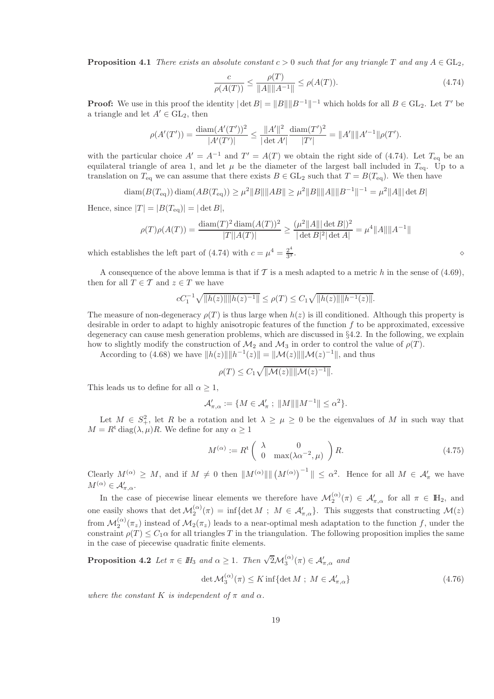**Proposition 4.1** *There exists an absolute constant*  $c > 0$  *such that for any triangle* T and any  $A \in GL_2$ .

$$
\frac{c}{\rho(A(T))} \le \frac{\rho(T)}{\|A\| \|A^{-1}\|} \le \rho(A(T)).\tag{4.74}
$$

**Proof:** We use in this proof the identity  $|\det B| = ||B|| ||B^{-1}||^{-1}$  which holds for all  $B \in GL_2$ . Let T' be a triangle and let  $A' \in GL_2$ , then

$$
\rho(A'(T')) = \frac{\text{diam}(A'(T'))^2}{|A'(T')|} \le \frac{||A'||^2}{|\det A'|} \frac{\text{diam}(T')^2}{|T'|} = ||A'|| ||A'^{-1}|| \rho(T').
$$

with the particular choice  $A' = A^{-1}$  and  $T' = A(T)$  we obtain the right side of (4.74). Let  $T_{eq}$  be an equilateral triangle of area 1, and let  $\mu$  be the diameter of the largest ball included in  $T_{eq}$ . Up to a translation on  $T_{eq}$  we can assume that there exists  $B \in GL_2$  such that  $T = B(T_{eq})$ . We then have

diam( $B(T_{\text{eq}})$ ) diam( $AB(T_{\text{eq}})$ )  $\geq \mu^2 ||B|| ||AB|| \geq \mu^2 ||B|| ||A|| ||B^{-1}||^{-1} = \mu^2 ||A|| | \det B|$ 

Hence, since  $|T| = |B(T_{eq})| = |\det B|$ ,

$$
\rho(T)\rho(A(T)) = \frac{\text{diam}(T)^2 \cdot \text{diam}(A(T))^2}{|T||A(T)|} \ge \frac{(\mu^2 ||A|| |\cdot |\det B||)^2}{|\cdot |\det B|^2 |\cdot |\det A|} = \mu^4 ||A|| ||A^{-1}||
$$

which establishes the left part of (4.74) with  $c = \mu^4 = \frac{2^4}{3^3}$ 3

 $\frac{1}{3}$ .  $\diamond$ 

A consequence of the above lemma is that if T is a mesh adapted to a metric h in the sense of (4.69), then for all  $T \in \mathcal{T}$  and  $z \in T$  we have

$$
cC_1^{-1}\sqrt{\|h(z)\|\|h(z)^{-1}\|} \le \rho(T) \le C_1\sqrt{\|h(z)\|\|h^{-1}(z)\|}.
$$

The measure of non-degeneracy  $\rho(T)$  is thus large when  $h(z)$  is ill conditioned. Although this property is desirable in order to adapt to highly anisotropic features of the function  $f$  to be approximated, excessive degeneracy can cause mesh generation problems, which are discussed in §4.2. In the following, we explain how to slightly modify the construction of  $\mathcal{M}_2$  and  $\mathcal{M}_3$  in order to control the value of  $\rho(T)$ .

According to (4.68) we have  $||h(z)|| ||h^{-1}(z)|| = ||\mathcal{M}(z)|| ||\mathcal{M}(z)^{-1}||$ , and thus

$$
\rho(T) \leq C_1 \sqrt{\|\mathcal{M}(z)\| \|\mathcal{M}(z)^{-1}\|}.
$$

This leads us to define for all  $\alpha \geq 1$ ,

$$
\mathcal{A}'_{\pi,\alpha}:=\{M\in\mathcal{A}'_\pi\;;\;\|M\|\|M^{-1}\|\le\alpha^2\}.
$$

Let  $M \in S^2_+$ , let R be a rotation and let  $\lambda \geq \mu \geq 0$  be the eigenvalues of M in such way that  $M = R^t \text{diag}(\lambda, \mu)R$ . We define for any  $\alpha \geq 1$ 

$$
M^{(\alpha)} := R^{\mathrm{t}} \left( \begin{array}{cc} \lambda & 0 \\ 0 & \max(\lambda \alpha^{-2}, \mu) \end{array} \right) R. \tag{4.75}
$$

Clearly  $M^{(\alpha)} \geq M$ , and if  $M \neq 0$  then  $||M^{(\alpha)}|| || (M^{(\alpha)})^{-1} || \leq \alpha^2$ . Hence for all  $M \in \mathcal{A}'_{\pi}$  we have  $M^{(\alpha)} \in \mathcal{A}'_{\pi,\alpha}.$ 

In the case of piecewise linear elements we therefore have  $\mathcal{M}_{2}^{(\alpha)}(\pi) \in \mathcal{A}'_{\pi,\alpha}$  for all  $\pi \in \mathbb{H}_{2}$ , and one easily shows that  $\det \mathcal{M}_2^{(\alpha)}(\pi) = \inf \{ \det M \; ; \; M \in \mathcal{A}'_{\pi,\alpha} \}.$  This suggests that constructing  $\mathcal{M}(z)$ from  $\mathcal{M}_{2}^{(\alpha)}(\pi_{z})$  instead of  $\mathcal{M}_{2}(\pi_{z})$  leads to a near-optimal mesh adaptation to the function f, under the constraint  $\rho(T) \leq C_1 \alpha$  for all triangles T in the triangulation. The following proposition implies the same in the case of piecewise quadratic finite elements.

**Proposition 4.2** *Let*  $\pi \in H_3$  *and*  $\alpha \geq 1$ *. Then*  $\sqrt{2} \mathcal{M}_3^{(\alpha)}(\pi) \in \mathcal{A}'_{\pi,\alpha}$  *and* 

$$
\det \mathcal{M}_3^{(\alpha)}(\pi) \le K \inf \{ \det M \; ; \; M \in \mathcal{A}'_{\pi,\alpha} \} \tag{4.76}
$$

*where the constant* K *is independent* of  $\pi$  *and*  $\alpha$ *.*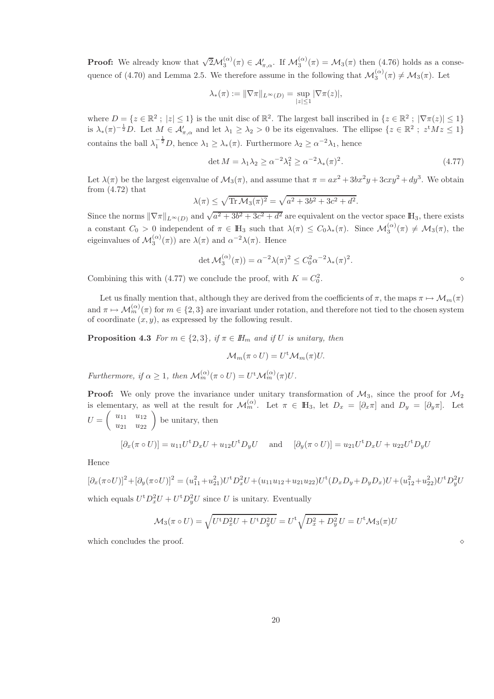**Proof:** We already know that  $\sqrt{2} \mathcal{M}_{3}^{(\alpha)}(\pi) \in \mathcal{A}'_{\pi,\alpha}$ . If  $\mathcal{M}_{3}^{(\alpha)}(\pi) = \mathcal{M}_{3}(\pi)$  then (4.76) holds as a consequence of (4.70) and Lemma 2.5. We therefore assume in the following that  $\mathcal{M}_{3}^{(\alpha)}(\pi) \neq \mathcal{M}_{3}(\pi)$ . Let

$$
\lambda_*(\pi) := \|\nabla \pi\|_{L^{\infty}(D)} = \sup_{|z| \le 1} |\nabla \pi(z)|,
$$

where  $D = \{z \in \mathbb{R}^2 \, ; \, |z| \leq 1\}$  is the unit disc of  $\mathbb{R}^2$ . The largest ball inscribed in  $\{z \in \mathbb{R}^2 \, ; \, |\nabla \pi(z)| \leq 1\}$ is  $\lambda_*(\pi)^{-\frac{1}{2}}D$ . Let  $M \in \mathcal{A}'_{\pi,\alpha}$  and let  $\lambda_1 \geq \lambda_2 > 0$  be its eigenvalues. The ellipse  $\{z \in \mathbb{R}^2 \; ; \; z^t M z \leq 1\}$ contains the ball  $\lambda_1^{-\frac{1}{2}}D$ , hence  $\lambda_1 \geq \lambda_*(\pi)$ . Furthermore  $\lambda_2 \geq \alpha^{-2}\lambda_1$ , hence

$$
\det M = \lambda_1 \lambda_2 \ge \alpha^{-2} \lambda_1^2 \ge \alpha^{-2} \lambda_*(\pi)^2. \tag{4.77}
$$

Let  $\lambda(\pi)$  be the largest eigenvalue of  $\mathcal{M}_3(\pi)$ , and assume that  $\pi = ax^2 + 3bx^2y + 3cxy^2 + dy^3$ . We obtain from  $(4.72)$  that

$$
\lambda(\pi) \le \sqrt{\text{Tr } \mathcal{M}_3(\pi)^2} = \sqrt{a^2 + 3b^2 + 3c^2 + d^2}.
$$

Since the norms  $\|\nabla \pi\|_{L^{\infty}(D)}$  and  $\sqrt{a^2 + 3b^2 + 3c^2 + d^2}$  are equivalent on the vector space  $\mathbb{H}_3$ , there exists a constant  $C_0 > 0$  independent of  $\pi \in \mathbb{H}_3$  such that  $\lambda(\pi) \leq C_0 \lambda_*(\pi)$ . Since  $\mathcal{M}_3^{(\alpha)}(\pi) \neq \mathcal{M}_3(\pi)$ , the eigeinvalues of  $\mathcal{M}_3^{(\alpha)}(\pi)$  are  $\lambda(\pi)$  and  $\alpha^{-2}\lambda(\pi)$ . Hence

$$
\det \mathcal{M}_3^{(\alpha)}(\pi)) = \alpha^{-2} \lambda(\pi)^2 \le C_0^2 \alpha^{-2} \lambda_*(\pi)^2.
$$

Combining this with (4.77) we conclude the proof, with  $K = C_0^2$ 

Let us finally mention that, although they are derived from the coefficients of  $\pi$ , the maps  $\pi \mapsto \mathcal{M}_m(\pi)$ and  $\pi \mapsto \mathcal{M}_m^{(\alpha)}(\pi)$  for  $m \in \{2,3\}$  are invariant under rotation, and therefore not tied to the chosen system of coordinate  $(x, y)$ , as expressed by the following result.

**Proposition 4.3** *For*  $m \in \{2, 3\}$ *, if*  $\pi \in I\!H_m$  *and if* U *is unitary, then* 

$$
\mathcal{M}_m(\pi \circ U) = U^{\mathrm{t}} \mathcal{M}_m(\pi) U.
$$

*Furthermore, if*  $\alpha \geq 1$ *, then*  $\mathcal{M}_m^{(\alpha)}(\pi \circ U) = U^{\dagger} \mathcal{M}_m^{(\alpha)}(\pi)U$ .

**Proof:** We only prove the invariance under unitary transformation of  $M_3$ , since the proof for  $M_2$ is elementary, as well at the result for  $\mathcal{M}_m^{(\alpha)}$ . Let  $\pi \in \mathbb{H}_3$ , let  $D_x = [\partial_x \pi]$  and  $D_y = [\partial_y \pi]$ . Let  $U =$  $\begin{pmatrix} u_{11} & u_{12} \\ u_{21} & u_{22} \end{pmatrix}$  be unitary, then

$$
[\partial_x(\pi \circ U)] = u_{11}U^{\dagger}D_xU + u_{12}U^{\dagger}D_yU \quad \text{and} \quad [\partial_y(\pi \circ U)] = u_{21}U^{\dagger}D_xU + u_{22}U^{\dagger}D_yU
$$

Hence

 $[\partial_x(\pi \circ U)]^2 + [\partial_y(\pi \circ U)]^2 = (u_{11}^2 + u_{21}^2)U^{\dagger}D_x^2U + (u_{11}u_{12} + u_{21}u_{22})U^{\dagger}(D_xD_y + D_yD_x)U + (u_{12}^2 + u_{22}^2)U^{\dagger}D_y^2U$ which equals  $U^{\text{t}} D_x^2 U + U^{\text{t}} D_y^2 U$  since U is unitary. Eventually

$$
\mathcal{M}_3(\pi \circ U) = \sqrt{U^{\dagger} D_x^2 U + U^{\dagger} D_y^2 U} = U^{\dagger} \sqrt{D_x^2 + D_y^2} U = U^{\dagger} \mathcal{M}_3(\pi) U
$$

which concludes the proof.  $\Diamond$ 

 $\bullet$   $\circ$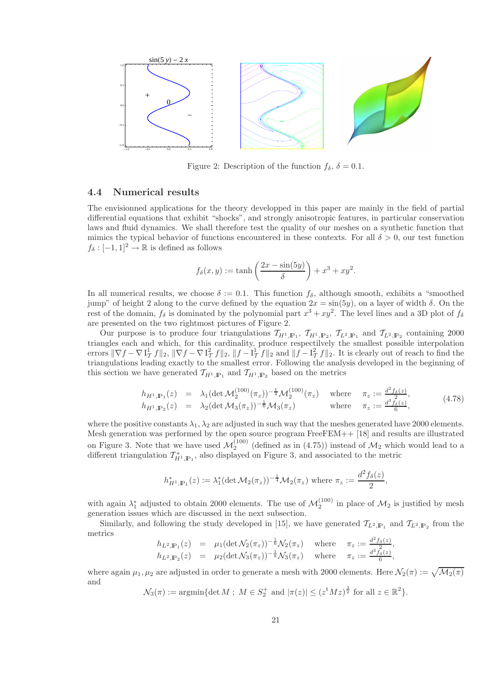

Figure 2: Description of the function  $f_{\delta}$ ,  $\delta = 0.1$ .

### 4.4 Numerical results

The envisionned applications for the theory developped in this paper are mainly in the field of partial differential equations that exhibit "shocks", and strongly anisotropic features, in particular conservation laws and fluid dynamics. We shall therefore test the quality of our meshes on a synthetic function that mimics the typical behavior of functions encountered in these contexts. For all  $\delta > 0$ , our test function  $f_\delta : [-1, 1]^2 \to \mathbb{R}$  is defined as follows

$$
f_{\delta}(x, y) := \tanh\left(\frac{2x - \sin(5y)}{\delta}\right) + x^3 + xy^2.
$$

In all numerical results, we choose  $\delta := 0.1$ . This function  $f_{\delta}$ , although smooth, exhibits a "smoothed jump" of height 2 along to the curve defined by the equation  $2x = \sin(5y)$ , on a layer of width  $\delta$ . On the rest of the domain,  $f_\delta$  is dominated by the polynomial part  $x^3 + xy^2$ . The level lines and a 3D plot of  $f_\delta$ are presented on the two rightmost pictures of Figure 2.

Our purpose is to produce four triangulations  $\mathcal{T}_{H^1,\mathbb{P}_1}$ ,  $\mathcal{T}_{H^1,\mathbb{P}_2}$ ,  $\mathcal{T}_{L^2,\mathbb{P}_1}$  and  $\mathcal{T}_{L^2,\mathbb{P}_2}$  containing 2000 triangles each and which, for this cardinality, produce respectilvely the smallest possible interpolation errors  $\|\nabla f - \nabla I_T^1 f\|_2$ ,  $\|\nabla f - \nabla I_T^2 f\|_2$ ,  $\|f - I_T^1 f\|_2$  and  $\|f - I_T^2 f\|_2$ . It is clearly out of reach to find the triangulations leading exactly to the smallest error. Following the analysis developed in the beginning of this section we have generated  $\mathcal{T}_{H^1,\mathbb{P}_1}$  and  $\mathcal{T}_{H^1,\mathbb{P}_2}$  based on the metrics

$$
h_{H^1,\mathbb{P}_1}(z) = \lambda_1 (\det \mathcal{M}_2^{(100)}(\pi_z))^{-\frac{1}{4}} \mathcal{M}_2^{(100)}(\pi_z) \quad \text{where} \quad \pi_z := \frac{d^2 f_\delta(z)}{2}, h_{H^1,\mathbb{P}_2}(z) = \lambda_2 (\det \mathcal{M}_3(\pi_z))^{-\frac{1}{6}} \mathcal{M}_3(\pi_z) \quad \text{where} \quad \pi_z := \frac{d^3 f_\delta(z)}{6},
$$
 (4.78)

where the positive constants  $\lambda_1, \lambda_2$  are adjusted in such way that the meshes generated have 2000 elements. Mesh generation was performed by the open source program FreeFEM++ [18] and results are illustrated on Figure 3. Note that we have used  $\mathcal{M}_2^{(100)}$  (defined as in (4.75)) instead of  $\mathcal{M}_2$  which would lead to a different triangulation  $\mathcal{T}_{H^1,\mathbb{P}_1}^*$ , also displayed on Figure 3, and associated to the metric

$$
h_{H^1,\mathbb{P}_1}^*(z) := \lambda_1^* (\det \mathcal{M}_2(\pi_z))^{-\frac{1}{4}} \mathcal{M}_2(\pi_z) \text{ where } \pi_z := \frac{d^2 f_\delta(z)}{2},
$$

with again  $\lambda_1^*$  adjusted to obtain 2000 elements. The use of  $\mathcal{M}_2^{(100)}$  in place of  $\mathcal{M}_2$  is justified by mesh generation issues which are discussed in the next subsection.

Similarly, and following the study developed in [15], we have generated  $\mathcal{T}_{L^2,\mathbb{P}_1}$  and  $\mathcal{T}_{L^2,\mathbb{P}_2}$  from the metrics

$$
h_{L^2,\mathbb{P}_1}(z) = \mu_1(\det \mathcal{N}_2(\pi_z))^{-\frac{1}{6}} \mathcal{N}_2(\pi_z) \quad \text{where} \quad \pi_z := \frac{d^2 f_\delta(z)}{2}, h_{L^2,\mathbb{P}_2}(z) = \mu_2(\det \mathcal{N}_3(\pi_z))^{-\frac{1}{8}} \mathcal{N}_3(\pi_z) \quad \text{where} \quad \pi_z := \frac{d^3 f_\delta(z)}{6},
$$

where again  $\mu_1, \mu_2$  are adjusted in order to generate a mesh with 2000 elements. Here  $\mathcal{N}_2(\pi) := \sqrt{\mathcal{M}_2(\pi)}$ and

 $\mathcal{N}_3(\pi) := \operatorname{argmin} \{ \det M \; ; \; M \in S_2^+ \text{ and } |\pi(z)| \leq (z^t M z)^{\frac{3}{2}} \text{ for all } z \in \mathbb{R}^2 \}.$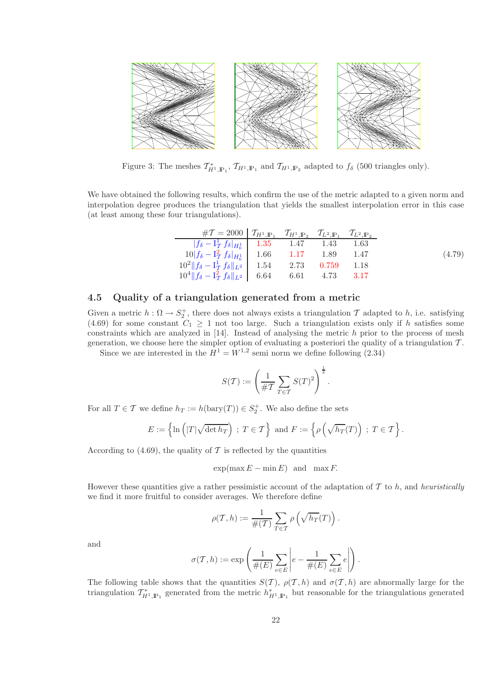

Figure 3: The meshes  $\mathcal{T}_{H^1,\mathbb{P}_1}^*$ ,  $\mathcal{T}_{H^1,\mathbb{P}_1}$  and  $\mathcal{T}_{H^1,\mathbb{P}_2}$  adapted to  $f_\delta$  (500 triangles only).

We have obtained the following results, which confirm the use of the metric adapted to a given norm and interpolation degree produces the triangulation that yields the smallest interpolation error in this case (at least among these four triangulations).

| $\#T = 2000 \int T_{H^1,\mathbb{P}_1}$ $T_{H^1,\mathbb{P}_2}$ $T_{L^2,\mathbb{P}_1}$ $T_{L^2,\mathbb{P}_2}$ |  |  |        |
|-------------------------------------------------------------------------------------------------------------|--|--|--------|
| $ f_{\delta} - I_T^1 f_{\delta} _{H_0^1}$ 1.35 1.47 1.43 1.63                                               |  |  |        |
| $10 f_{\delta}-\mathbf{I}_{\mathcal{T}}^2 f_{\delta} _{H_0^1}$ 1.66 1.17 1.89 1.47                          |  |  | (4.79) |
| $10^2 \  f_{\delta} - I_T^1 f_{\delta} \ _{L^2}^{\circ}$   1.54 2.73 0.759 1.18                             |  |  |        |
| $10^4 \  f_\delta - I_T^2 f_\delta \ _{L^2}$ 6.64 6.61 4.73 3.17                                            |  |  |        |

### 4.5 Quality of a triangulation generated from a metric

Given a metric  $h: \Omega \to S_2^+$ , there does not always exists a triangulation T adapted to h, i.e. satisfying (4.69) for some constant  $C_1 \geq 1$  not too large. Such a triangulation exists only if h satisfies some constraints which are analyzed in  $[14]$ . Instead of analysing the metric h prior to the process of mesh generation, we choose here the simpler option of evaluating a posteriori the quality of a triangulation  $T$ .

Since we are interested in the  $H^1 = W^{1,2}$  semi norm we define following (2.34)

$$
S(\mathcal{T}):=\left(\frac{1}{\#\mathcal{T}}\sum_{T\in\mathcal{T}}S(T)^2\right)^{\frac{1}{2}}.
$$

For all  $T \in \mathcal{T}$  we define  $h_T := h(\text{bary}(T)) \in S_2^+$ . We also define the sets

$$
E := \left\{ \ln \left( |T| \sqrt{\det h_T} \right) ; T \in \mathcal{T} \right\} \text{ and } F := \left\{ \rho \left( \sqrt{h_T}(T) \right) ; T \in \mathcal{T} \right\}.
$$

According to (4.69), the quality of  $\mathcal T$  is reflected by the quantities

$$
\exp(\max E - \min E) \text{ and } \max F.
$$

However these quantities give a rather pessimistic account of the adaptation of  $\mathcal T$  to h, and *heuristically* we find it more fruitful to consider averages. We therefore define

$$
\rho(\mathcal{T},h):=\frac{1}{\#(\mathcal{T})}\sum_{T\in\mathcal{T}}\rho\left(\sqrt{h_T}(T)\right)
$$

.

and

$$
\sigma(\mathcal{T},h):=\exp\left(\frac{1}{\#(E)}\sum_{e\in E}\left|e-\frac{1}{\#(E)}\sum_{e\in E}e\right|\right).
$$

The following table shows that the quantities  $S(\mathcal{T})$ ,  $\rho(\mathcal{T}, h)$  and  $\sigma(\mathcal{T}, h)$  are abnormally large for the triangulation  $\mathcal{T}_{H^1,\mathbb{P}_1}^*$  generated from the metric  $h_{H^1,\mathbb{P}_1}^*$  but reasonable for the triangulations generated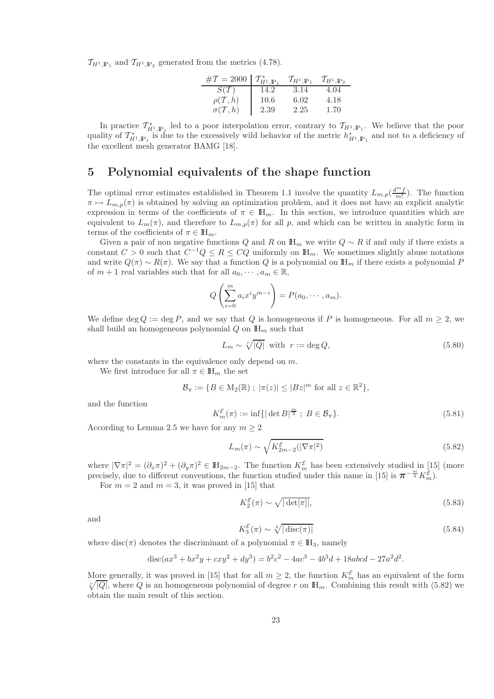$\mathcal{T}_{H^1,\mathbb{P}_1}$  and  $\mathcal{T}_{H^1,\mathbb{P}_2}$  generated from the metrics (4.78).

| # $\mathcal{T} = 2000 \mid \mathcal{T}_{H^1,\mathbb{P}_1}^*$ |      | $\mathcal{T}_{H^1,\mathbb{P}_1}$ | $\tau_{_{H^1,\mathbb{P}_2}}$ |
|--------------------------------------------------------------|------|----------------------------------|------------------------------|
| $S(\mathcal{T})$                                             | 14.2 | 3.14                             | 4.04                         |
| $\rho(\mathcal{T},h)$                                        | 10.6 | 6.02                             | 4.18                         |
| $\sigma(\mathcal{T},h)$                                      | 2.39 | 2.25                             | 1.70                         |

In practice  $\mathcal{T}_{H^1,\mathbb{P}_1}^*$  led to a poor interpolation error, contrary to  $\mathcal{T}_{H^1,\mathbb{P}_1}$ . We believe that the poor quality of  $\mathcal{T}_{H^1,\mathbb{P}_1}^*$  is due to the excessively wild behavior of the metric  $h_{H^1,\mathbb{P}_1}^*$  and not to a deficiency of the excellent mesh generator BAMG [18].

# 5 Polynomial equivalents of the shape function

The optimal error estimates established in Theorem 1.1 involve the quantity  $L_{m,p}(\frac{d^m f}{m!})$ . The function  $\pi \mapsto L_{m,p}(\pi)$  is obtained by solving an optimization problem, and it does not have an explicit analytic expression in terms of the coefficients of  $\pi \in \mathbb{H}_m$ . In this section, we introduce quantities which are equivalent to  $L_m(\pi)$ , and therefore to  $L_{m,p}(\pi)$  for all p, and which can be written in analytic form in terms of the coefficients of  $\pi \in \mathbb{H}_m$ .

Given a pair of non negative functions Q and R on  $\mathbb{H}_m$  we write  $Q \sim R$  if and only if there exists a constant  $C > 0$  such that  $C^{-1}Q \leq R \leq CQ$  uniformly on  $\mathbb{H}_m$ . We sometimes slightly abuse notations and write  $Q(\pi) \sim R(\pi)$ . We say that a function Q is a polynomial on  $\mathbb{H}_m$  if there exists a polynomial P of  $m + 1$  real variables such that for all  $a_0, \dots, a_m \in \mathbb{R}$ ,

$$
Q\left(\sum_{i=0}^m a_i x^i y^{m-i}\right) = P(a_0, \cdots, a_m).
$$

We define deg  $Q := \deg P$ , and we say that Q is homogeneous if P is homogeneous. For all  $m \geq 2$ , we shall build an homogeneous polynomial  $Q$  on  $\mathbb{H}_m$  such that

$$
L_m \sim \sqrt[r]{|Q|} \text{ with } r := \deg Q,\tag{5.80}
$$

where the constants in the equivalence only depend on m.

We first introduce for all  $\pi \in \mathbb{H}_m$  the set

$$
\mathcal{B}_{\pi} := \{ B \in M_2(\mathbb{R}) ; \ |\pi(z)| \leq |Bz|^m \text{ for all } z \in \mathbb{R}^2 \},
$$

and the function

$$
K_m^{\mathcal{E}}(\pi) := \inf\{|\det B|^{\frac{m}{2}} \; ; \; B \in \mathcal{B}_{\pi}\}.
$$
\n
$$
(5.81)
$$

According to Lemma 2.5 we have for any  $m \geq 2$ 

$$
L_m(\pi) \sim \sqrt{K_{2m-2}^{\mathcal{E}}(|\nabla \pi|^2)}
$$
\n(5.82)

where  $|\nabla \pi|^2 = (\partial_x \pi)^2 + (\partial_y \pi)^2 \in \mathbb{H}_{2m-2}$ . The function  $K_m^{\mathcal{E}}$  has been extensively studied in [15] (more precisely, due to different conventions, the function studied under this name in [15] is  $\pi^{-\frac{m}{2}}K_m^{\xi}$ .

For  $m = 2$  and  $m = 3$ , it was proved in [15] that

$$
K_2^{\mathcal{E}}(\pi) \sim \sqrt{|\det[\pi]|},\tag{5.83}
$$

and

$$
K_3^{\mathcal{E}}(\pi) \sim \sqrt[4]{|\operatorname{disc}(\pi)|}\tag{5.84}
$$

where disc( $\pi$ ) denotes the discriminant of a polynomial  $\pi \in \mathbb{H}_3$ , namely

$$
disc(ax^3 + bx^2y + cxy^2 + dy^3) = b^2c^2 - 4ac^3 - 4b^3d + 18abcd - 27a^2d^2.
$$

More generally, it was proved in [15] that for all  $m \geq 2$ , the function  $K_m^{\mathcal{E}}$  has an equivalent of the form  $\sqrt[r]{|Q|}$ , where Q is an homogeneous polynomial of degree r on  $\mathbb{H}_m$ . Combining this result with (5.82) we obtain the main result of this section.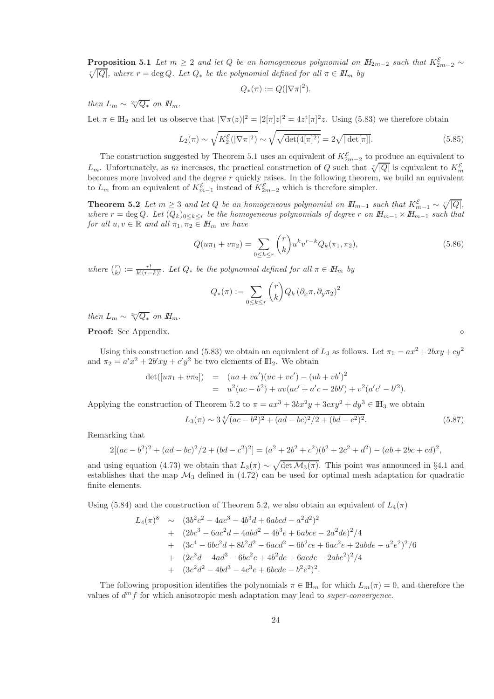**Proposition 5.1** *Let*  $m \geq 2$  *and let*  $Q$  *be an homogeneous polynomial on*  $H_{2m-2}$  *such that*  $K_{2m-2}^{\mathcal{E}} \sim \sqrt{\frac{\mathcal{E}}{\mathcal{E}} \mathcal{E}}$  *phere*  $r = \text{deg } Q$ . Let  $Q_x$  be the polynomial defined for all  $\pi \in H_m$  by  $\sqrt[T]{|Q|}$ , where  $r = \deg Q$ . Let  $Q_*$  be the polynomial defined for all  $\pi \in H_m$  by

$$
Q_*(\pi) := Q(|\nabla \pi|^2).
$$

*then*  $L_m \sim \sqrt[2r]{Q_*}$  *on*  $H_m$ .

Let  $\pi \in \mathbb{H}_2$  and let us observe that  $|\nabla \pi(z)|^2 = |2[\pi]z|^2 = 4z^t[\pi]^2z$ . Using (5.83) we therefore obtain

$$
L_2(\pi) \sim \sqrt{K_2^{\mathcal{E}}(|\nabla \pi|^2)} \sim \sqrt{\sqrt{\det(4[\pi]^2)}} = 2\sqrt{|\det[\pi]|}.
$$
 (5.85)

The construction suggested by Theorem 5.1 uses an equivalent of  $K_{2m-2}^{\mathcal{E}}$  to produce an equivalent to  $L_m$ . Unfortunately, as m increases, the practical construction of Q such that  $\sqrt[n]{|Q|}$  is equivalent to  $K_m^{\mathcal{E}}$ becomes more involved and the degree  $r$  quickly raises. In the following theorem, we build an equivalent to  $L_m$  from an equivalent of  $K_{m-1}^{\mathcal{E}}$  instead of  $K_{2m-2}^{\mathcal{E}}$  which is therefore simpler.

Theorem 5.2 *Let*  $m \geq 3$  *and let*  $Q$  *be an homogeneous polynomial on*  $H_{m-1}$  *such that*  $K_{m-1}^{\mathcal{E}} \sim \sqrt[m]{|Q|}$ *, where*  $r = \deg Q$ . Let  $(Q_k)_{0 \leq k \leq r}$  *be the homogeneous polynomials of degree* r *on*  $H_{m-1} \times H_{m-1}$  *such that for all*  $u, v \in \mathbb{R}$  *and all*  $\pi_1, \pi_2 \in \mathbb{H}_m$  *we have* 

$$
Q(u\pi_1 + v\pi_2) = \sum_{0 \le k \le r} {r \choose k} u^k v^{r-k} Q_k(\pi_1, \pi_2),
$$
\n(5.86)

where  $\binom{r}{k} := \frac{r!}{k!(r-k)!}$ . Let  $Q_*$  be the polynomial defined for all  $\pi \in H_m$  by

$$
Q_*(\pi) := \sum_{0 \le k \le r} {r \choose k} Q_k (\partial_x \pi, \partial_y \pi_2)^2
$$

*then*  $L_m \sim \sqrt[2r]{Q_*}$  *on*  $H_m$ .

Proof: See Appendix. ⋄

Using this construction and (5.83) we obtain an equivalent of  $L_3$  as follows. Let  $\pi_1 = ax^2 + 2bxy + cy^2$ and  $\pi_2 = a'x^2 + 2b'xy + c'y^2$  be two elements of  $\mathbb{H}_2$ . We obtain

$$
det([u\pi_1 + v\pi_2]) = (ua + va')(uc + vc') - (ub + vb')^2
$$
  
= 
$$
u^2(ac - b^2) + uv(ac' + a'c - 2bb') + v^2(a'c' - b'^2).
$$

Applying the construction of Theorem 5.2 to  $\pi = ax^3 + 3bx^2y + 3cxy^2 + dy^3 \in \mathbb{H}_3$  we obtain

$$
L_3(\pi) \sim 3\sqrt[4]{(ac - b^2)^2 + (ad - bc)^2/2 + (bd - c^2)^2}.
$$
 (5.87)

Remarking that

$$
2[(ac-b2)2 + (ad-bc)2/2 + (bd-c2)2] = (a2 + 2b2 + c2)(b2 + 2c2 + d2) - (ab+2bc+cd)2,
$$

and using equation (4.73) we obtain that  $L_3(\pi) \sim \sqrt{\det M_3(\pi)}$ . This point was announced in §4.1 and establishes that the map  $\mathcal{M}_3$  defined in (4.72) can be used for optimal mesh adaptation for quadratic finite elements.

Using (5.84) and the construction of Theorem 5.2, we also obtain an equivalent of  $L_4(\pi)$ 

$$
L_4(\pi)^8 \sim (3b^2c^2 - 4ac^3 - 4b^3d + 6abcd - a^2d^2)^2
$$
  
+ 
$$
(2bc^3 - 6ac^2d + 4abd^2 - 4b^3e + 6abce - 2a^2de)^2/4
$$
  
+ 
$$
(3c^4 - 6bc^2d + 8b^2d^2 - 6acd^2 - 6b^2ce + 6ac^2e + 2abde - a^2e^2)^2/6
$$
  
+ 
$$
(2c^3d - 4ad^3 - 6bc^2e + 4b^2de + 6acde - 2abe^2)^2/4
$$
  
+ 
$$
(3c^2d^2 - 4bd^3 - 4c^3e + 6bcde - b^2e^2)^2.
$$

The following proposition identifies the polynomials  $\pi \in \mathbb{H}_m$  for which  $L_m(\pi) = 0$ , and therefore the values of  $d^{m} f$  for which anisotropic mesh adaptation may lead to *super-convergence*.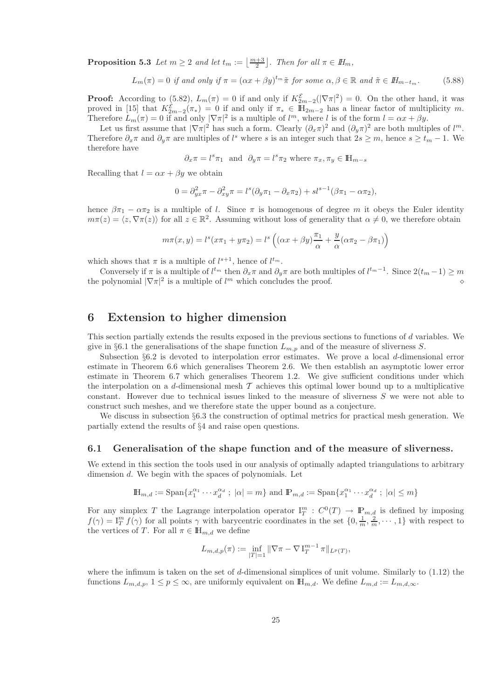**Proposition 5.3** *Let*  $m \geq 2$  *and let*  $t_m := \left\lfloor \frac{m+3}{2} \right\rfloor$ *. Then for all*  $\pi \in H_m$ *,* 

$$
L_m(\pi) = 0 \text{ if and only if } \pi = (\alpha x + \beta y)^{t_m} \tilde{\pi} \text{ for some } \alpha, \beta \in \mathbb{R} \text{ and } \tilde{\pi} \in I\!H_{m-t_m}. \tag{5.88}
$$

**Proof:** According to (5.82),  $L_m(\pi) = 0$  if and only if  $K_{2m-2}^{\mathcal{E}}(|\nabla \pi|^2) = 0$ . On the other hand, it was proved in [15] that  $K_{2m-2}^{\mathcal{E}}(\pi_*)=0$  if and only if  $\pi_* \in \mathbb{H}_{2m-2}$  has a linear factor of multiplicity m. Therefore  $L_m(\pi) = 0$  if and only  $|\nabla \pi|^2$  is a multiple of  $l^m$ , where l is of the form  $l = \alpha x + \beta y$ .

Let us first assume that  $|\nabla \pi|^2$  has such a form. Clearly  $(\partial_x \pi)^2$  and  $(\partial_y \pi)^2$  are both multiples of  $l^m$ . Therefore  $\partial_x \pi$  and  $\partial_y \pi$  are multiples of l<sup>s</sup> where s is an integer such that  $2s \geq m$ , hence  $s \geq t_m - 1$ . We therefore have

$$
\partial_x \pi = l^s \pi_1
$$
 and  $\partial_y \pi = l^s \pi_2$  where  $\pi_x, \pi_y \in \mathbb{H}_{m-s}$ 

Recalling that  $l = \alpha x + \beta y$  we obtain

$$
0 = \partial_{yx}^2 \pi - \partial_{xy}^2 \pi = l^s(\partial_y \pi_1 - \partial_x \pi_2) + sl^{s-1}(\beta \pi_1 - \alpha \pi_2),
$$

hence  $\beta \pi_1 - \alpha \pi_2$  is a multiple of l. Since  $\pi$  is homogenous of degree m it obeys the Euler identity  $m\pi(z) = \langle z, \nabla \pi(z) \rangle$  for all  $z \in \mathbb{R}^2$ . Assuming without loss of generality that  $\alpha \neq 0$ , we therefore obtain

$$
m\pi(x,y) = l^s(x\pi_1 + y\pi_2) = l^s\left((\alpha x + \beta y)\frac{\pi_1}{\alpha} + \frac{y}{\alpha}(\alpha\pi_2 - \beta\pi_1)\right)
$$

which shows that  $\pi$  is a multiple of  $l^{s+1}$ , hence of  $l^{t_m}$ .

Conversely if  $\pi$  is a multiple of  $l^{t_m}$  then  $\partial_x \pi$  and  $\partial_y \pi$  are both multiples of  $l^{t_m-1}$ . Since  $2(t_m-1) \geq m$ the polynomial  $|\nabla \pi|^2$  is a multiple of  $l^m$  which concludes the proof.  $\diamond$ 

# 6 Extension to higher dimension

This section partially extends the results exposed in the previous sections to functions of d variables. We give in §6.1 the generalisations of the shape function  $L_{m,p}$  and of the measure of sliverness S.

Subsection §6.2 is devoted to interpolation error estimates. We prove a local d-dimensional error estimate in Theorem 6.6 which generalises Theorem 2.6. We then establish an asymptotic lower error estimate in Theorem 6.7 which generalises Theorem 1.2. We give sufficient conditions under which the interpolation on a d-dimensional mesh  $\mathcal T$  achieves this optimal lower bound up to a multiplicative constant. However due to technical issues linked to the measure of sliverness S we were not able to construct such meshes, and we therefore state the upper bound as a conjecture.

We discuss in subsection §6.3 the construction of optimal metrics for practical mesh generation. We partially extend the results of §4 and raise open questions.

### 6.1 Generalisation of the shape function and of the measure of sliverness.

We extend in this section the tools used in our analysis of optimally adapted triangulations to arbitrary dimension d. We begin with the spaces of polynomials. Let

$$
\mathbb{H}_{m,d}:=\mathrm{Span}\{x_1^{\alpha_1}\cdots x_d^{\alpha_d}~;~|\alpha|=m\}~\text{and}~\mathbb{P}_{m,d}:=\mathrm{Span}\{x_1^{\alpha_1}\cdots x_d^{\alpha_d}~;~|\alpha|\leq m\}
$$

For any simplex T the Lagrange interpolation operator  $I_T^m$ :  $C^0(T) \to \mathbb{P}_{m,d}$  is defined by imposing  $f(\gamma) = I_T^m f(\gamma)$  for all points  $\gamma$  with barycentric coordinates in the set  $\{0, \frac{1}{m}, \frac{2}{m}, \cdots, 1\}$  with respect to the vertices of T. For all  $\pi \in \mathbb{H}_{m,d}$  we define

$$
L_{m,d,p}(\pi) := \inf_{|T|=1} \|\nabla \pi - \nabla I_T^{m-1} \pi\|_{L^p(T)},
$$

where the infimum is taken on the set of d-dimensional simplices of unit volume. Similarly to  $(1.12)$  the functions  $L_{m,d,p}$ ,  $1 \leq p \leq \infty$ , are uniformly equivalent on  $\mathbb{H}_{m,d}$ . We define  $L_{m,d} := L_{m,d,\infty}$ .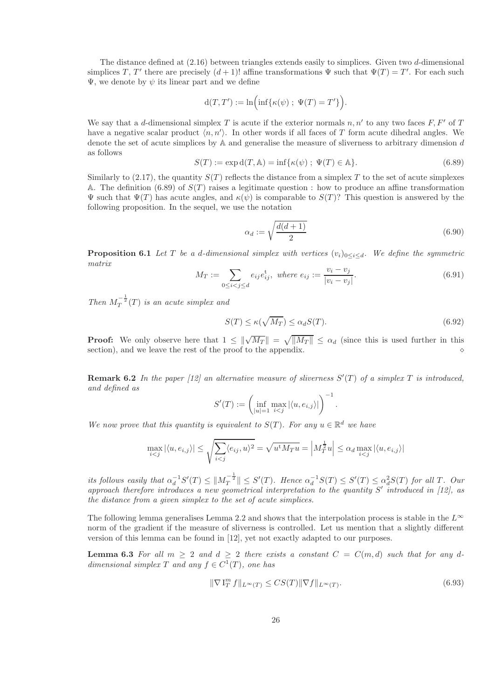The distance defined at (2.16) between triangles extends easily to simplices. Given two d-dimensional simplices T, T' there are precisely  $(d+1)!$  affine transformations  $\Psi$  such that  $\Psi(T) = T'$ . For each such  $\Psi$ , we denote by  $\psi$  its linear part and we define

$$
d(T, T') := \ln\Bigl(\inf\{\kappa(\psi)\ ;\ \Psi(T) = T'\}\Bigr).
$$

We say that a d-dimensional simplex T is acute if the exterior normals  $n, n'$  to any two faces F, F' of T have a negative scalar product  $\langle n, n' \rangle$ . In other words if all faces of T form acute dihedral angles. We denote the set of acute simplices by  $A$  and generalise the measure of sliverness to arbitrary dimension  $d$ as follows

$$
S(T) := \exp \mathrm{d}(T, \mathbb{A}) = \inf \{ \kappa(\psi) \; ; \; \Psi(T) \in \mathbb{A} \}. \tag{6.89}
$$

Similarly to (2.17), the quantity  $S(T)$  reflects the distance from a simplex T to the set of acute simplexes A. The definition (6.89) of  $S(T)$  raises a legitimate question : how to produce an affine transformation  $\Psi$  such that  $\Psi(T)$  has acute angles, and  $\kappa(\psi)$  is comparable to  $S(T)$ ? This question is answered by the following proposition. In the sequel, we use the notation

$$
\alpha_d := \sqrt{\frac{d(d+1)}{2}}\tag{6.90}
$$

**Proposition 6.1** *Let* T *be a d-dimensional simplex with vertices*  $(v_i)_{0 \leq i \leq d}$ *. We define the symmetric matrix*

$$
M_T := \sum_{0 \le i < j \le d} e_{ij} e_{ij}^t, \text{ where } e_{ij} := \frac{v_i - v_j}{|v_i - v_j|}. \tag{6.91}
$$

*Then*  $M_T^{-\frac{1}{2}}(T)$  *is an acute simplex and* 

$$
S(T) \le \kappa(\sqrt{M_T}) \le \alpha_d S(T). \tag{6.92}
$$

**Proof:** We only observe here that  $1 \leq ||\sqrt{M_T}|| = \sqrt{||M_T||} \leq \alpha_d$  (since this is used further in this section), and we leave the rest of the proof to the appendix.  $\Diamond$ 

**Remark 6.2** In the paper [12] an alternative measure of sliverness  $S'(T)$  of a simplex  $T$  is introduced, *and defined as*

$$
S'(T) := \left(\inf_{|u|=1} \max_{i < j} |\langle u, e_{i,j} \rangle| \right)^{-1}.
$$

*We now prove that this quantity is equivalent to*  $S(T)$ *. For any*  $u \in \mathbb{R}^d$  *we have* 

$$
\max_{i < j} |\langle u, e_{i,j} \rangle| \le \sqrt{\sum_{i < j} \langle e_{ij}, u \rangle^2} = \sqrt{u^t M_T u} = \left| M_T^{\frac{1}{2}} u \right| \le \alpha_d \max_{i < j} |\langle u, e_{i,j} \rangle|
$$

its follows easily that  $\alpha_d^{-1}S'(T) \leq ||M_T^{-\frac{1}{2}}|| \leq S'(T)$ . Hence  $\alpha_d^{-1}S(T) \leq S'(T) \leq \alpha_d^2S(T)$  for all T. Our approach therefore introduces a new geometrical interpretation to the quantity S' introduced in [12], as *the distance from a given simplex to the set of acute simplices.*

The following lemma generalises Lemma 2.2 and shows that the interpolation process is stable in the  $L^{\infty}$ norm of the gradient if the measure of sliverness is controlled. Let us mention that a slightly different version of this lemma can be found in [12], yet not exactly adapted to our purposes.

**Lemma 6.3** For all  $m \geq 2$  and  $d \geq 2$  there exists a constant  $C = C(m, d)$  such that for any d $dimensional simple x T and any f \in C^1(T)$ *, one has* 

$$
\|\nabla \mathbf{I}_T^m f\|_{L^\infty(T)} \le CS(T) \|\nabla f\|_{L^\infty(T)}.\tag{6.93}
$$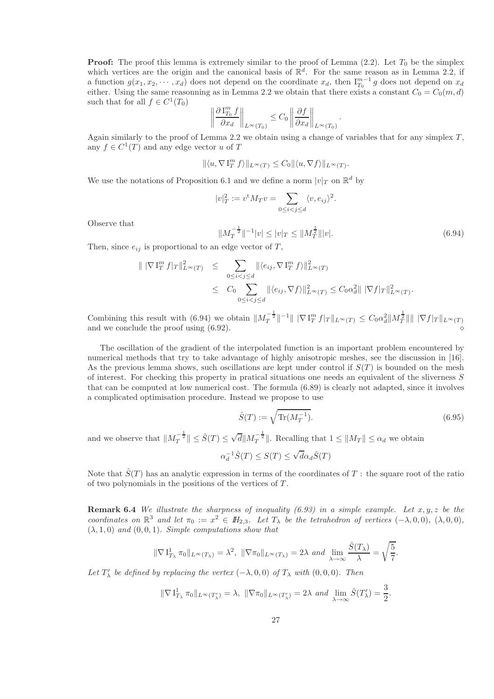**Proof:** The proof this lemma is extremely similar to the proof of Lemma  $(2.2)$ . Let  $T_0$  be the simplex which vertices are the origin and the canonical basis of  $\mathbb{R}^d$ . For the same reason as in Lemma 2.2, if a function  $g(x_1, x_2, \dots, x_d)$  does not depend on the coordinate  $x_d$ , then  $I_{T_0}^{m-1}g$  does not depend on  $x_d$ either. Using the same reasonning as in Lemma 2.2 we obtain that there exists a constant  $C_0 = C_0(m, d)$ such that for all  $f \in C^1(T_0)$ 

$$
\left\|\frac{\partial \, \mathrm{I}_{T_0}^m f}{\partial x_d}\right\|_{L^\infty(T_0)} \leq C_0 \left\|\frac{\partial f}{\partial x_d}\right\|_{L^\infty(T_0)}.
$$

Again similarly to the proof of Lemma 2.2 we obtain using a change of variables that for any simplex  $T$ , any  $f \in C^1(T)$  and any edge vector u of T

$$
\|\langle u, \nabla \mathbf{I}^m_T f \rangle\|_{L^{\infty}(T)} \leq C_0 \|\langle u, \nabla f \rangle\|_{L^{\infty}(T)}.
$$

We use the notations of Proposition 6.1 and we define a norm  $|v|_T$  on  $\mathbb{R}^d$  by

$$
|v|_T^2 := v^t M_T v = \sum_{0 \le i < j \le d} \langle v, e_{ij} \rangle^2.
$$

Observe that

$$
||M_T^{-\frac{1}{2}}||^{-1}|v| \le |v|_T \le ||M_T^{\frac{1}{2}}|||v|.
$$
\n(6.94)

Then, since  $e_{ij}$  is proportional to an edge vector of T,

$$
\|\nabla \mathcal{I}_T^m f|_T\|_{L^{\infty}(T)}^2 \leq \sum_{0 \leq i < j \leq d} \|\langle e_{ij}, \nabla \mathcal{I}_T^m f \rangle\|_{L^{\infty}(T)}^2
$$
\n
$$
\leq C_0 \sum_{0 \leq i < j \leq d} \|\langle e_{ij}, \nabla f \rangle\|_{L^{\infty}(T)}^2 \leq C_0 \alpha_d^2 \|\nabla f|_T\|_{L^{\infty}(T)}^2.
$$

Combining this result with (6.94) we obtain  $||M_T^{-\frac{1}{2}}||^{-1}|| ||\nabla I_T^m f|_T ||_{L^\infty(T)} \leq C_0 \alpha_d^2 ||M_T^{\frac{1}{2}}|| || |\nabla f|_T ||_{L^\infty(T)}$ and we conclude the proof using  $(6.92)$ .

The oscillation of the gradient of the interpolated function is an important problem encountered by numerical methods that try to take advantage of highly anisotropic meshes, see the discussion in [16]. As the previous lemma shows, such oscillations are kept under control if  $S(T)$  is bounded on the mesh of interest. For checking this property in pratical situations one needs an equivalent of the sliverness S that can be computed at low numerical cost. The formula (6.89) is clearly not adapted, since it involves a complicated optimisation procedure. Instead we propose to use

$$
\hat{S}(T) := \sqrt{\text{Tr}(M_T^{-1})}.
$$
\n(6.95)

and we observe that  $||M_T^{-\frac{1}{2}}|| \leq \hat{S}(T) \leq \sqrt{d} ||M_T^{-\frac{1}{2}}||$ . Recalling that  $1 \leq ||M_T|| \leq \alpha_d$  we obtain

$$
\alpha_d^{-1}\hat{S}(T) \le S(T) \le \sqrt{d}\alpha_d \hat{S}(T)
$$

Note that  $\hat{S}(T)$  has an analytic expression in terms of the coordinates of T : the square root of the ratio of two polynomials in the positions of the vertices of  $T$ .

Remark 6.4 *We illustrate the sharpness of inequality (6.93) in a simple example. Let* x, y, z *be the coordinates on*  $\mathbb{R}^3$  *and let*  $\pi_0 := x^2 \in H_{2,3}$ *. Let*  $T_\lambda$  *be the tetrahedron of vertices*  $(-\lambda, 0, 0)$ *,*  $(\lambda, 0, 0)$ *,*  $(\lambda, 1, 0)$  *and*  $(0, 0, 1)$ *. Simple computations show that* 

$$
\|\nabla\mathbf{1}_{T_{\lambda}}^1\pi_0\|_{L^{\infty}(T_{\lambda})}=\lambda^2,\ \|\nabla\pi_0\|_{L^{\infty}(T_{\lambda})}=2\lambda\ \text{and}\ \lim_{\lambda\to\infty}\frac{\hat{S}(T_{\lambda})}{\lambda}=\sqrt{\frac{5}{7}}.
$$

*Let*  $T'_{\lambda}$  *be defined by replacing the vertex*  $(-\lambda, 0, 0)$  *of*  $T_{\lambda}$  *with*  $(0, 0, 0)$ *. Then* 

$$
\|\nabla\mathbf{1}_{T_{\lambda}}^1\pi_0\|_{L^{\infty}(T'_{\lambda})}=\lambda,\ \|\nabla\pi_0\|_{L^{\infty}(T'_{\lambda})}=2\lambda\ \text{and}\ \lim_{\lambda\to\infty}\hat{S}(T'_{\lambda})=\frac{3}{2}.
$$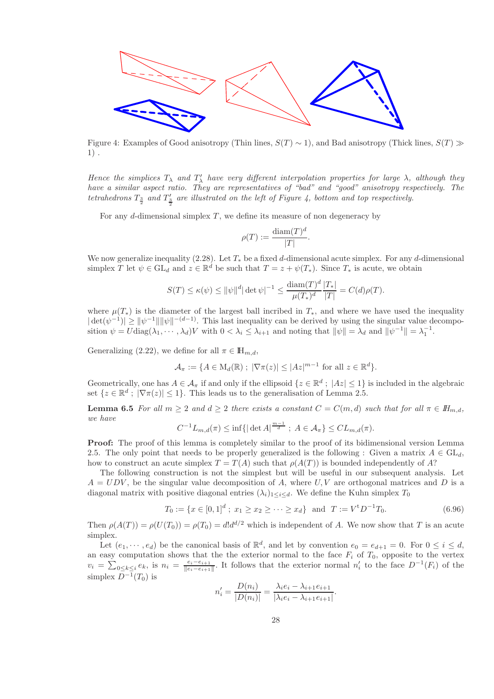

Figure 4: Examples of Good anisotropy (Thin lines,  $S(T) \sim 1$ ), and Bad anisotropy (Thick lines,  $S(T) \gg 1$ 1) .

*Hence the simplices*  $T_{\lambda}$  *and*  $T'_{\lambda}$  *have very different interpolation properties for large*  $\lambda$ *, although they have a similar aspect ratio. They are representatives of "bad" and "good" anisotropy respectively. The tetrahedrons*  $T_{\frac{3}{2}}$  and  $T'_{\frac{3}{2}}$  are illustrated on the left of Figure 4, bottom and top respectively. 2

For any d-dimensional simplex  $T$ , we define its measure of non degeneracy by

$$
\rho(T) := \frac{\text{diam}(T)^d}{|T|}.
$$

We now generalize inequality (2.28). Let  $T_*$  be a fixed d-dimensional acute simplex. For any d-dimensional simplex T let  $\psi \in GL_d$  and  $z \in \mathbb{R}^d$  be such that  $T = z + \psi(T_*)$ . Since  $T_*$  is acute, we obtain

$$
S(T) \le \kappa(\psi) \le ||\psi||^d |\det \psi|^{-1} \le \frac{\text{diam}(T)^d}{\mu(T_*)^d} \frac{|T_*|}{|T|} = C(d)\rho(T).
$$

where  $\mu(T_*)$  is the diameter of the largest ball incribed in  $T_*$ , and where we have used the inequality  $|\det(\psi^{-1})| \geq ||\psi^{-1}|| ||\psi||^{-(d-1)}$ . This last inequality can be derived by using the singular value decomposition  $\psi = U \text{diag}(\lambda_1, \dots, \lambda_d) V$  with  $0 < \lambda_i \leq \lambda_{i+1}$  and noting that  $\|\psi\| = \lambda_d$  and  $\|\psi^{-1}\| = \lambda_1^{-1}$ .

Generalizing (2.22), we define for all  $\pi \in \mathbb{H}_{m,d}$ ,

$$
\mathcal{A}_{\pi} := \{ A \in M_d(\mathbb{R}) \; ; \; |\nabla \pi(z)| \leq |Az|^{m-1} \text{ for all } z \in \mathbb{R}^d \}.
$$

Geometrically, one has  $A \in \mathcal{A}_{\pi}$  if and only if the ellipsoid  $\{z \in \mathbb{R}^d : |Az| \leq 1\}$  is included in the algebraic set  $\{z \in \mathbb{R}^d : |\nabla \pi(z)| \leq 1\}$ . This leads us to the generalisation of Lemma 2.5.

Lemma 6.5 *For all*  $m \geq 2$  *and*  $d \geq 2$  *there exists a constant*  $C = C(m, d)$  *such that for all*  $\pi \in H_{m,d}$ , *we have*

$$
C^{-1}L_{m,d}(\pi) \leq \inf\{|\det A|^{\frac{m-1}{d}}; A \in A_{\pi}\} \leq CL_{m,d}(\pi).
$$

Proof: The proof of this lemma is completely similar to the proof of its bidimensional version Lemma 2.5. The only point that needs to be properly generalized is the following : Given a matrix  $A \in GL_d$ , how to construct an acute simplex  $T = T(A)$  such that  $\rho(A(T))$  is bounded independently of A?

The following construction is not the simplest but will be useful in our subsequent analysis. Let  $A = UDV$ , be the singular value decomposition of A, where U, V are orthogonal matrices and D is a diagonal matrix with positive diagonal entries  $(\lambda_i)_{1 \leq i \leq d}$ . We define the Kuhn simplex  $T_0$ 

$$
T_0 := \{ x \in [0,1]^d \; ; \; x_1 \ge x_2 \ge \dots \ge x_d \} \quad \text{and} \quad T := V^{\dagger} D^{-1} T_0. \tag{6.96}
$$

Then  $\rho(A(T)) = \rho(U(T_0)) = \rho(T_0) = d!d^{d/2}$  which is independent of A. We now show that T is an acute simplex.

Let  $(e_1, \dots, e_d)$  be the canonical basis of  $\mathbb{R}^d$ , and let by convention  $e_0 = e_{d+1} = 0$ . For  $0 \le i \le d$ , an easy computation shows that the the exterior normal to the face  $F_i$  of  $T_0$ , opposite to the vertex  $v_i = \sum_{0 \le k \le i} e_k$ , is  $n_i = \frac{e_i - e_{i+1}}{e_i - e_{i+1}}$  $\frac{e_i-e_{i+1}}{||e_i-e_{i+1}||}$ . It follows that the exterior normal n'<sub>i</sub> to the face  $D^{-1}(F_i)$  of the simplex  $D^{-1}(T_0)$  is

$$
n'_{i} = \frac{D(n_{i})}{|D(n_{i})|} = \frac{\lambda_{i}e_{i} - \lambda_{i+1}e_{i+1}}{|\lambda_{i}e_{i} - \lambda_{i+1}e_{i+1}|}.
$$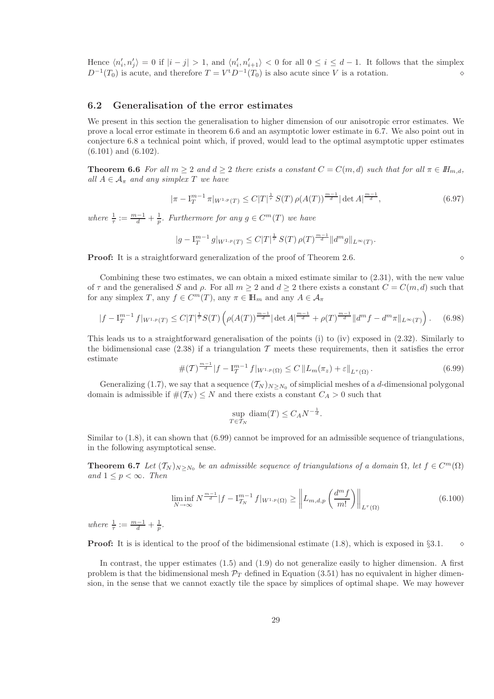Hence  $\langle n'_i, n'_j \rangle = 0$  if  $|i - j| > 1$ , and  $\langle n'_i, n'_{i+1} \rangle < 0$  for all  $0 \le i \le d - 1$ . It follows that the simplex  $D^{-1}(T_0)$  is acute, and therefore  $T = V^{\mathrm{t}} D^{-1}(T_0)$  is also acute since V is a rotation. <br>
◇

### 6.2 Generalisation of the error estimates

We present in this section the generalisation to higher dimension of our anisotropic error estimates. We prove a local error estimate in theorem 6.6 and an asymptotic lower estimate in 6.7. We also point out in conjecture 6.8 a technical point which, if proved, would lead to the optimal asymptotic upper estimates (6.101) and (6.102).

**Theorem 6.6** *For all*  $m \geq 2$  *and*  $d \geq 2$  *there exists a constant*  $C = C(m, d)$  *such that for all*  $\pi \in H_{m,d}$ *, all*  $A \in \mathcal{A}_{\pi}$  *and any simplex* T *we have* 

$$
|\pi - I_T^{m-1} \pi|_{W^{1,p}(T)} \le C|T|^{\frac{1}{\tau}} S(T) \rho(A(T))^{\frac{m-1}{d}} |\det A|^{\frac{m-1}{d}}, \tag{6.97}
$$

*where*  $\frac{1}{\tau} := \frac{m-1}{d} + \frac{1}{p}$ *. Furthermore for any*  $g \in C^m(T)$  *we have* 

$$
|g-\mathbf{I}_{T}^{m-1} \, g|_{W^{1,p}(T)} \leq C|T|^{\frac{1}{\tau}} \, S(T) \, \rho(T)^{\frac{m-1}{d}} \|d^{m}g\|_{L^{\infty}(T)}.
$$

**Proof:** It is a straightforward generalization of the proof of Theorem 2.6.  $\Diamond$ 

Combining these two estimates, we can obtain a mixed estimate similar to (2.31), with the new value of  $\tau$  and the generalised S and  $\rho$ . For all  $m \geq 2$  and  $d \geq 2$  there exists a constant  $C = C(m, d)$  such that for any simplex T, any  $f \in C^m(T)$ , any  $\pi \in \mathbb{H}_m$  and any  $A \in \mathcal{A}_{\pi}$ 

$$
|f - I_T^{m-1} f|_{W^{1,p}(T)} \le C|T|^{\frac{1}{\tau}} S(T) \left( \rho(A(T))^{\frac{m-1}{d}} |\det A|^{\frac{m-1}{d}} + \rho(T)^{\frac{m-1}{d}} \|d^m f - d^m \pi\|_{L^\infty(T)} \right). \tag{6.98}
$$

This leads us to a straightforward generalisation of the points (i) to (iv) exposed in (2.32). Similarly to the bidimensional case (2.38) if a triangulation  $\mathcal T$  meets these requirements, then it satisfies the error estimate

$$
\#(\mathcal{T})^{\frac{m-1}{d}}|f - \mathcal{I}_{\mathcal{T}}^{m-1} f|_{W^{1,p}(\Omega)} \le C \, \|L_m(\pi_z) + \varepsilon\|_{L^\tau(\Omega)}.
$$
\n(6.99)

Generalizing (1.7), we say that a sequence  $(\mathcal{T}_N)_{N\geq N_0}$  of simplicial meshes of a d-dimensional polygonal domain is admissible if  $#(T_N) \leq N$  and there exists a constant  $C_A > 0$  such that

$$
\sup_{T \in \mathcal{T}_N} \text{diam}(T) \le C_A N^{-\frac{1}{d}}.
$$

Similar to  $(1.8)$ , it can shown that  $(6.99)$  cannot be improved for an admissible sequence of triangulations, in the following asymptotical sense.

**Theorem 6.7** *Let*  $(T_N)_{N \ge N_0}$  *be an admissible sequence of triangulations of a domain*  $\Omega$ *, let*  $f \in C^m(\Omega)$ *and*  $1 \leq p < \infty$ *. Then* 

$$
\liminf_{N \to \infty} N^{\frac{m-1}{d}} |f - \mathcal{I}_{T_N}^{m-1} f|_{W^{1,p}(\Omega)} \ge \left\| L_{m,d,p} \left( \frac{d^m f}{m!} \right) \right\|_{L^{\tau}(\Omega)} \tag{6.100}
$$

*where*  $\frac{1}{\tau} := \frac{m-1}{d} + \frac{1}{p}$ .

**Proof:** It is is identical to the proof of the bidimensional estimate (1.8), which is exposed in §3.1.  $\diamond$ 

In contrast, the upper estimates (1.5) and (1.9) do not generalize easily to higher dimension. A first problem is that the bidimensional mesh  $\mathcal{P}_T$  defined in Equation (3.51) has no equivalent in higher dimension, in the sense that we cannot exactly tile the space by simplices of optimal shape. We may however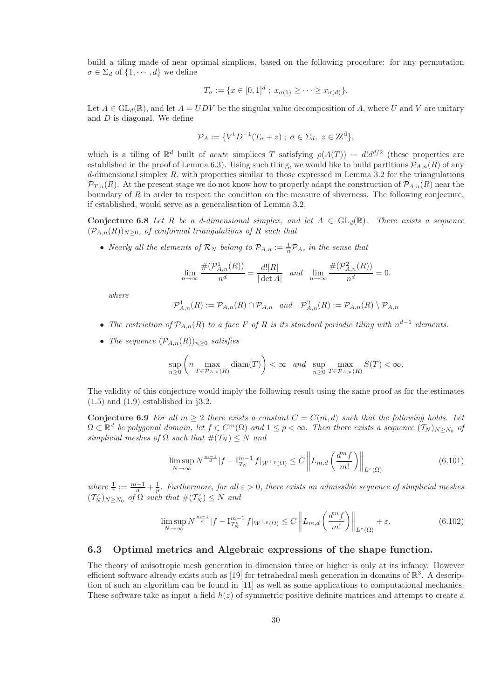build a tiling made of near optimal simplices, based on the following procedure: for any permutation  $\sigma \in \Sigma_d$  of  $\{1, \cdots, d\}$  we define

$$
T_{\sigma} := \{ x \in [0,1]^d \; ; \; x_{\sigma(1)} \geq \cdots \geq x_{\sigma(d)} \}.
$$

Let  $A \in GL_d(\mathbb{R})$ , and let  $A = UDV$  be the singular value decomposition of A, where U and V are unitary and  $D$  is diagonal. We define

$$
\mathcal{P}_A := \{ V^{\mathrm{t}} D^{-1}(T_\sigma + z) \; ; \; \sigma \in \Sigma_d, \; z \in \mathbb{Z}^d \},
$$

which is a tiling of  $\mathbb{R}^d$  built of *acute* simplices T satisfying  $\rho(A(T)) = d!d^{d/2}$  (these properties are established in the proof of Lemma 6.3). Using such tiling, we would like to build partitions  $\mathcal{P}_{A,n}(R)$  of any  $d$ -dimensional simplex  $R$ , with properties similar to those expressed in Lemma 3.2 for the triangulations  $\mathcal{P}_{T,n}(R)$ . At the present stage we do not know how to properly adapt the construction of  $\mathcal{P}_{A,n}(R)$  near the boundary of  $R$  in order to respect the condition on the measure of sliverness. The following conjecture, if established, would serve as a generalisation of Lemma 3.2.

Conjecture 6.8 Let R be a d-dimensional simplex, and let  $A \in GL_d(\mathbb{R})$ . There exists a sequence  $(\mathcal{P}_{A,n}(R))_{N>0}$ , of conformal triangulations of R such that

• *Nearly all the elements of*  $\mathcal{R}_N$  *belong to*  $\mathcal{P}_{A,n} := \frac{1}{n} \mathcal{P}_A$ *, in the sense that* 

$$
\lim_{n \to \infty} \frac{\#(\mathcal{P}_{A,n}^1(R))}{n^d} = \frac{d!|R|}{|\det A|} \quad and \quad \lim_{n \to \infty} \frac{\#(\mathcal{P}_{A,n}^2(R))}{n^d} = 0.
$$

*where*

$$
\mathcal{P}_{A,n}^1(R) := \mathcal{P}_{A,n}(R) \cap \mathcal{P}_{A,n} \quad and \quad \mathcal{P}_{A,n}^2(R) := \mathcal{P}_{A,n}(R) \setminus \mathcal{P}_{A,n}
$$

- *The restriction of* PA,n(R) *to a face* F *of* R *is its standard periodic tiling with* n d−1 *elements.*
- *The sequence*  $(\mathcal{P}_{A,n}(R))_{n>0}$  *satisfies*

$$
\sup_{n\geq 0} \left(n \max_{T\in \mathcal{P}_{A,n}(R)} \textnormal{diam}(T)\right) < \infty \quad and \quad \sup_{n\geq 0} \max_{T\in \mathcal{P}_{A,n}(R)} S(T) < \infty.
$$

The validity of this conjecture would imply the following result using the same proof as for the estimates  $(1.5)$  and  $(1.9)$  established in §3.2.

Conjecture 6.9 For all  $m \geq 2$  there exists a constant  $C = C(m, d)$  such that the following holds. Let  $\Omega \subset \mathbb{R}^d$  be polygonal domain, let  $f \in C^m(\Omega)$  and  $1 \leq p < \infty$ . Then there exists a sequence  $(T_N)_{N \geq N_0}$  of *simplicial meshes of*  $\Omega$  *such that*  $#(\mathcal{T}_N) \leq N$  *and* 

$$
\limsup_{N \to \infty} N^{\frac{m-1}{d}} |f - \mathcal{I}_{T_N}^{m-1} f|_{W^{1,p}(\Omega)} \le C \left\| L_{m,d} \left( \frac{d^m f}{m!} \right) \right\|_{L^\tau(\Omega)} \tag{6.101}
$$

where  $\frac{1}{\tau} := \frac{m-1}{d} + \frac{1}{p}$ . Furthermore, for all  $\varepsilon > 0$ , there exists an admissible sequence of simplicial meshes  $(T_N^{\varepsilon})_{N \geq N_0}$  of  $\Omega$  such that  $\#(T_N^{\varepsilon}) \leq N$  and

$$
\limsup_{N \to \infty} N^{\frac{m-1}{d}} |f - \mathcal{I}_{\mathcal{T}_N^{\varepsilon}}^{m-1} f|_{W^{1,p}(\Omega)} \le C \left\| L_{m,d} \left( \frac{d^m f}{m!} \right) \right\|_{L^\tau(\Omega)} + \varepsilon. \tag{6.102}
$$

### 6.3 Optimal metrics and Algebraic expressions of the shape function.

The theory of anisotropic mesh generation in dimension three or higher is only at its infancy. However efficient software already exists such as [19] for tetrahedral mesh generation in domains of  $\mathbb{R}^3$ . A description of such an algorithm can be found in [11] as well as some applications to computational mechanics. These software take as input a field  $h(z)$  of symmetric positive definite matrices and attempt to create a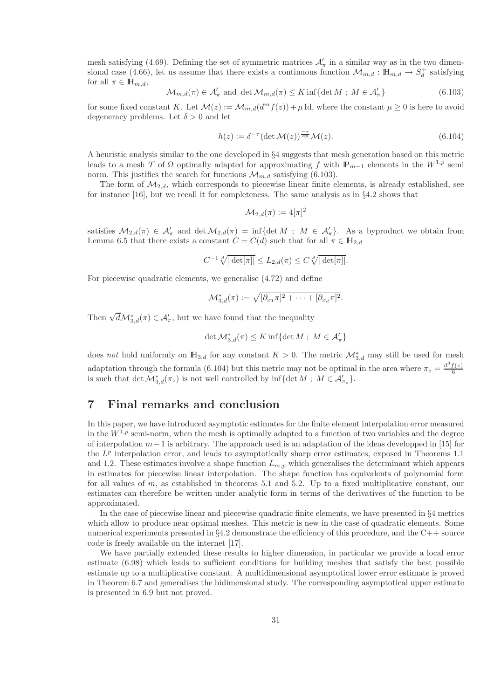mesh satisfying (4.69). Defining the set of symmetric matrices  $\mathcal{A}'_{\pi}$  in a similar way as in the two dimensional case (4.66), let us assume that there exists a continuous function  $\mathcal{M}_{m,d} : \mathbb{H}_{m,d} \to S_d^+$  satisfying for all  $\pi \in \mathbb{H}_{m,d}$ ,

$$
\mathcal{M}_{m,d}(\pi) \in \mathcal{A}'_{\pi} \text{ and } \det \mathcal{M}_{m,d}(\pi) \le K \inf \{ \det M \; ; \; M \in \mathcal{A}'_{\pi} \}
$$
\n
$$
(6.103)
$$

for some fixed constant K. Let  $\mathcal{M}(z) := \mathcal{M}_{m,d}(d^m f(z)) + \mu \text{ Id}$ , where the constant  $\mu \geq 0$  is here to avoid degeneracy problems. Let  $\delta > 0$  and let

$$
h(z) := \delta^{-\tau} (\det \mathcal{M}(z))^{\frac{-\tau}{dp}} \mathcal{M}(z). \tag{6.104}
$$

A heuristic analysis similar to the one developed in §4 suggests that mesh generation based on this metric leads to a mesh T of  $\Omega$  optimally adapted for approximating f with  $\mathbb{P}_{m-1}$  elements in the  $W^{1,p}$  semi norm. This justifies the search for functions  $\mathcal{M}_{m,d}$  satisfying (6.103).

The form of  $\mathcal{M}_{2,d}$ , which corresponds to piecewise linear finite elements, is already established, see for instance [16], but we recall it for completeness. The same analysis as in §4.2 shows that

$$
\mathcal{M}_{2,d}(\pi) := 4[\pi]^2
$$

satisfies  $M_{2,d}(\pi) \in \mathcal{A}'_{\pi}$  and  $\det \mathcal{M}_{2,d}(\pi) = \inf \{ \det M \; ; \; M \in \mathcal{A}'_{\pi} \}.$  As a byproduct we obtain from Lemma 6.5 that there exists a constant  $C = C(d)$  such that for all  $\pi \in \mathbb{H}_{2,d}$ 

$$
C^{-1}\sqrt[d]{|\det[\pi]|} \le L_{2,d}(\pi) \le C\sqrt[d]{|\det[\pi]|}.
$$

For piecewise quadratic elements, we generalise (4.72) and define

$$
\mathcal{M}_{3,d}^*(\pi) := \sqrt{[\partial_{x_1}\pi]^2 + \cdots + [\partial_{x_d}\pi]^2}.
$$

Then  $\sqrt{d} \mathcal{M}_{3,d}^*(\pi) \in \mathcal{A}'_{\pi}$ , but we have found that the inequality

$$
\det \mathcal{M}_{3,d}^*(\pi) \leq K \inf \{ \det M \; ; \; M \in \mathcal{A}'_\pi \}
$$

does *not* hold uniformly on  $\mathbb{H}_{3,d}$  for any constant  $K > 0$ . The metric  $\mathcal{M}_{3,d}^*$  may still be used for mesh adaptation through the formula (6.104) but this metric may not be optimal in the area where  $\pi_z = \frac{d^3 f(z)}{6}$ 6 is such that  $\det \mathcal{M}_{3,d}^*(\pi_z)$  is not well controlled by  $\inf \{ \det M \, ; \, M \in \mathcal{A}_{\pi_z}' \}.$ 

# 7 Final remarks and conclusion

In this paper, we have introduced asymptotic estimates for the finite element interpolation error measured in the  $W^{1,p}$  semi-norm, when the mesh is optimally adapted to a function of two variables and the degree of interpolation  $m-1$  is arbitrary. The approach used is an adaptation of the ideas developped in [15] for the  $L^p$  interpolation error, and leads to asymptotically sharp error estimates, exposed in Theorems 1.1 and 1.2. These estimates involve a shape function  $L_{m,p}$  which generalises the determinant which appears in estimates for piecewise linear interpolation. The shape function has equivalents of polynomial form for all values of  $m$ , as established in theorems 5.1 and 5.2. Up to a fixed multiplicative constant, our estimates can therefore be written under analytic form in terms of the derivatives of the function to be approximated.

In the case of piecewise linear and piecewise quadratic finite elements, we have presented in §4 metrics which allow to produce near optimal meshes. This metric is new in the case of quadratic elements. Some numerical experiments presented in §4.2 demonstrate the efficiency of this procedure, and the C++ source code is freely available on the internet [17].

We have partially extended these results to higher dimension, in particular we provide a local error estimate (6.98) which leads to sufficient conditions for building meshes that satisfy the best possible estimate up to a multiplicative constant. A multidimensional asymptotical lower error estimate is proved in Theorem 6.7 and generalises the bidimensional study. The corresponding asymptotical upper estimate is presented in 6.9 but not proved.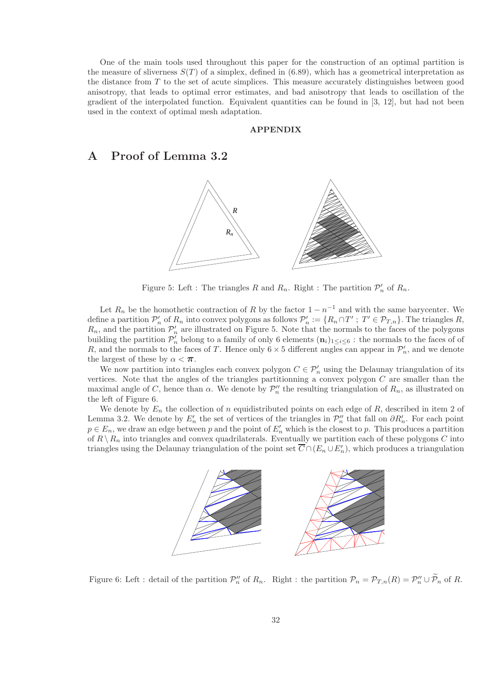One of the main tools used throughout this paper for the construction of an optimal partition is the measure of sliverness  $S(T)$  of a simplex, defined in (6.89), which has a geometrical interpretation as the distance from T to the set of acute simplices. This measure accurately distinguishes between good anisotropy, that leads to optimal error estimates, and bad anisotropy that leads to oscillation of the gradient of the interpolated function. Equivalent quantities can be found in [3, 12], but had not been used in the context of optimal mesh adaptation.

### APPENDIX

# A Proof of Lemma 3.2



Figure 5: Left : The triangles R and  $R_n$ . Right : The partition  $\mathcal{P}'_n$  of  $R_n$ .

Let  $R_n$  be the homothetic contraction of R by the factor  $1 - n^{-1}$  and with the same barycenter. We define a partition  $\mathcal{P}'_n$  of  $R_n$  into convex polygons as follows  $\mathcal{P}'_n := \{R_n \cap T' : T' \in \mathcal{P}_{T,n}\}\.$  The triangles  $R$ ,  $R_n$ , and the partition  $\mathcal{P}'_n$  are illustrated on Figure 5. Note that the normals to the faces of the polygons building the partition  $\mathcal{P}'_n$  belong to a family of only 6 elements  $(n_i)_{1 \leq i \leq 6}$ : the normals to the faces of of R, and the normals to the faces of T. Hence only  $6 \times 5$  different angles can appear in  $\mathcal{P}'_n$ , and we denote the largest of these by  $\alpha < \pi$ .

We now partition into triangles each convex polygon  $C \in \mathcal{P}'_n$  using the Delaunay triangulation of its vertices. Note that the angles of the triangles partitionning a convex polygon  $C$  are smaller than the maximal angle of C, hence than  $\alpha$ . We denote by  $\mathcal{P}_n''$  the resulting triangulation of  $R_n$ , as illustrated on the left of Figure 6.

We denote by  $E_n$  the collection of n equidistributed points on each edge of R, described in item 2 of Lemma 3.2. We denote by  $E'_n$  the set of vertices of the triangles in  $\mathcal{P}_n''$  that fall on  $\partial R'_n$ . For each point  $p \in E_n$ , we draw an edge between p and the point of  $E'_n$  which is the closest to p. This produces a partition of  $R \setminus R_n$  into triangles and convex quadrilaterals. Eventually we partition each of these polygons C into triangles using the Delaunay triangulation of the point set  $\overline{C} \cap (E_n \cup E'_n)$ , which produces a triangulation



Figure 6: Left : detail of the partition  $\mathcal{P}_n''$  of  $R_n$ . Right : the partition  $\mathcal{P}_n = \mathcal{P}_{T,n}(R) = \mathcal{P}_n'' \cup \mathcal{P}_n$  of R.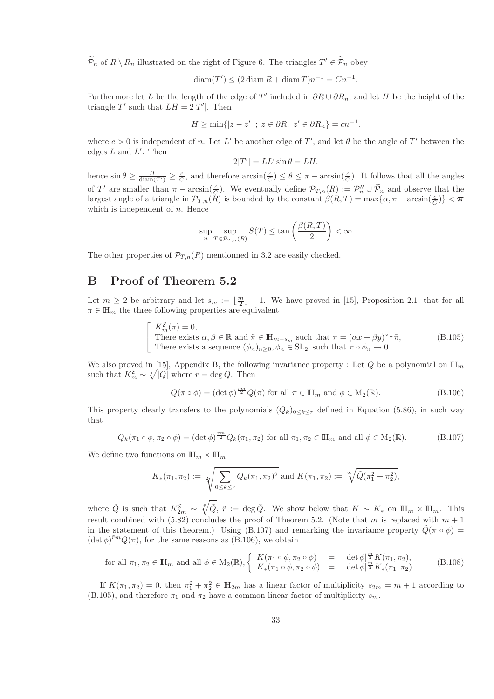$\widetilde{\mathcal{P}}_n$  of  $R \setminus R_n$  illustrated on the right of Figure 6. The triangles  $T' \in \widetilde{\mathcal{P}}_n$  obey

$$
\operatorname{diam}(T') \le (2 \operatorname{diam} R + \operatorname{diam} T)n^{-1} = Cn^{-1}.
$$

Furthermore let L be the length of the edge of T' included in  $\partial R \cup \partial R_n$ , and let H be the height of the triangle T' such that  $LH = 2|T'|$ . Then

$$
H \ge \min\{|z - z'|; \ z \in \partial R, \ z' \in \partial R_n\} = cn^{-1}.
$$

where  $c > 0$  is independent of n. Let L' be another edge of T', and let  $\theta$  be the angle of T' between the edges  $L$  and  $L'$ . Then

$$
2|T'| = LL' \sin \theta = LH.
$$

hence  $\sin \theta \ge \frac{H}{\text{diam}(T')} \ge \frac{c}{C}$ , and therefore  $\arcsin(\frac{c}{C}) \le \theta \le \pi - \arcsin(\frac{c}{C})$ . It follows that all the angles of T' are smaller than  $\pi - \arcsin(\frac{c}{C})$ . We eventually define  $\mathcal{P}_{T,n}(R) := \mathcal{P}_n'' \cup \widetilde{\mathcal{P}}_n$  and observe that the largest angle of a triangle in  $\mathcal{P}_{T,n}(R)$  is bounded by the constant  $\beta(R,T) = \max\{\alpha,\pi-\arcsin(\frac{c}{C})\} < \pi$ which is independent of  $n$ . Hence

$$
\sup_n\sup_{T\in\mathcal{P}_{T,n}(R)}S(T)\leq\tan\left(\frac{\beta(R,T)}{2}\right)<\infty
$$

The other properties of  $\mathcal{P}_{T,n}(R)$  mentionned in 3.2 are easily checked.

# B Proof of Theorem 5.2

Let  $m \geq 2$  be arbitrary and let  $s_m := \lfloor \frac{m}{2} \rfloor + 1$ . We have proved in [15], Proposition 2.1, that for all  $\pi \in \mathbb{H}_m$  the three following properties are equivalent

$$
\begin{bmatrix}\nK_m^{\mathcal{E}}(\pi) = 0, \\
\text{There exists } \alpha, \beta \in \mathbb{R} \text{ and } \tilde{\pi} \in \mathbb{H}_{m-s_m} \text{ such that } \pi = (\alpha x + \beta y)^{s_m} \tilde{\pi}, \\
\text{There exists a sequence } (\phi_n)_{n \ge 0}, \phi_n \in \text{SL}_2 \text{ such that } \pi \circ \phi_n \to 0.\n\end{bmatrix}
$$
\n(B.105)

We also proved in [15], Appendix B, the following invariance property : Let Q be a polynomial on  $\mathbb{H}_m$ such that  $K_m^{\mathcal{E}} \sim \sqrt[n]{|Q|}$  where  $r = \deg Q$ . Then

$$
Q(\pi \circ \phi) = (\det \phi)^{\frac{rm}{2}} Q(\pi) \text{ for all } \pi \in \mathbb{H}_m \text{ and } \phi \in M_2(\mathbb{R}).
$$
 (B.106)

This property clearly transfers to the polynomials  $(Q_k)_{0\leq k\leq r}$  defined in Equation (5.86), in such way that

$$
Q_k(\pi_1 \circ \phi, \pi_2 \circ \phi) = (\det \phi)^{\frac{rm}{2}} Q_k(\pi_1, \pi_2) \text{ for all } \pi_1, \pi_2 \in \mathbb{H}_m \text{ and all } \phi \in M_2(\mathbb{R}).
$$
 (B.107)

We define two functions on  $\mathbb{H}_m \times \mathbb{H}_m$ 

$$
K_*(\pi_1, \pi_2) := \sqrt[2r]{\sum_{0 \le k \le r} Q_k(\pi_1, \pi_2)^2}
$$
 and  $K(\pi_1, \pi_2) := \sqrt[2r]{\tilde{Q}(\pi_1^2 + \pi_2^2)},$ 

where  $\tilde{Q}$  is such that  $K_{2m}^{\mathcal{E}} \sim \sqrt[m]{\tilde{Q}}$ ,  $\tilde{r} := \deg \tilde{Q}$ . We show below that  $K \sim K_*$  on  $\mathbb{H}_m \times \mathbb{H}_m$ . This result combined with (5.82) concludes the proof of Theorem 5.2. (Note that m is replaced with  $m + 1$ in the statement of this theorem.) Using (B.107) and remarking the invariance property  $\hat{Q}(\pi \circ \phi)$  =  $(\det \phi)^{rm} Q(\pi)$ , for the same reasons as (B.106), we obtain

for all 
$$
\pi_1, \pi_2 \in \mathbb{H}_m
$$
 and all  $\phi \in M_2(\mathbb{R}), \begin{cases} K(\pi_1 \circ \phi, \pi_2 \circ \phi) = |\det \phi|^{\frac{m}{2}} K(\pi_1, \pi_2), \\ K_*(\pi_1 \circ \phi, \pi_2 \circ \phi) = |\det \phi|^{\frac{m}{2}} K_*(\pi_1, \pi_2). \end{cases}$  (B.108)

If  $K(\pi_1, \pi_2) = 0$ , then  $\pi_1^2 + \pi_2^2 \in \mathbb{H}_{2m}$  has a linear factor of multiplicity  $s_{2m} = m + 1$  according to (B.105), and therefore  $\pi_1$  and  $\pi_2$  have a common linear factor of multiplicity  $s_m$ .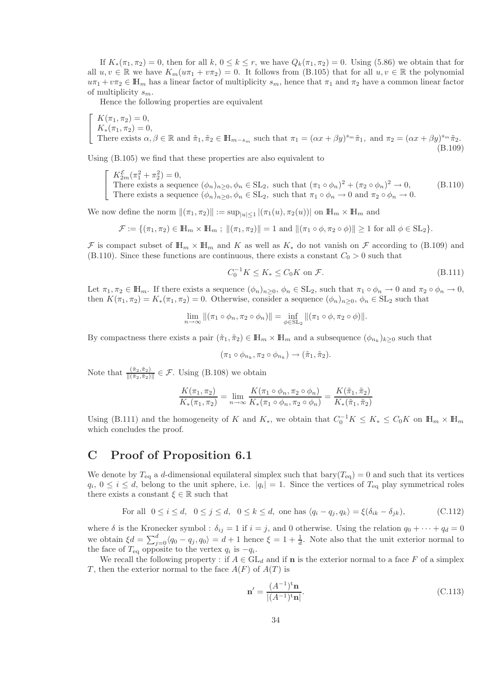If  $K_*(\pi_1, \pi_2) = 0$ , then for all  $k, 0 \le k \le r$ , we have  $Q_k(\pi_1, \pi_2) = 0$ . Using (5.86) we obtain that for all  $u, v \in \mathbb{R}$  we have  $K_m(u\pi_1 + v\pi_2) = 0$ . It follows from (B.105) that for all  $u, v \in \mathbb{R}$  the polynomial  $u\pi_1 + v\pi_2 \in \mathbb{H}_m$  has a linear factor of multiplicity  $s_m$ , hence that  $\pi_1$  and  $\pi_2$  have a common linear factor of multiplicity  $s_m$ .

Hence the following properties are equivalent

$$
\begin{cases}\nK(\pi_1, \pi_2) = 0, \\
K_*(\pi_1, \pi_2) = 0, \\
\text{There exists } \alpha, \beta \in \mathbb{R} \text{ and } \tilde{\pi}_1, \tilde{\pi}_2 \in \mathbb{H}_{m-s_m} \text{ such that } \pi_1 = (\alpha x + \beta y)^{s_m} \tilde{\pi}_1, \text{ and } \pi_2 = (\alpha x + \beta y)^{s_m} \tilde{\pi}_2.\n\end{cases}
$$
\n(B.109)

Using (B.105) we find that these properties are also equivalent to

 $\sqrt{ }$  $\overline{1}$  $K_{2m}^{\mathcal{E}}(\pi_1^2 + \pi_2^2) = 0,$ There exists a sequence  $(\phi_n)_{n\geq 0}, \phi_n \in SL_2$ , such that  $(\pi_1 \circ \phi_n)^2 + (\pi_2 \circ \phi_n)^2 \to 0$ , There exists a sequence  $(\phi_n)_{n\geq 0}, \phi_n \in SL_2$ , such that  $\pi_1 \circ \phi_n \to 0$  and  $\pi_2 \circ \phi_n \to 0$ . (B.110)

We now define the norm  $\|(\pi_1, \pi_2)\| := \sup_{|u| \leq 1} |(\pi_1(u), \pi_2(u))|$  on  $\mathbb{H}_m \times \mathbb{H}_m$  and

 $\mathcal{F} := \{(\pi_1, \pi_2) \in \mathbb{H}_m \times \mathbb{H}_m : ||(\pi_1, \pi_2)|| = 1 \text{ and } ||(\pi_1 \circ \phi, \pi_2 \circ \phi)|| \ge 1 \text{ for all } \phi \in SL_2\}.$ 

F is compact subset of  $\mathbb{H}_m \times \mathbb{H}_m$  and K as well as  $K_*$  do not vanish on F according to (B.109) and (B.110). Since these functions are continuous, there exists a constant  $C_0 > 0$  such that

$$
C_0^{-1}K \le K_* \le C_0K \text{ on } \mathcal{F}.\tag{B.111}
$$

Let  $\pi_1, \pi_2 \in \mathbb{H}_m$ . If there exists a sequence  $(\phi_n)_{n\geq 0}, \phi_n \in SL_2$ , such that  $\pi_1 \circ \phi_n \to 0$  and  $\pi_2 \circ \phi_n \to 0$ , then  $K(\pi_1, \pi_2) = K_*(\pi_1, \pi_2) = 0$ . Otherwise, consider a sequence  $(\phi_n)_{n>0}, \phi_n \in SL_2$  such that

$$
\lim_{n \to \infty} \|(\pi_1 \circ \phi_n, \pi_2 \circ \phi_n)\| = \inf_{\phi \in SL_2} \|(\pi_1 \circ \phi, \pi_2 \circ \phi)\|.
$$

By compactness there exists a pair  $(\tilde{\pi}_1, \tilde{\pi}_2) \in \mathbb{H}_m \times \mathbb{H}_m$  and a subsequence  $(\phi_{n_k})_{k \geq 0}$  such that

$$
(\pi_1 \circ \phi_{n_k}, \pi_2 \circ \phi_{n_k}) \to (\tilde{\pi}_1, \tilde{\pi}_2).
$$

Note that  $\frac{(\tilde{\pi}_2, \tilde{\pi}_2)}{\|(\tilde{\pi}_2, \tilde{\pi}_2)\|} \in \mathcal{F}$ . Using (B.108) we obtain

$$
\frac{K(\pi_1, \pi_2)}{K_*(\pi_1, \pi_2)} = \lim_{n \to \infty} \frac{K(\pi_1 \circ \phi_n, \pi_2 \circ \phi_n)}{K_*(\pi_1 \circ \phi_n, \pi_2 \circ \phi_n)} = \frac{K(\tilde{\pi}_1, \tilde{\pi}_2)}{K_*(\tilde{\pi}_1, \tilde{\pi}_2)}
$$

Using (B.111) and the homogeneity of K and  $K_*$ , we obtain that  $C_0^{-1}K \le K_* \le C_0K$  on  $\mathbb{H}_m \times \mathbb{H}_m$ which concludes the proof.

# C Proof of Proposition 6.1

We denote by  $T_{eq}$  a d-dimensional equilateral simplex such that bary( $T_{eq}$ ) = 0 and such that its vertices  $q_i, 0 \le i \le d$ , belong to the unit sphere, i.e.  $|q_i| = 1$ . Since the vertices of  $T_{\text{eq}}$  play symmetrical roles there exists a constant  $\xi \in \mathbb{R}$  such that

For all 
$$
0 \le i \le d
$$
,  $0 \le j \le d$ ,  $0 \le k \le d$ , one has  $\langle q_i - q_j, q_k \rangle = \xi(\delta_{ik} - \delta_{jk})$ , (C.112)

where  $\delta$  is the Kronecker symbol :  $\delta_{ij} = 1$  if  $i = j$ , and 0 otherwise. Using the relation  $q_0 + \cdots + q_d = 0$ we obtain  $\xi d = \sum_{j=0}^{d} \langle q_0 - q_j, q_0 \rangle = d + 1$  hence  $\xi = 1 + \frac{1}{d}$ . Note also that the unit exterior normal to the face of  $T_{eq}$  opposite to the vertex  $q_i$  is  $-q_i$ .

We recall the following property : if  $A \in GL_d$  and if **n** is the exterior normal to a face F of a simplex T, then the exterior normal to the face  $A(F)$  of  $A(T)$  is

$$
\mathbf{n}' = \frac{(A^{-1})^{\mathbf{t}} \mathbf{n}}{|(A^{-1})^{\mathbf{t}} \mathbf{n}|}. \tag{C.113}
$$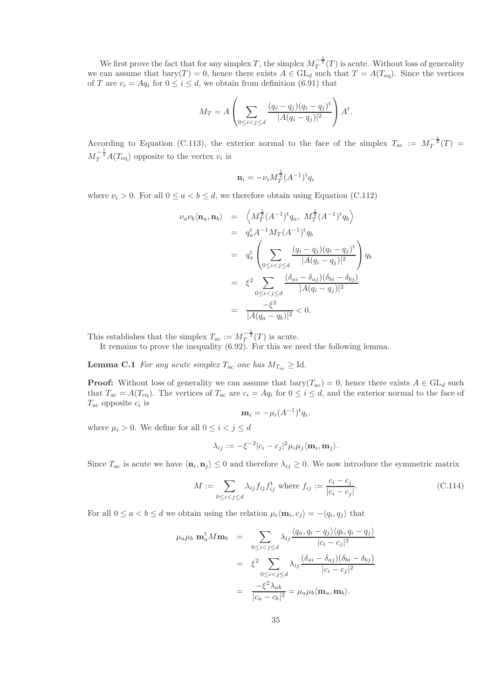We first prove the fact that for any simplex  $T$ , the simplex  $M_T^{-\frac{1}{2}}(T)$  is acute. Without loss of generality we can assume that  $\text{bary}(T) = 0$ , hence there exists  $A \in GL_d$  such that  $T = A(T_{eq})$ . Since the vertices of T are  $v_i = Aq_i$  for  $0 \le i \le d$ , we obtain from definition (6.91) that

$$
M_T = A \left( \sum_{0 \le i < j \le d} \frac{(q_i - q_j)(q_i - q_j)^{\{ t \}}}{|A(q_i - q_j)|^2} \right) A^{\{ t \}}.
$$

According to Equation (C.113), the exterior normal to the face of the simplex  $T_{ac} := M_T^{-\frac{1}{2}}(T)$  $M_T^{-\frac{1}{2}}A(T_{\text{eq}})$  opposite to the vertex  $v_i$  is

$$
\mathbf{n}_i = -\nu_i M_T^{\frac{1}{2}} (A^{-1})^{\mathrm{t}} q_i
$$

where  $\nu_i > 0$ . For all  $0 \le a < b \le d$ , we therefore obtain using Equation (C.112)

$$
\nu_a \nu_b \langle \mathbf{n}_a, \mathbf{n}_b \rangle = \left\langle M_T^{\frac{1}{2}} (A^{-1})^{\dagger} q_a, M_T^{\frac{1}{2}} (A^{-1})^{\dagger} q_b \right\rangle
$$
  
\n
$$
= q_a^{\dagger} A^{-1} M_T (A^{-1})^{\dagger} q_b
$$
  
\n
$$
= q_a^{\dagger} \left( \sum_{0 \le i < j \le d} \frac{(q_i - q_j)(q_i - q_j)^{\dagger}}{|A(q_i - q_j)|^2} \right) q_b
$$
  
\n
$$
= \xi^2 \sum_{0 \le i < j \le d} \frac{(\delta_{ai} - \delta_{aj})(\delta_{bi} - \delta_{bj})}{|A(q_i - q_j)|^2}
$$
  
\n
$$
= \frac{-\xi^2}{|A(q_a - q_b)|^2} < 0.
$$

This establishes that the simplex  $T_{ac} := M_T^{-\frac{1}{2}}(T)$  is acute.

It remains to prove the inequality (6.92). For this we need the following lemma.

**Lemma C.1** *For any acute simplex*  $T_{ac}$  *one has*  $M_{T_{ac}} \geq Id$ *.* 

**Proof:** Without loss of generality we can assume that  $\text{bary}(T_{ac}) = 0$ , hence there exists  $A \in GL_d$  such that  $T_{ac} = A(T_{eq})$ . The vertices of  $T_{ac}$  are  $c_i = Aq_i$  for  $0 \le i \le d$ , and the exterior normal to the face of  $T_{\text{ac}}$  opposite  $c_i$  is

$$
\mathbf{m}_i = -\mu_i (A^{-1})^{\mathrm{t}} q_i.
$$

where  $\mu_i > 0$ . We define for all  $0 \leq i < j \leq d$ 

$$
\lambda_{ij} := -\xi^{-2} |c_i - c_j|^2 \mu_i \mu_j \langle \mathbf{m}_i, \mathbf{m}_j \rangle.
$$

Since  $T_{\text{ac}}$  is acute we have  $\langle \mathbf{n}_i, \mathbf{n}_j \rangle \leq 0$  and therefore  $\lambda_{ij} \geq 0$ . We now introduce the symmetric matrix

$$
M := \sum_{0 \le i < j \le d} \lambda_{ij} f_{ij} f_{ij}^{\text{t}} \text{ where } f_{ij} := \frac{c_i - c_j}{|c_i - c_j|}. \tag{C.114}
$$

For all  $0 \le a < b \le d$  we obtain using the relation  $\mu_i \langle \mathbf{m}_i, c_j \rangle = -\langle q_i, q_j \rangle$  that

$$
\mu_a \mu_b \mathbf{m}_a^{\mathbf{t}} M \mathbf{m}_b = \sum_{0 \le i < j \le d} \lambda_{ij} \frac{\langle q_a, q_i - q_j \rangle \langle q_b, q_i - q_j \rangle}{|c_i - c_j|^2}
$$

$$
= \xi^2 \sum_{0 \le i < j \le d} \lambda_{ij} \frac{(\delta_{ai} - \delta_{aj})(\delta_{bi} - \delta_{bj})}{|c_i - c_j|^2}
$$

$$
= \frac{-\xi^2 \lambda_{ab}}{|c_a - c_b|^2} = \mu_a \mu_b \langle \mathbf{m}_a, \mathbf{m}_b \rangle.
$$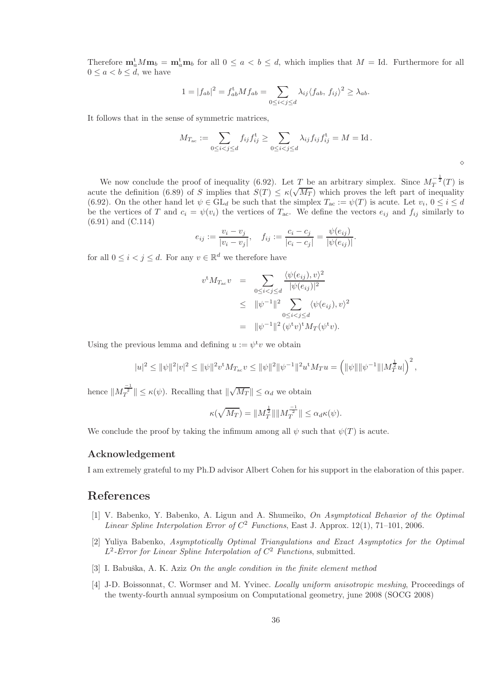Therefore  $\mathbf{m}_a^t M \mathbf{m}_b = \mathbf{m}_a^t \mathbf{m}_b$  for all  $0 \le a < b \le d$ , which implies that  $M = \text{Id}$ . Furthermore for all  $0 \leq a < b \leq d$ , we have

$$
1 = |f_{ab}|^2 = f_{ab}^{\dagger} M f_{ab} = \sum_{0 \le i < j \le d} \lambda_{ij} \langle f_{ab}, f_{ij} \rangle^2 \ge \lambda_{ab}.
$$

It follows that in the sense of symmetric matrices,

$$
M_{T_{ac}} := \sum_{0 \le i < j \le d} f_{ij} f_{ij}^{\mathsf{t}} \ge \sum_{0 \le i < j \le d} \lambda_{ij} f_{ij} f_{ij}^{\mathsf{t}} = M = \text{Id} \, .
$$

⋄

We now conclude the proof of inequality (6.92). Let T be an arbitrary simplex. Since  $M_T^{-\frac{1}{2}}(T)$  is acute the definition (6.89) of S implies that  $S(T) \leq \kappa(\sqrt{M_T})$  which proves the left part of inequality (6.92). On the other hand let  $\psi \in GL_d$  be such that the simplex  $T_{ac} := \psi(T)$  is acute. Let  $v_i, 0 \le i \le d$ be the vertices of T and  $c_i = \psi(v_i)$  the vertices of  $T_{ac}$ . We define the vectors  $e_{ij}$  and  $f_{ij}$  similarly to (6.91) and (C.114)

$$
e_{ij} := \frac{v_i - v_j}{|v_i - v_j|}, \quad f_{ij} := \frac{c_i - c_j}{|c_i - c_j|} = \frac{\psi(e_{ij})}{|\psi(e_{ij})|}.
$$

for all  $0 \leq i < j \leq d$ . For any  $v \in \mathbb{R}^d$  we therefore have

$$
v^{\mathrm{t}} M_{T_{\mathrm{ac}}} v = \sum_{0 \le i < j \le d} \frac{\langle \psi(e_{ij}), v \rangle^2}{|\psi(e_{ij})|^2}
$$
  
 
$$
\le ||\psi^{-1}||^2 \sum_{0 \le i < j \le d} \langle \psi(e_{ij}), v \rangle^2
$$
  
 
$$
= ||\psi^{-1}||^2 (\psi^{\mathrm{t}} v)^{\mathrm{t}} M_T(\psi^{\mathrm{t}} v).
$$

Using the previous lemma and defining  $u := \psi^{\dagger} v$  we obtain

$$
|u|^2 \leq \|\psi\|^2 |v|^2 \leq \|\psi\|^2 v^{\rm t} M_{T_{\rm ac}} v \leq \|\psi\|^2 \|\psi^{-1}\|^2 u^{\rm t} M_T u = \left(\|\psi\|\|\psi^{-1}\| \|M_T^{\frac{1}{2}} u|\right)^2,
$$

hence  $||M_T^{\frac{-1}{2}}|| \le \kappa(\psi)$ . Recalling that  $||\sqrt{M_T}|| \le \alpha_d$  we obtain

$$
\kappa(\sqrt{M_T}) = \|M_T^{\frac{1}{2}}\| \|M_T^{-\frac{1}{2}}\| \le \alpha_d \kappa(\psi).
$$

We conclude the proof by taking the infimum among all  $\psi$  such that  $\psi(T)$  is acute.

### Acknowledgement

I am extremely grateful to my Ph.D advisor Albert Cohen for his support in the elaboration of this paper.

## References

- [1] V. Babenko, Y. Babenko, A. Ligun and A. Shumeiko, *On Asymptotical Behavior of the Optimal Linear Spline Interpolation Error of*  $C^2$  *Functions*, East J. Approx. 12(1), 71–101, 2006.
- [2] Yuliya Babenko, *Asymptotically Optimal Triangulations and Exact Asymptotics for the Optimal* L 2 *-Error for Linear Spline Interpolation of* C <sup>2</sup> *Functions*, submitted.
- [3] I. Babuška, A. K. Aziz *On the angle condition in the finite element method*
- [4] J-D. Boissonnat, C. Wormser and M. Yvinec. *Locally uniform anisotropic meshing*, Proceedings of the twenty-fourth annual symposium on Computational geometry, june 2008 (SOCG 2008)